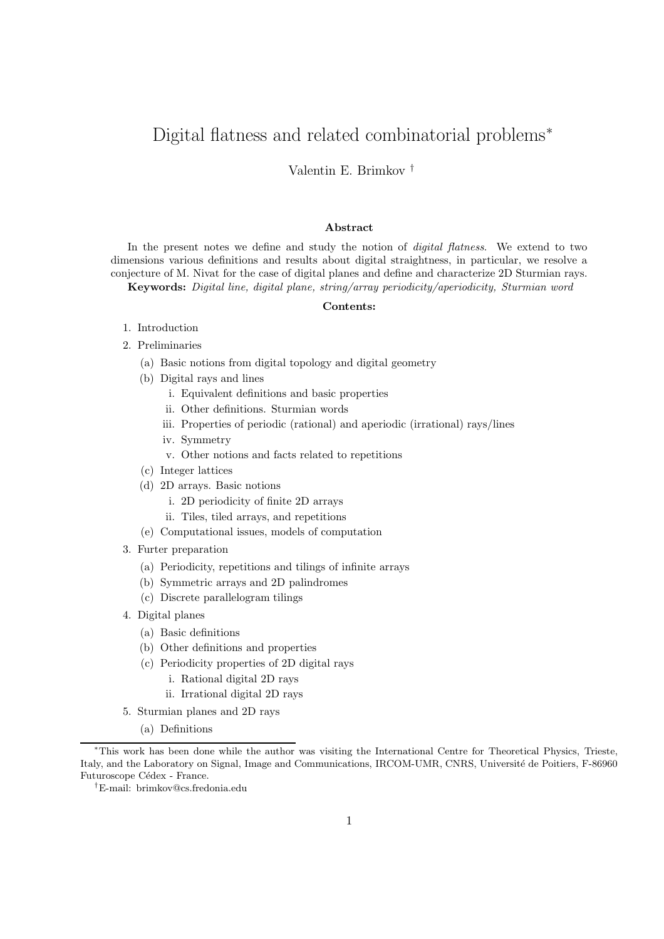# Digital flatness and related combinatorial problems<sup>∗</sup>

Valentin E. Brimkov †

#### Abstract

In the present notes we define and study the notion of *digital flatness*. We extend to two dimensions various definitions and results about digital straightness, in particular, we resolve a conjecture of M. Nivat for the case of digital planes and define and characterize 2D Sturmian rays. Keywords: Digital line, digital plane, string/array periodicity/aperiodicity, Sturmian word

#### Contents:

- 1. Introduction
- 2. Preliminaries
	- (a) Basic notions from digital topology and digital geometry
	- (b) Digital rays and lines
		- i. Equivalent definitions and basic properties
		- ii. Other definitions. Sturmian words
		- iii. Properties of periodic (rational) and aperiodic (irrational) rays/lines
		- iv. Symmetry
		- v. Other notions and facts related to repetitions
	- (c) Integer lattices
	- (d) 2D arrays. Basic notions
		- i. 2D periodicity of finite 2D arrays
		- ii. Tiles, tiled arrays, and repetitions
	- (e) Computational issues, models of computation
- 3. Furter preparation
	- (a) Periodicity, repetitions and tilings of infinite arrays
	- (b) Symmetric arrays and 2D palindromes
	- (c) Discrete parallelogram tilings
- 4. Digital planes
	- (a) Basic definitions
	- (b) Other definitions and properties
	- (c) Periodicity properties of 2D digital rays
		- i. Rational digital 2D rays
		- ii. Irrational digital 2D rays
- 5. Sturmian planes and 2D rays
	- (a) Definitions

<sup>∗</sup>This work has been done while the author was visiting the International Centre for Theoretical Physics, Trieste, Italy, and the Laboratory on Signal, Image and Communications, IRCOM-UMR, CNRS, Université de Poitiers, F-86960 Futuroscope Cédex - France.

<sup>†</sup>E-mail: brimkov@cs.fredonia.edu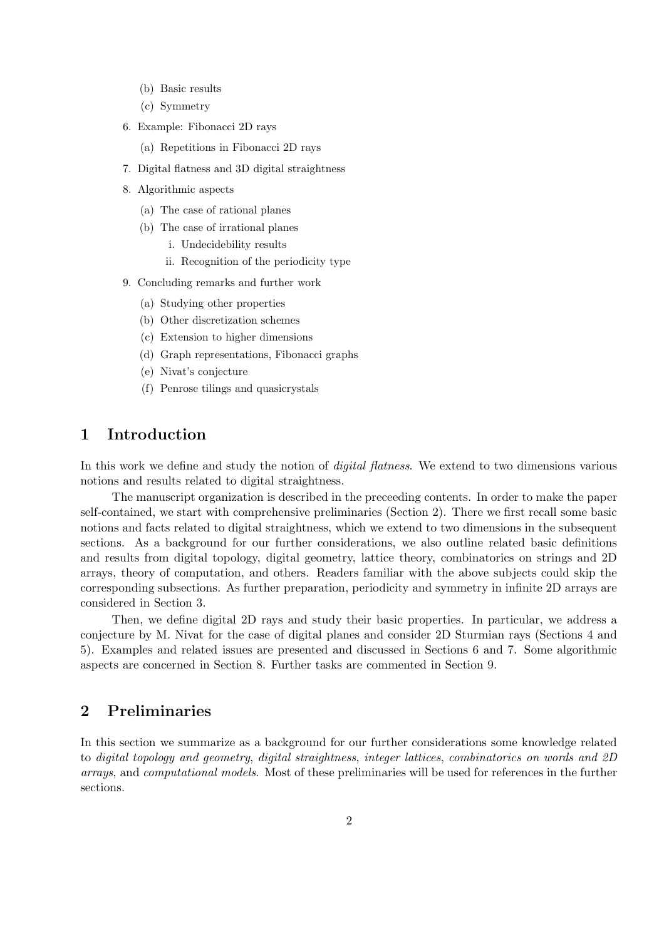- (b) Basic results
- (c) Symmetry
- 6. Example: Fibonacci 2D rays
	- (a) Repetitions in Fibonacci 2D rays
- 7. Digital flatness and 3D digital straightness
- 8. Algorithmic aspects
	- (a) The case of rational planes
	- (b) The case of irrational planes
		- i. Undecidebility results
		- ii. Recognition of the periodicity type
- 9. Concluding remarks and further work
	- (a) Studying other properties
	- (b) Other discretization schemes
	- (c) Extension to higher dimensions
	- (d) Graph representations, Fibonacci graphs
	- (e) Nivat's conjecture
	- (f) Penrose tilings and quasicrystals

# 1 Introduction

In this work we define and study the notion of *digital flatness*. We extend to two dimensions various notions and results related to digital straightness.

The manuscript organization is described in the preceeding contents. In order to make the paper self-contained, we start with comprehensive preliminaries (Section 2). There we first recall some basic notions and facts related to digital straightness, which we extend to two dimensions in the subsequent sections. As a background for our further considerations, we also outline related basic definitions and results from digital topology, digital geometry, lattice theory, combinatorics on strings and 2D arrays, theory of computation, and others. Readers familiar with the above subjects could skip the corresponding subsections. As further preparation, periodicity and symmetry in infinite 2D arrays are considered in Section 3.

Then, we define digital 2D rays and study their basic properties. In particular, we address a conjecture by M. Nivat for the case of digital planes and consider 2D Sturmian rays (Sections 4 and 5). Examples and related issues are presented and discussed in Sections 6 and 7. Some algorithmic aspects are concerned in Section 8. Further tasks are commented in Section 9.

# 2 Preliminaries

In this section we summarize as a background for our further considerations some knowledge related to digital topology and geometry, digital straightness, integer lattices, combinatorics on words and 2D arrays, and computational models. Most of these preliminaries will be used for references in the further sections.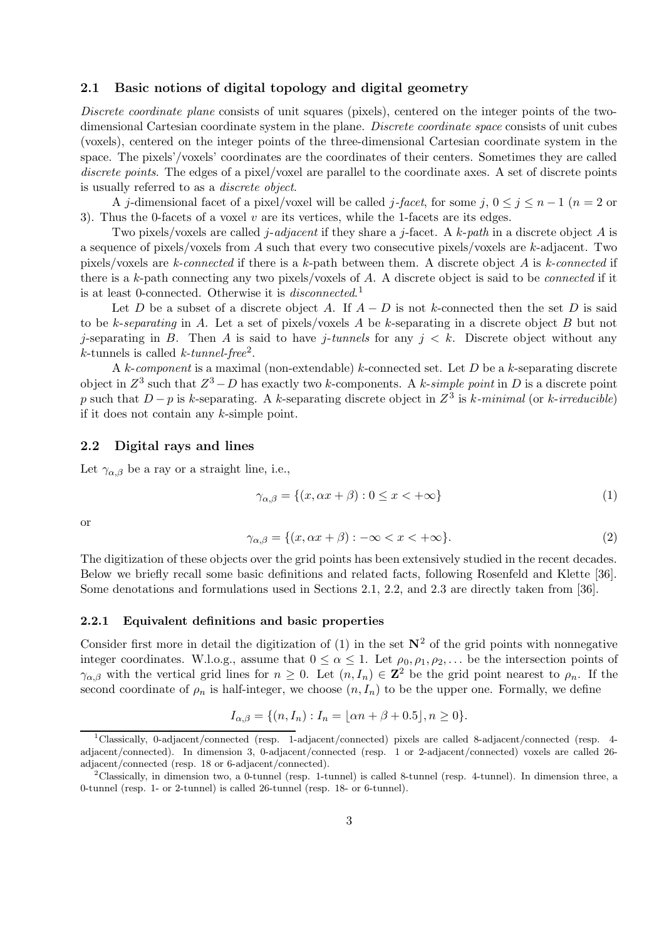### 2.1 Basic notions of digital topology and digital geometry

Discrete coordinate plane consists of unit squares (pixels), centered on the integer points of the twodimensional Cartesian coordinate system in the plane. Discrete coordinate space consists of unit cubes (voxels), centered on the integer points of the three-dimensional Cartesian coordinate system in the space. The pixels'/voxels' coordinates are the coordinates of their centers. Sometimes they are called discrete points. The edges of a pixel/voxel are parallel to the coordinate axes. A set of discrete points is usually referred to as a discrete object.

A j-dimensional facet of a pixel/voxel will be called j-facet, for some j,  $0 \le j \le n-1$  ( $n=2$  or 3). Thus the 0-facets of a voxel  $v$  are its vertices, while the 1-facets are its edges.

Two pixels/voxels are called j-adjacent if they share a j-facet. A k-path in a discrete object A is a sequence of pixels/voxels from A such that every two consecutive pixels/voxels are k-adjacent. Two pixels/voxels are k-connected if there is a k-path between them. A discrete object A is k-connected if there is a k-path connecting any two pixels/voxels of  $A$ . A discrete object is said to be *connected* if it is at least 0-connected. Otherwise it is *disconnected*.<sup>1</sup>

Let D be a subset of a discrete object A. If  $A - D$  is not k-connected then the set D is said to be k-separating in A. Let a set of pixels/voxels A be k-separating in a discrete object B but not j-separating in B. Then A is said to have j-tunnels for any  $j < k$ . Discrete object without any  $k$ -tunnels is called  $k$ -tunnel-free<sup>2</sup>.

A k-component is a maximal (non-extendable) k-connected set. Let  $D$  be a k-separating discrete object in  $Z^3$  such that  $Z^3 - D$  has exactly two k-components. A k-simple point in D is a discrete point p such that  $D - p$  is k-separating. A k-separating discrete object in  $Z^3$  is k-minimal (or k-irreducible) if it does not contain any k-simple point.

## 2.2 Digital rays and lines

Let  $\gamma_{\alpha,\beta}$  be a ray or a straight line, i.e.,

$$
\gamma_{\alpha,\beta} = \{(x, \alpha x + \beta) : 0 \le x < +\infty\}
$$
 (1)

or

$$
\gamma_{\alpha,\beta} = \{(x, \alpha x + \beta) : -\infty < x < +\infty\}.\tag{2}
$$

The digitization of these objects over the grid points has been extensively studied in the recent decades. Below we briefly recall some basic definitions and related facts, following Rosenfeld and Klette [36]. Some denotations and formulations used in Sections 2.1, 2.2, and 2.3 are directly taken from [36].

### 2.2.1 Equivalent definitions and basic properties

Consider first more in detail the digitization of (1) in the set  $N^2$  of the grid points with nonnegative integer coordinates. W.l.o.g., assume that  $0 \le \alpha \le 1$ . Let  $\rho_0, \rho_1, \rho_2, \ldots$  be the intersection points of  $\gamma_{\alpha,\beta}$  with the vertical grid lines for  $n \geq 0$ . Let  $(n, I_n) \in \mathbb{Z}^2$  be the grid point nearest to  $\rho_n$ . If the second coordinate of  $\rho_n$  is half-integer, we choose  $(n, I_n)$  to be the upper one. Formally, we define

$$
I_{\alpha,\beta} = \{(n, I_n) : I_n = \lfloor \alpha n + \beta + 0.5 \rfloor, n \ge 0\}.
$$

<sup>1</sup>Classically, 0-adjacent/connected (resp. 1-adjacent/connected) pixels are called 8-adjacent/connected (resp. 4 adjacent/connected). In dimension 3, 0-adjacent/connected (resp. 1 or 2-adjacent/connected) voxels are called 26 adjacent/connected (resp. 18 or 6-adjacent/connected).

<sup>&</sup>lt;sup>2</sup>Classically, in dimension two, a 0-tunnel (resp. 1-tunnel) is called 8-tunnel (resp. 4-tunnel). In dimension three, a 0-tunnel (resp. 1- or 2-tunnel) is called 26-tunnel (resp. 18- or 6-tunnel).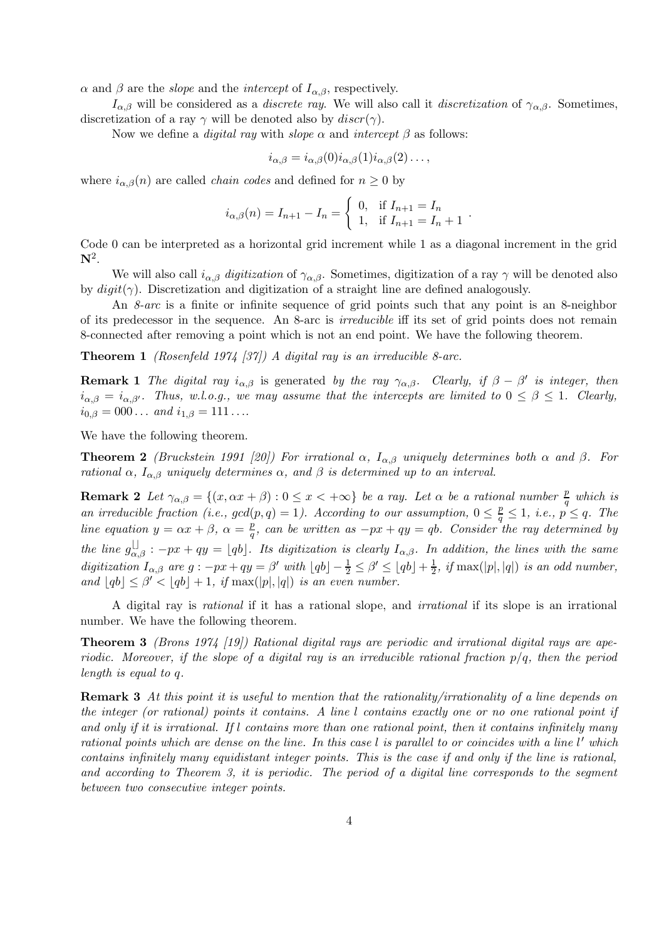$\alpha$  and  $\beta$  are the *slope* and the *intercept* of  $I_{\alpha,\beta}$ , respectively.

 $I_{\alpha,\beta}$  will be considered as a *discrete ray*. We will also call it *discretization* of  $\gamma_{\alpha,\beta}$ . Sometimes, discretization of a ray  $\gamma$  will be denoted also by  $discr(\gamma)$ .

Now we define a *digital ray* with *slope*  $\alpha$  and *intercept*  $\beta$  as follows:

$$
i_{\alpha,\beta} = i_{\alpha,\beta}(0) i_{\alpha,\beta}(1) i_{\alpha,\beta}(2) \dots,
$$

where  $i_{\alpha,\beta}(n)$  are called *chain codes* and defined for  $n \geq 0$  by

$$
i_{\alpha,\beta}(n) = I_{n+1} - I_n = \begin{cases} 0, & \text{if } I_{n+1} = I_n \\ 1, & \text{if } I_{n+1} = I_n + 1 \end{cases}.
$$

Code 0 can be interpreted as a horizontal grid increment while 1 as a diagonal increment in the grid  ${\bf N}^2.$ 

We will also call  $i_{\alpha,\beta}$  digitization of  $\gamma_{\alpha,\beta}$ . Sometimes, digitization of a ray  $\gamma$  will be denoted also by  $digit(\gamma)$ . Discretization and digitization of a straight line are defined analogously.

An *8-arc* is a finite or infinite sequence of grid points such that any point is an 8-neighbor of its predecessor in the sequence. An 8-arc is irreducible iff its set of grid points does not remain 8-connected after removing a point which is not an end point. We have the following theorem.

**Theorem 1** (Rosenfeld 1974 [37]) A digital ray is an irreducible 8-arc.

**Remark 1** The digital ray  $i_{\alpha,\beta}$  is generated by the ray  $\gamma_{\alpha,\beta}$ . Clearly, if  $\beta - \beta'$  is integer, then  $i_{\alpha,\beta} = i_{\alpha,\beta'}$ . Thus, w.l.o.g., we may assume that the intercepts are limited to  $0 \le \beta \le 1$ . Clearly,  $i_{0,\beta} = 000...$  and  $i_{1,\beta} = 111...$ 

We have the following theorem.

**Theorem 2** (Bruckstein 1991 [20]) For irrational  $\alpha$ ,  $I_{\alpha,\beta}$  uniquely determines both  $\alpha$  and  $\beta$ . For rational  $\alpha$ ,  $I_{\alpha,\beta}$  uniquely determines  $\alpha$ , and  $\beta$  is determined up to an interval.

**Remark 2** Let  $\gamma_{\alpha,\beta} = \{(x, \alpha x + \beta) : 0 \le x < +\infty\}$  be a ray. Let  $\alpha$  be a rational number  $\frac{p}{q}$  $\frac{p}{q}$  which is an irreducible fraction (i.e.,  $gcd(p, q) = 1$ ). According to our assumption,  $0 \leq \frac{p}{q} \leq 1$ , i.e.,  $p \leq q$ . The line equation  $y = \alpha x + \beta$ ,  $\alpha = \frac{p}{q}$  $\frac{p}{q}$ , can be written as  $-px + qy = qb$ . Consider the ray determined by the line  $g_{\alpha,\beta}^{\square}$ :  $-px+qy = \lfloor qb \rfloor$ . Its digitization is clearly  $I_{\alpha,\beta}$ . In addition, the lines with the same digitization  $I_{\alpha,\beta}$  are  $g: -px+qy = \beta'$  with  $\lfloor qb \rfloor - \frac{1}{2} \leq \beta' \leq \lfloor qb \rfloor + \frac{1}{2}$  $\frac{1}{2}$ , if max(|p|,|q|) is an odd number, and  $\lfloor qb \rfloor \leq \beta' < \lfloor qb \rfloor + 1$ , if  $\max(|p|, |q|)$  is an even number.

A digital ray is rational if it has a rational slope, and irrational if its slope is an irrational number. We have the following theorem.

**Theorem 3** (Brons 1974 [19]) Rational digital rays are periodic and irrational digital rays are aperiodic. Moreover, if the slope of a digital ray is an irreducible rational fraction  $p/q$ , then the period length is equal to q.

Remark 3 At this point it is useful to mention that the rationality/irrationality of a line depends on the integer (or rational) points it contains. A line l contains exactly one or no one rational point if and only if it is irrational. If l contains more than one rational point, then it contains infinitely many rational points which are dense on the line. In this case  $l$  is parallel to or coincides with a line  $l'$  which contains infinitely many equidistant integer points. This is the case if and only if the line is rational, and according to Theorem 3, it is periodic. The period of a digital line corresponds to the segment between two consecutive integer points.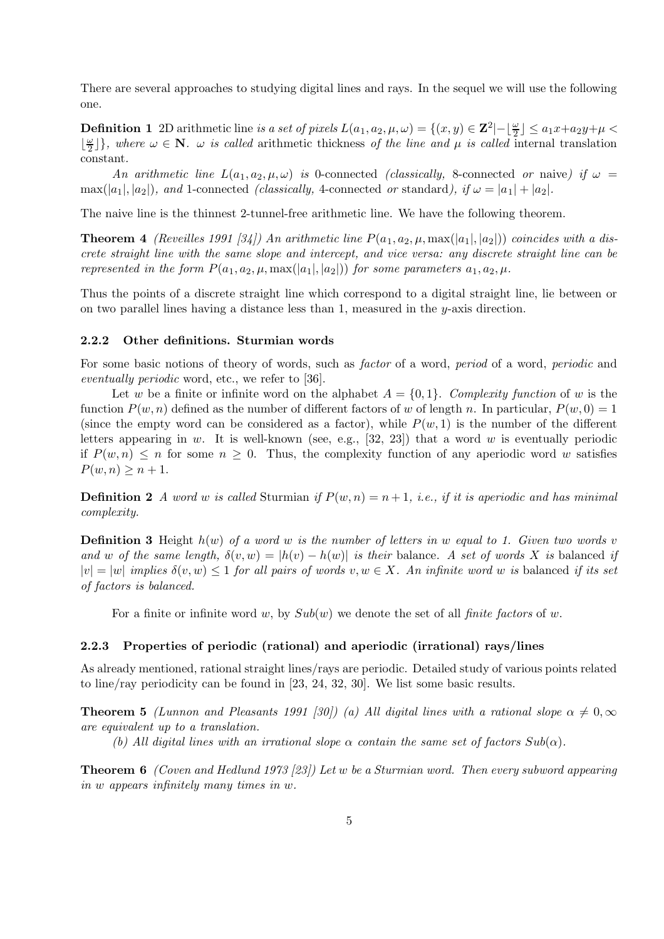There are several approaches to studying digital lines and rays. In the sequel we will use the following one.

**Definition 1** 2D arithmetic line is a set of pixels  $L(a_1, a_2, \mu, \omega) = \{(x, y) \in \mathbb{Z}^2 | - \lfloor \frac{\omega}{2} \rfloor \le a_1 x + a_2 y + \mu \le a_2 y + a_3 y + \mu \le a_3 y + a_4 y + a_5 y + a_6 y\}$  $\lfloor \frac{\omega}{2}$  $\frac{\omega}{2}$ }, where  $\omega \in \mathbb{N}$ .  $\omega$  is called arithmetic thickness of the line and  $\mu$  is called internal translation constant.

An arithmetic line  $L(a_1, a_2, \mu, \omega)$  is 0-connected (classically, 8-connected or naive) if  $\omega =$  $\max(|a_1|, |a_2|)$ , and 1-connected *(classically, 4*-connected *or* standard), if  $\omega = |a_1| + |a_2|$ .

The naive line is the thinnest 2-tunnel-free arithmetic line. We have the following theorem.

**Theorem 4** (Reveilles 1991 [34]) An arithmetic line  $P(a_1, a_2, \mu, \max(|a_1|, |a_2|))$  coincides with a discrete straight line with the same slope and intercept, and vice versa: any discrete straight line can be represented in the form  $P(a_1, a_2, \mu, \max(|a_1|, |a_2|))$  for some parameters  $a_1, a_2, \mu$ .

Thus the points of a discrete straight line which correspond to a digital straight line, lie between or on two parallel lines having a distance less than 1, measured in the y-axis direction.

#### 2.2.2 Other definitions. Sturmian words

For some basic notions of theory of words, such as *factor* of a word, *period* of a word, *periodic* and eventually periodic word, etc., we refer to [36].

Let w be a finite or infinite word on the alphabet  $A = \{0, 1\}$ . Complexity function of w is the function  $P(w, n)$  defined as the number of different factors of w of length n. In particular,  $P(w, 0) = 1$ (since the empty word can be considered as a factor), while  $P(w, 1)$  is the number of the different letters appearing in w. It is well-known (see, e.g.,  $[32, 23]$ ) that a word w is eventually periodic if  $P(w, n) \leq n$  for some  $n \geq 0$ . Thus, the complexity function of any aperiodic word w satisfies  $P(w, n) \geq n+1$ .

**Definition 2** A word w is called Sturmian if  $P(w, n) = n + 1$ , i.e., if it is aperiodic and has minimal complexity.

**Definition 3** Height  $h(w)$  of a word w is the number of letters in w equal to 1. Given two words v and w of the same length,  $\delta(v, w) = |h(v) - h(w)|$  is their balance. A set of words X is balanced if  $|v| = |w|$  implies  $\delta(v, w) \leq 1$  for all pairs of words  $v, w \in X$ . An infinite word w is balanced if its set of factors is balanced.

For a finite or infinite word w, by  $Sub(w)$  we denote the set of all *finite factors* of w.

#### 2.2.3 Properties of periodic (rational) and aperiodic (irrational) rays/lines

As already mentioned, rational straight lines/rays are periodic. Detailed study of various points related to line/ray periodicity can be found in [23, 24, 32, 30]. We list some basic results.

**Theorem 5** (Lunnon and Pleasants 1991 [30]) (a) All digital lines with a rational slope  $\alpha \neq 0, \infty$ are equivalent up to a translation.

(b) All digital lines with an irrational slope  $\alpha$  contain the same set of factors  $Sub(\alpha)$ .

Theorem 6 (Coven and Hedlund 1973 [23]) Let w be a Sturmian word. Then every subword appearing in w appears infinitely many times in w.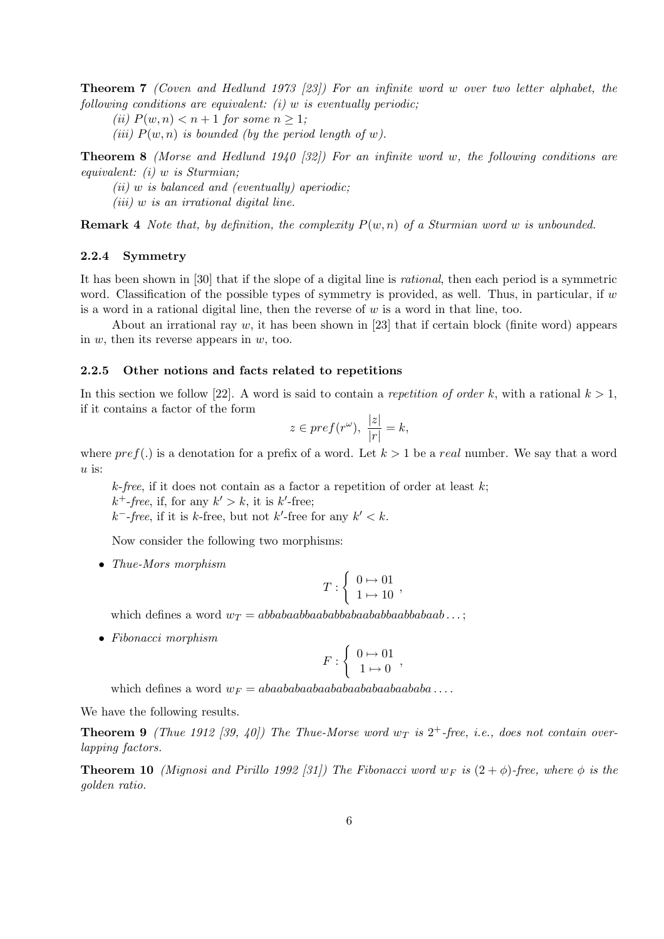Theorem 7 (Coven and Hedlund 1973 [23]) For an infinite word w over two letter alphabet, the following conditions are equivalent:  $(i)$  w is eventually periodic;

(ii)  $P(w, n) < n+1$  for some  $n \geq 1$ ;

(iii)  $P(w, n)$  is bounded (by the period length of w).

**Theorem 8** (Morse and Hedlund 1940 [32]) For an infinite word w, the following conditions are equivalent:  $(i)$  w is Sturmian;

 $(ii)$  w is balanced and (eventually) aperiodic;

 $(iii)$  w is an irrational digital line.

**Remark 4** Note that, by definition, the complexity  $P(w, n)$  of a Sturmian word w is unbounded.

#### 2.2.4 Symmetry

It has been shown in [30] that if the slope of a digital line is rational, then each period is a symmetric word. Classification of the possible types of symmetry is provided, as well. Thus, in particular, if  $w$ is a word in a rational digital line, then the reverse of  $w$  is a word in that line, too.

About an irrational ray  $w$ , it has been shown in [23] that if certain block (finite word) appears in  $w$ , then its reverse appears in  $w$ , too.

### 2.2.5 Other notions and facts related to repetitions

In this section we follow [22]. A word is said to contain a repetition of order k, with a rational  $k > 1$ , if it contains a factor of the form

$$
z \in pref(r^{\omega}), \ \frac{|z|}{|r|}=k,
$$

where  $pref(.)$  is a denotation for a prefix of a word. Let  $k>1$  be a real number. We say that a word  $u$  is:

 $k$ -free, if it does not contain as a factor a repetition of order at least  $k$ ;

 $k^+$ -free, if, for any  $k' > k$ , it is  $k'$ -free;

 $k^-$ -free, if it is k-free, but not k'-free for any  $k' < k$ .

Now consider the following two morphisms:

• Thue-Mors morphism

$$
T:\left\{\begin{array}{l} 0\mapsto 01\\ 1\mapsto 10 \end{array},\right.
$$

which defines a word  $w_T = abbabaabbaabababababababababab$ 

• Fibonacci morphism

$$
F: \left\{ \begin{array}{ll} 0 \mapsto 01 \\ 1 \mapsto 0 \end{array} \right.,
$$

which defines a word  $w_F = abaababaabaabaabaabaabaabaabaaba \ldots$ .

We have the following results.

**Theorem 9** (Thue 1912 [39, 40]) The Thue-Morse word  $w_T$  is  $2^+$ -free, i.e., does not contain overlapping factors.

**Theorem 10** (Mignosi and Pirillo 1992 [31]) The Fibonacci word  $w_F$  is  $(2 + \phi)$ -free, where  $\phi$  is the golden ratio.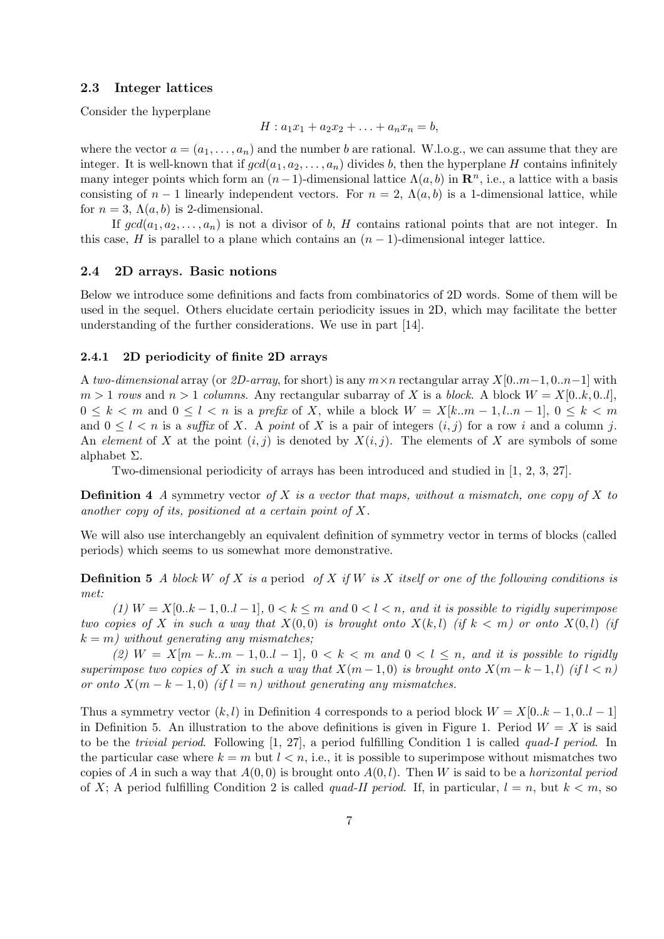### 2.3 Integer lattices

Consider the hyperplane

$$
H: a_1x_1 + a_2x_2 + \ldots + a_nx_n = b,
$$

where the vector  $a = (a_1, \ldots, a_n)$  and the number b are rational. W.l.o.g., we can assume that they are integer. It is well-known that if  $gcd(a_1, a_2, \ldots, a_n)$  divides b, then the hyperplane H contains infinitely many integer points which form an  $(n-1)$ -dimensional lattice  $\Lambda(a, b)$  in  $\mathbb{R}^n$ , i.e., a lattice with a basis consisting of  $n-1$  linearly independent vectors. For  $n=2$ ,  $\Lambda(a,b)$  is a 1-dimensional lattice, while for  $n = 3$ ,  $\Lambda(a, b)$  is 2-dimensional.

If  $gcd(a_1, a_2, \ldots, a_n)$  is not a divisor of b, H contains rational points that are not integer. In this case, H is parallel to a plane which contains an  $(n-1)$ -dimensional integer lattice.

#### 2.4 2D arrays. Basic notions

Below we introduce some definitions and facts from combinatorics of 2D words. Some of them will be used in the sequel. Others elucidate certain periodicity issues in 2D, which may facilitate the better understanding of the further considerations. We use in part [14].

#### 2.4.1 2D periodicity of finite 2D arrays

A two-dimensional array (or 2D-array, for short) is any  $m \times n$  rectangular array  $X[0..m-1, 0..n-1]$  with  $m > 1$  rows and  $n > 1$  columns. Any rectangular subarray of X is a block. A block  $W = X[0..k, 0..l],$  $0 \leq k < m$  and  $0 \leq l < n$  is a prefix of X, while a block  $W = X[k..m - 1, l..n - 1], 0 \leq k < m$ and  $0 \leq l < n$  is a suffix of X. A point of X is a pair of integers  $(i, j)$  for a row i and a column j. An element of X at the point  $(i, j)$  is denoted by  $X(i, j)$ . The elements of X are symbols of some alphabet Σ.

Two-dimensional periodicity of arrays has been introduced and studied in [1, 2, 3, 27].

**Definition 4** A symmetry vector of X is a vector that maps, without a mismatch, one copy of X to another copy of its, positioned at a certain point of X.

We will also use interchangebly an equivalent definition of symmetry vector in terms of blocks (called periods) which seems to us somewhat more demonstrative.

**Definition 5** A block W of X is a period of X if W is X itself or one of the following conditions is met:

(1)  $W = X[0..k - 1, 0..l - 1], 0 < k \leq m$  and  $0 < l < n$ , and it is possible to rigidly superimpose two copies of X in such a way that  $X(0,0)$  is brought onto  $X(k, l)$  (if  $k < m$ ) or onto  $X(0, l)$  (if  $k = m$ ) without generating any mismatches;

(2)  $W = X[m-k..m-1,0..l-1], 0 < k < m$  and  $0 < l \le n$ , and it is possible to rigidly superimpose two copies of X in such a way that  $X(m-1,0)$  is brought onto  $X(m-k-1,1)$  (if  $l < n$ ) or onto  $X(m - k - 1, 0)$  (if  $l = n$ ) without generating any mismatches.

Thus a symmetry vector  $(k, l)$  in Definition 4 corresponds to a period block  $W = X[0..k - 1, 0..l - 1]$ in Definition 5. An illustration to the above definitions is given in Figure 1. Period  $W = X$  is said to be the trivial period. Following [1, 27], a period fulfilling Condition 1 is called quad-I period. In the particular case where  $k = m$  but  $l < n$ , i.e., it is possible to superimpose without mismatches two copies of A in such a way that  $A(0, 0)$  is brought onto  $A(0, l)$ . Then W is said to be a *horizontal period* of X; A period fulfilling Condition 2 is called quad-II period. If, in particular,  $l = n$ , but  $k < m$ , so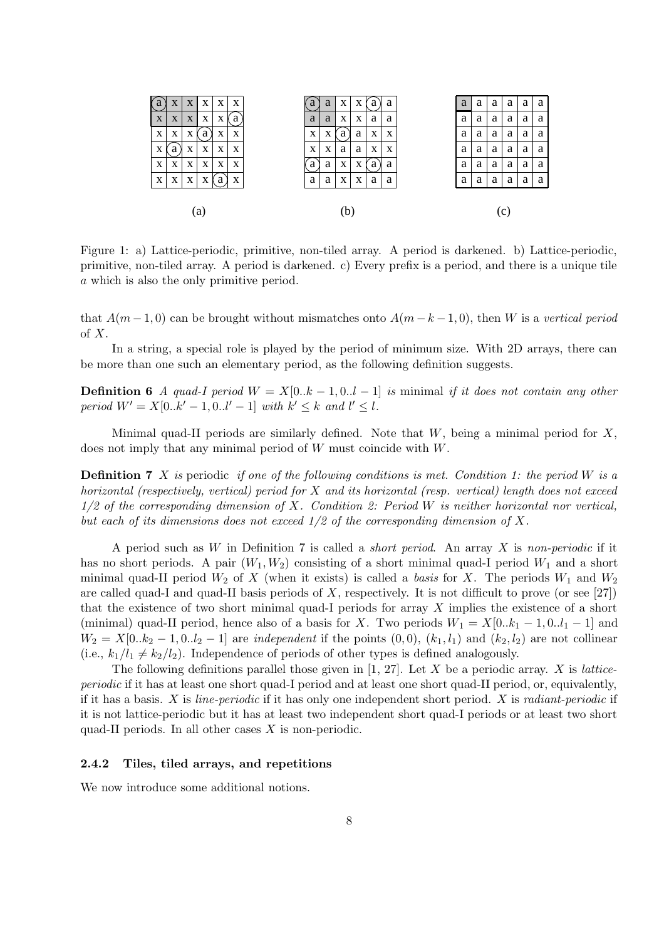

Figure 1: a) Lattice-periodic, primitive, non-tiled array. A period is darkened. b) Lattice-periodic, primitive, non-tiled array. A period is darkened. c) Every prefix is a period, and there is a unique tile a which is also the only primitive period.

that  $A(m-1,0)$  can be brought without mismatches onto  $A(m-k-1,0)$ , then W is a vertical period of  $X$ .

In a string, a special role is played by the period of minimum size. With 2D arrays, there can be more than one such an elementary period, as the following definition suggests.

**Definition 6** A quad-I period  $W = X[0..k-1,0..l-1]$  is minimal if it does not contain any other period  $W' = X[0..k' - 1, 0..l' - 1]$  with  $k' \leq k$  and  $l' \leq l$ .

Minimal quad-II periods are similarly defined. Note that  $W$ , being a minimal period for  $X$ , does not imply that any minimal period of W must coincide with W.

**Definition 7** X is periodic if one of the following conditions is met. Condition 1: the period W is a horizontal (respectively, vertical) period for X and its horizontal (resp. vertical) length does not exceed  $1/2$  of the corresponding dimension of X. Condition 2: Period W is neither horizontal nor vertical, but each of its dimensions does not exceed  $1/2$  of the corresponding dimension of X.

A period such as  $W$  in Definition 7 is called a *short period*. An array  $X$  is non-periodic if it has no short periods. A pair  $(W_1, W_2)$  consisting of a short minimal quad-I period  $W_1$  and a short minimal quad-II period  $W_2$  of X (when it exists) is called a basis for X. The periods  $W_1$  and  $W_2$ are called quad-I and quad-II basis periods of  $X$ , respectively. It is not difficult to prove (or see [27]) that the existence of two short minimal quad-I periods for array  $X$  implies the existence of a short (minimal) quad-II period, hence also of a basis for X. Two periods  $W_1 = X[0..k_1 - 1, 0..l_1 - 1]$  and  $W_2 = X[0..k_2 - 1, 0..l_2 - 1]$  are *independent* if the points  $(0,0)$ ,  $(k_1, l_1)$  and  $(k_2, l_2)$  are not collinear (i.e.,  $k_1/l_1 \neq k_2/l_2$ ). Independence of periods of other types is defined analogously.

The following definitions parallel those given in  $[1, 27]$ . Let X be a periodic array. X is latticeperiodic if it has at least one short quad-I period and at least one short quad-II period, or, equivalently, if it has a basis. X is *line-periodic* if it has only one independent short period. X is *radiant-periodic* if it is not lattice-periodic but it has at least two independent short quad-I periods or at least two short quad-II periods. In all other cases  $X$  is non-periodic.

### 2.4.2 Tiles, tiled arrays, and repetitions

We now introduce some additional notions.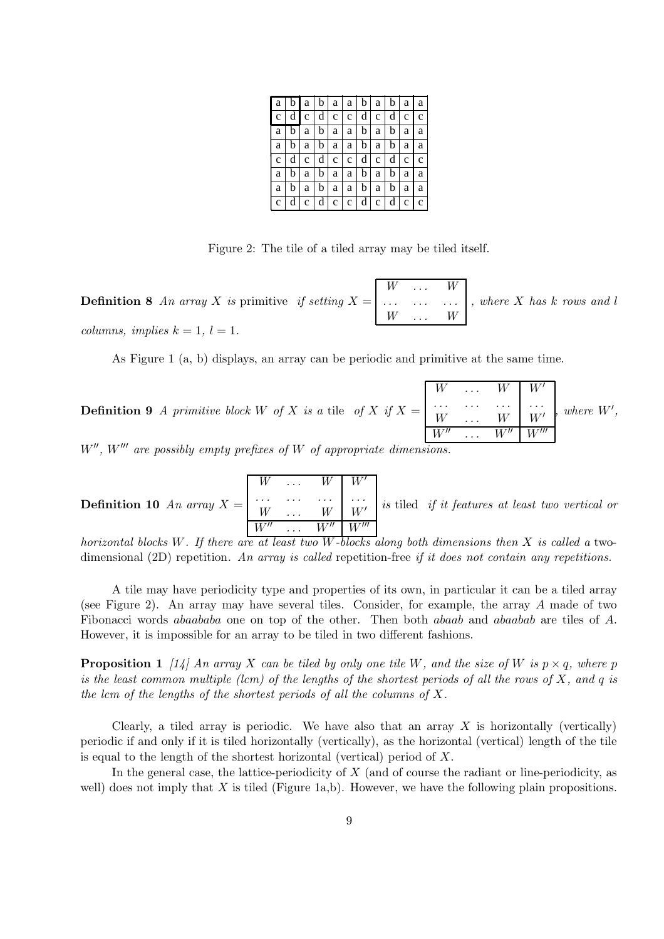|  | $a \mid b \mid a \mid b \mid a \mid b \mid a \mid b \mid a \mid a$ |  |  |  |  |
|--|--------------------------------------------------------------------|--|--|--|--|
|  | c d c d c c c d c d c c c                                          |  |  |  |  |
|  | $a   b   a   b   a   a   b   a   b   a   a$                        |  |  |  |  |
|  | a b a b a a b a b a a b                                            |  |  |  |  |
|  | $c   d   c   d   c   c   d   c   d   c   c  $                      |  |  |  |  |
|  | $a   b   a   b   a   a   b   a   b   a   a$                        |  |  |  |  |
|  | a b a b a a b a b a a b                                            |  |  |  |  |
|  | $c   d   c   d   c   c   d   c   d   c   d   c   c$                |  |  |  |  |

Figure 2: The tile of a tiled array may be tiled itself.

**Definition 8** An array X is primitive if setting  $X =$  $W \quad \ldots \quad W$ . . . . . . . . .  $W$ , where X has k rows and l columns, implies  $k = 1, l = 1$ .

As Figure 1 (a, b) displays, an array can be periodic and primitive at the same time.

**Definition 9** A primitive block W of X is a tile of X if  $X =$  $W \quad \ldots \quad W \mid W'$  $\begin{array}{ccc} \ldots & \ldots & \ldots \\ W & \ldots & W \end{array}$   $\begin{array}{ccc} \ldots \\ W' \end{array}$  $W \mid W'$  $W''$  $W''$   $W'''$  $, where W',$ 

 $W''$ ,  $W'''$  are possibly empty prefixes of  $W$  of appropriate dimensions.

**Definition 10** An array 
$$
X = \begin{bmatrix} W & \dots & W & W' \\ \dots & \dots & \dots & \dots \\ W & \dots & W & W' \\ \hline W'' & \dots & W'' & W'' \end{bmatrix}
$$
 is tied *if it features at least two vertical or*

horizontal blocks W. If there are at least two W-blocks along both dimensions then X is called a twodimensional (2D) repetition. An array is called repetition-free if it does not contain any repetitions.

A tile may have periodicity type and properties of its own, in particular it can be a tiled array (see Figure 2). An array may have several tiles. Consider, for example, the array A made of two Fibonacci words abaababa one on top of the other. Then both abaab and abaabab are tiles of A. However, it is impossible for an array to be tiled in two different fashions.

**Proposition 1** [14] An array X can be tiled by only one tile W, and the size of W is  $p \times q$ , where p is the least common multiple (lcm) of the lengths of the shortest periods of all the rows of X, and q is the lcm of the lengths of the shortest periods of all the columns of  $X$ .

Clearly, a tiled array is periodic. We have also that an array  $X$  is horizontally (vertically) periodic if and only if it is tiled horizontally (vertically), as the horizontal (vertical) length of the tile is equal to the length of the shortest horizontal (vertical) period of X.

In the general case, the lattice-periodicity of  $X$  (and of course the radiant or line-periodicity, as well) does not imply that  $X$  is tiled (Figure 1a,b). However, we have the following plain propositions.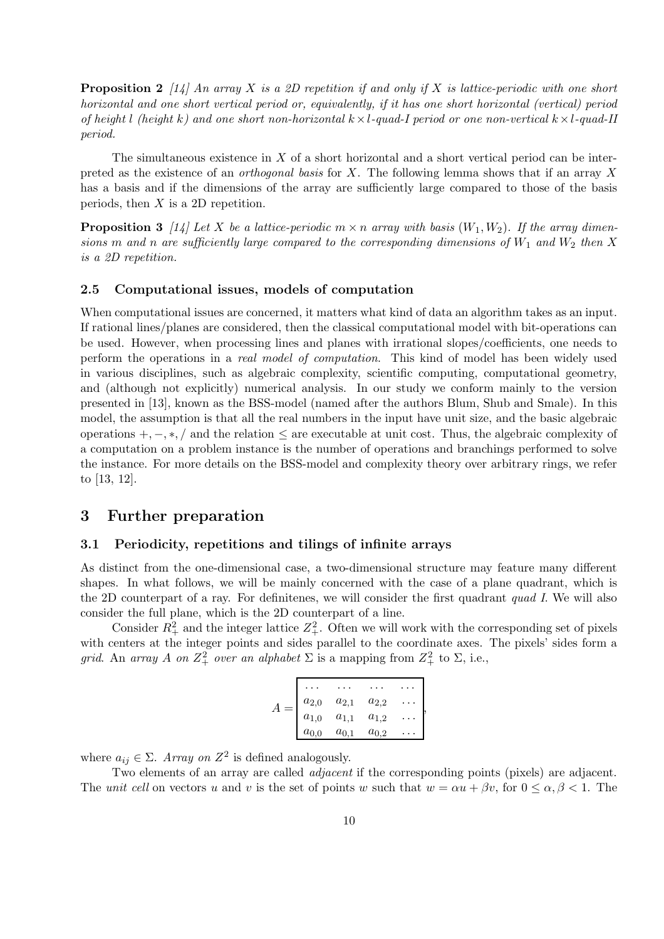**Proposition 2** [14] An array X is a 2D repetition if and only if X is lattice-periodic with one short horizontal and one short vertical period or, equivalently, if it has one short horizontal (vertical) period of height l (height k) and one short non-horizontal  $k \times l$ -quad-I period or one non-vertical  $k \times l$ -quad-II period.

The simultaneous existence in X of a short horizontal and a short vertical period can be interpreted as the existence of an *orthogonal basis* for  $X$ . The following lemma shows that if an array  $X$ has a basis and if the dimensions of the array are sufficiently large compared to those of the basis periods, then  $X$  is a 2D repetition.

**Proposition 3** [14] Let X be a lattice-periodic  $m \times n$  array with basis  $(W_1, W_2)$ . If the array dimensions m and n are sufficiently large compared to the corresponding dimensions of  $W_1$  and  $W_2$  then X is a 2D repetition.

#### 2.5 Computational issues, models of computation

When computational issues are concerned, it matters what kind of data an algorithm takes as an input. If rational lines/planes are considered, then the classical computational model with bit-operations can be used. However, when processing lines and planes with irrational slopes/coefficients, one needs to perform the operations in a real model of computation. This kind of model has been widely used in various disciplines, such as algebraic complexity, scientific computing, computational geometry, and (although not explicitly) numerical analysis. In our study we conform mainly to the version presented in [13], known as the BSS-model (named after the authors Blum, Shub and Smale). In this model, the assumption is that all the real numbers in the input have unit size, and the basic algebraic operations  $+,-,*,/$  and the relation  $\leq$  are executable at unit cost. Thus, the algebraic complexity of a computation on a problem instance is the number of operations and branchings performed to solve the instance. For more details on the BSS-model and complexity theory over arbitrary rings, we refer to [13, 12].

# 3 Further preparation

### 3.1 Periodicity, repetitions and tilings of infinite arrays

As distinct from the one-dimensional case, a two-dimensional structure may feature many different shapes. In what follows, we will be mainly concerned with the case of a plane quadrant, which is the 2D counterpart of a ray. For definitenes, we will consider the first quadrant quad I. We will also consider the full plane, which is the 2D counterpart of a line.

Consider  $R_+^2$  and the integer lattice  $Z_+^2$ . Often we will work with the corresponding set of pixels with centers at the integer points and sides parallel to the coordinate axes. The pixels' sides form a grid. An array A on  $Z_+^2$  over an alphabet  $\Sigma$  is a mapping from  $Z_+^2$  to  $\Sigma$ , i.e.,

| $a_{2,0}$ | $a_{2,1}$ | $a_{2,2}$ |  |
|-----------|-----------|-----------|--|
| $a_{1,0}$ | $a_{1,1}$ | $a_{1,2}$ |  |
| $a_{0,0}$ | $a_{0,1}$ | $a_{0,2}$ |  |

where  $a_{ij} \in \Sigma$ . Array on  $Z^2$  is defined analogously.

Two elements of an array are called *adjacent* if the corresponding points (pixels) are adjacent. The unit cell on vectors u and v is the set of points w such that  $w = \alpha u + \beta v$ , for  $0 \le \alpha, \beta \le 1$ . The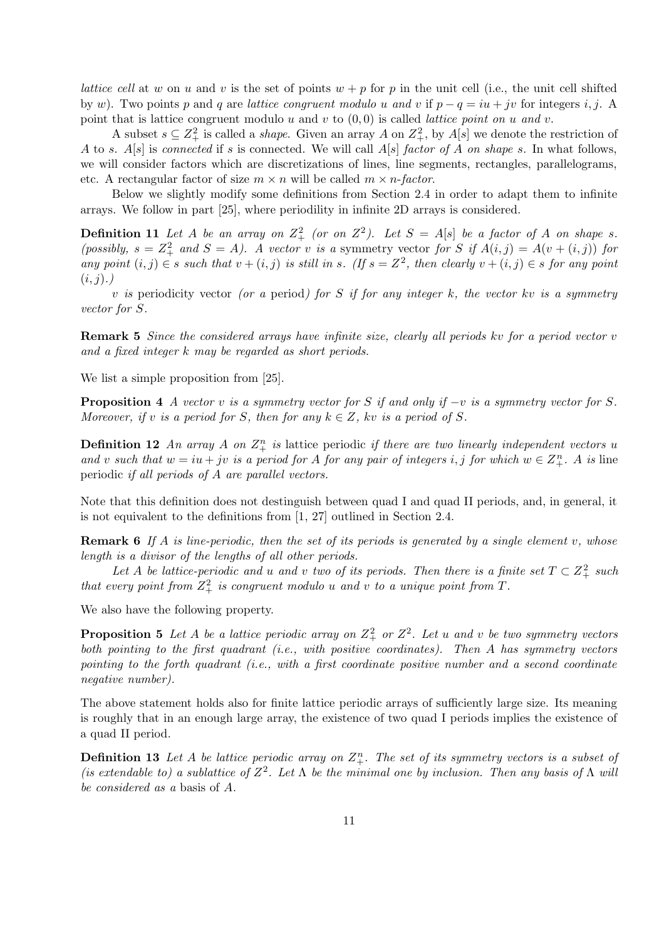lattice cell at w on u and v is the set of points  $w + p$  for p in the unit cell (i.e., the unit cell shifted by w). Two points p and q are lattice congruent modulo u and v if  $p - q = iu + jv$  for integers i, j. A point that is lattice congruent modulo u and v to  $(0,0)$  is called *lattice point on u and v*.

A subset  $s \subseteq Z^2_+$  is called a *shape*. Given an array A on  $Z^2_+$ , by  $A[s]$  we denote the restriction of A to s.  $A[s]$  is connected if s is connected. We will call  $A[s]$  factor of A on shape s. In what follows, we will consider factors which are discretizations of lines, line segments, rectangles, parallelograms, etc. A rectangular factor of size  $m \times n$  will be called  $m \times n$ -factor.

Below we slightly modify some definitions from Section 2.4 in order to adapt them to infinite arrays. We follow in part [25], where periodility in infinite 2D arrays is considered.

**Definition 11** Let A be an array on  $Z_+^2$  (or on  $Z_-^2$ ). Let  $S = A[s]$  be a factor of A on shape s. (possibly,  $s = Z_+^2$  and  $S = A$ ). A vector v is a symmetry vector for S if  $A(i, j) = A(v + (i, j))$  for any point  $(i, j) \in s$  such that  $v + (i, j)$  is still in s. (If  $s = Z^2$ , then clearly  $v + (i, j) \in s$  for any point  $(i, j)$ .)

v is periodicity vector (or a period) for S if for any integer k, the vector kv is a symmetry vector for S.

Remark 5 Since the considered arrays have infinite size, clearly all periods kv for a period vector v and a fixed integer k may be regarded as short periods.

We list a simple proposition from [25].

**Proposition 4** A vector v is a symmetry vector for S if and only if  $-v$  is a symmetry vector for S. Moreover, if v is a period for S, then for any  $k \in \mathbb{Z}$ , kv is a period of S.

**Definition 12** An array A on  $\mathbb{Z}_+^n$  is lattice periodic if there are two linearly independent vectors u and v such that  $w = iu + jv$  is a period for A for any pair of integers i, j for which  $w \in Z^n_+$ . A is line periodic if all periods of A are parallel vectors.

Note that this definition does not destinguish between quad I and quad II periods, and, in general, it is not equivalent to the definitions from [1, 27] outlined in Section 2.4.

**Remark 6** If A is line-periodic, then the set of its periods is generated by a single element v, whose length is a divisor of the lengths of all other periods.

Let A be lattice-periodic and u and v two of its periods. Then there is a finite set  $T \subset Z^2_+$  such that every point from  $Z_+^2$  is congruent modulo u and v to a unique point from T.

We also have the following property.

**Proposition 5** Let A be a lattice periodic array on  $Z^2_+$  or  $Z^2$ . Let u and v be two symmetry vectors both pointing to the first quadrant (i.e., with positive coordinates). Then A has symmetry vectors pointing to the forth quadrant (i.e., with a first coordinate positive number and a second coordinate negative number).

The above statement holds also for finite lattice periodic arrays of sufficiently large size. Its meaning is roughly that in an enough large array, the existence of two quad I periods implies the existence of a quad II period.

**Definition 13** Let A be lattice periodic array on  $Z_{+}^{n}$ . The set of its symmetry vectors is a subset of (is extendable to) a sublattice of  $Z^2$ . Let  $\Lambda$  be the minimal one by inclusion. Then any basis of  $\Lambda$  will be considered as a basis of A.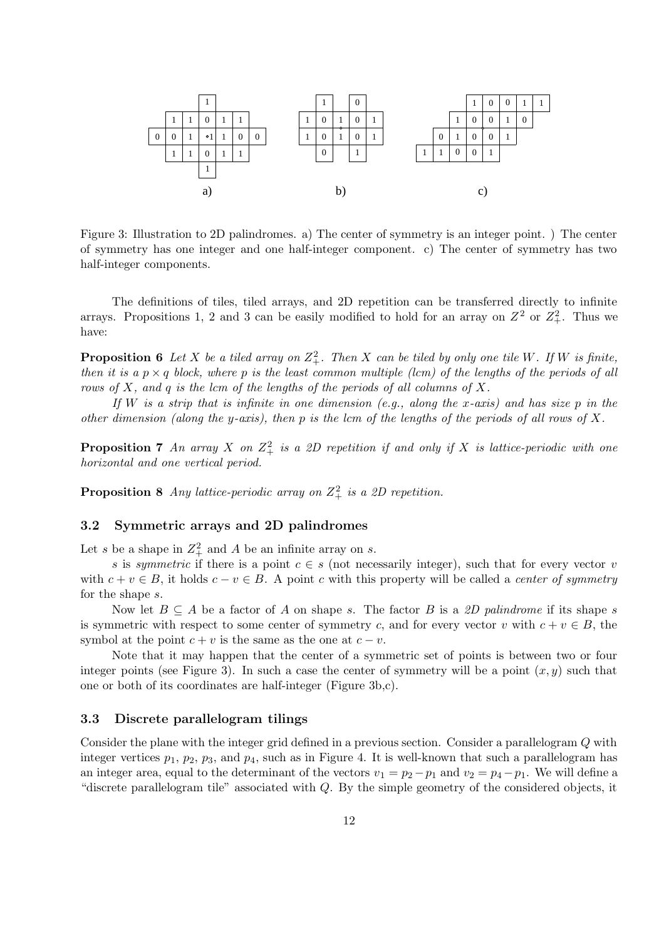

Figure 3: Illustration to 2D palindromes. a) The center of symmetry is an integer point. ) The center of symmetry has one integer and one half-integer component. c) The center of symmetry has two half-integer components.

The definitions of tiles, tiled arrays, and 2D repetition can be transferred directly to infinite arrays. Propositions 1, 2 and 3 can be easily modified to hold for an array on  $Z^2$  or  $Z^2_+$ . Thus we have:

**Proposition 6** Let X be a tiled array on  $Z^2_+$ . Then X can be tiled by only one tile W. If W is finite, then it is a  $p \times q$  block, where p is the least common multiple (lcm) of the lengths of the periods of all rows of  $X$ , and  $q$  is the lcm of the lengths of the periods of all columns of  $X$ .

If W is a strip that is infinite in one dimension (e.g., along the x-axis) and has size p in the other dimension (along the y-axis), then p is the lcm of the lengths of the periods of all rows of X.

**Proposition 7** An array X on  $Z^2_+$  is a 2D repetition if and only if X is lattice-periodic with one horizontal and one vertical period.

**Proposition 8** Any lattice-periodic array on  $Z_+^2$  is a 2D repetition.

# 3.2 Symmetric arrays and 2D palindromes

Let s be a shape in  $Z_+^2$  and A be an infinite array on s.

s is symmetric if there is a point  $c \in s$  (not necessarily integer), such that for every vector v with  $c + v \in B$ , it holds  $c - v \in B$ . A point c with this property will be called a *center of symmetry* for the shape s.

Now let  $B \subseteq A$  be a factor of A on shape s. The factor B is a 2D palindrome if its shape s is symmetric with respect to some center of symmetry c, and for every vector v with  $c + v \in B$ , the symbol at the point  $c + v$  is the same as the one at  $c - v$ .

Note that it may happen that the center of a symmetric set of points is between two or four integer points (see Figure 3). In such a case the center of symmetry will be a point  $(x, y)$  such that one or both of its coordinates are half-integer (Figure 3b,c).

### 3.3 Discrete parallelogram tilings

Consider the plane with the integer grid defined in a previous section. Consider a parallelogram Q with integer vertices  $p_1$ ,  $p_2$ ,  $p_3$ , and  $p_4$ , such as in Figure 4. It is well-known that such a parallelogram has an integer area, equal to the determinant of the vectors  $v_1 = p_2 - p_1$  and  $v_2 = p_4 - p_1$ . We will define a "discrete parallelogram tile" associated with Q. By the simple geometry of the considered objects, it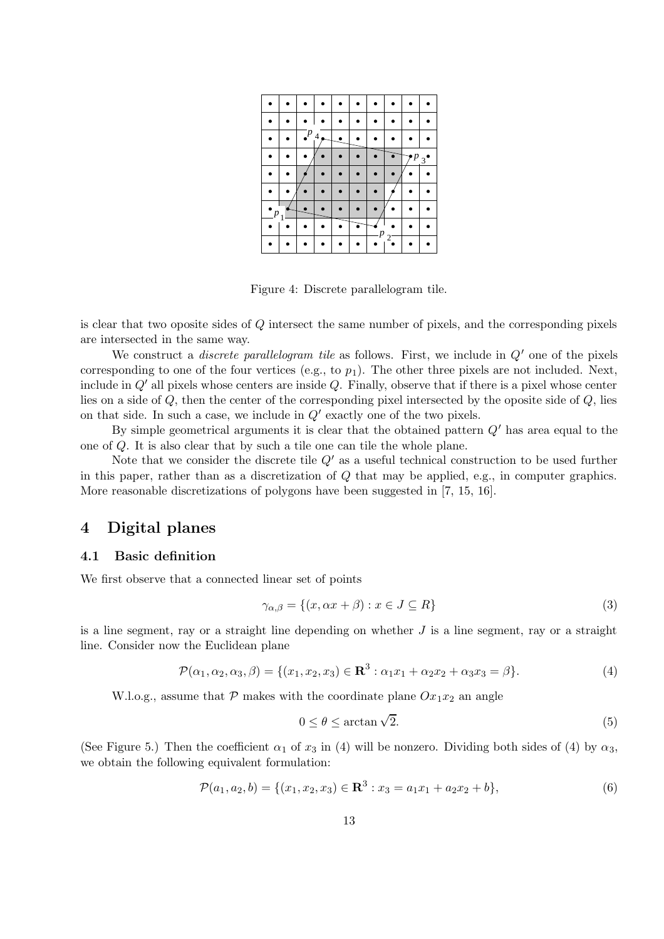|  | $\cdot^p$ | $\overline{4}$ |  |   |                       |                  |                |
|--|-----------|----------------|--|---|-----------------------|------------------|----------------|
|  |           |                |  |   |                       | $\boldsymbol{p}$ | $\mathfrak{Z}$ |
|  |           |                |  |   |                       |                  |                |
|  |           |                |  |   |                       |                  |                |
|  |           |                |  |   |                       |                  |                |
|  |           |                |  | n |                       |                  |                |
|  |           |                |  |   | $\gamma$ <sup>-</sup> |                  |                |

Figure 4: Discrete parallelogram tile.

is clear that two oposite sides of Q intersect the same number of pixels, and the corresponding pixels are intersected in the same way.

We construct a *discrete parallelogram tile* as follows. First, we include in  $Q'$  one of the pixels corresponding to one of the four vertices (e.g., to  $p_1$ ). The other three pixels are not included. Next, include in  $Q'$  all pixels whose centers are inside  $Q$ . Finally, observe that if there is a pixel whose center lies on a side of  $Q$ , then the center of the corresponding pixel intersected by the oposite side of  $Q$ , lies on that side. In such a case, we include in  $Q'$  exactly one of the two pixels.

By simple geometrical arguments it is clear that the obtained pattern  $Q'$  has area equal to the one of Q. It is also clear that by such a tile one can tile the whole plane.

Note that we consider the discrete tile  $Q'$  as a useful technical construction to be used further in this paper, rather than as a discretization of Q that may be applied, e.g., in computer graphics. More reasonable discretizations of polygons have been suggested in [7, 15, 16].

# 4 Digital planes

#### 4.1 Basic definition

We first observe that a connected linear set of points

$$
\gamma_{\alpha,\beta} = \{(x, \alpha x + \beta) : x \in J \subseteq R\}
$$
\n(3)

is a line segment, ray or a straight line depending on whether  $J$  is a line segment, ray or a straight line. Consider now the Euclidean plane

$$
\mathcal{P}(\alpha_1, \alpha_2, \alpha_3, \beta) = \{ (x_1, x_2, x_3) \in \mathbf{R}^3 : \alpha_1 x_1 + \alpha_2 x_2 + \alpha_3 x_3 = \beta \}. \tag{4}
$$

W.l.o.g., assume that  $P$  makes with the coordinate plane  $Ox_1x_2$  an angle

$$
0 \le \theta \le \arctan\sqrt{2}.\tag{5}
$$

(See Figure 5.) Then the coefficient  $\alpha_1$  of  $x_3$  in (4) will be nonzero. Dividing both sides of (4) by  $\alpha_3$ , we obtain the following equivalent formulation:

$$
\mathcal{P}(a_1, a_2, b) = \{ (x_1, x_2, x_3) \in \mathbf{R}^3 : x_3 = a_1 x_1 + a_2 x_2 + b \},\tag{6}
$$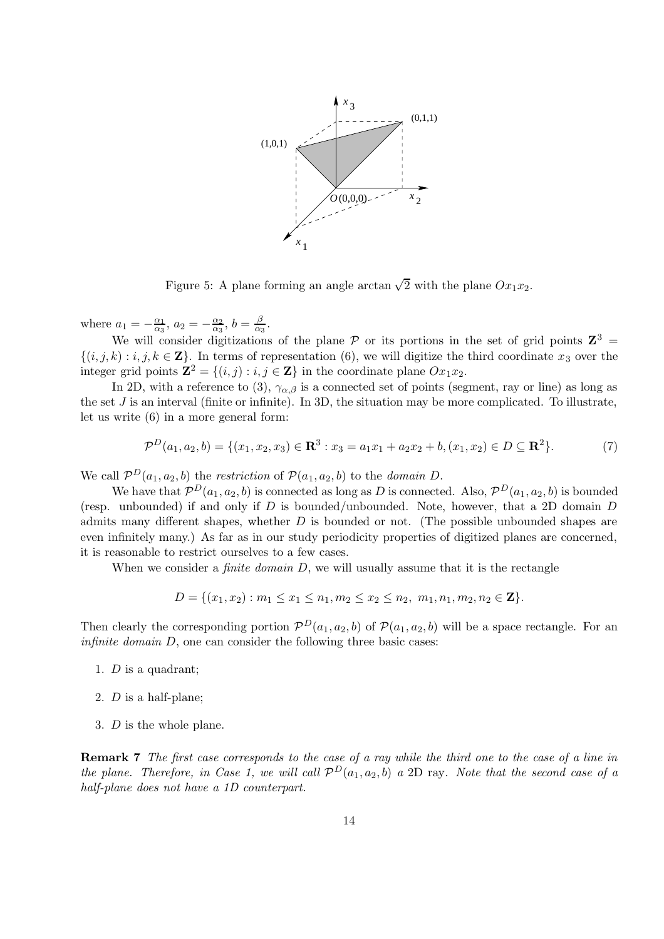

Figure 5: A plane forming an angle arctan  $\sqrt{2}$  with the plane  $Ox_1x_2$ .

where  $a_1 = -\frac{\alpha_1}{\alpha_3}$  $\frac{\alpha_1}{\alpha_3},\ a_2=-\frac{\alpha_2}{\alpha_3}$  $\frac{\alpha_2}{\alpha_3},\,b=\frac{\beta}{\alpha_3}$  $\frac{\rho}{\alpha_3}$ .

We will consider digitizations of the plane  $P$  or its portions in the set of grid points  $\mathbb{Z}^3$  $\{(i, j, k) : i, j, k \in \mathbb{Z}\}\.$  In terms of representation (6), we will digitize the third coordinate  $x_3$  over the integer grid points  $\mathbf{Z}^2 = \{(i, j) : i, j \in \mathbf{Z}\}\$ in the coordinate plane  $Ox_1x_2$ .

In 2D, with a reference to (3),  $\gamma_{\alpha,\beta}$  is a connected set of points (segment, ray or line) as long as the set  $J$  is an interval (finite or infinite). In 3D, the situation may be more complicated. To illustrate, let us write (6) in a more general form:

$$
\mathcal{P}^{D}(a_1, a_2, b) = \{ (x_1, x_2, x_3) \in \mathbf{R}^3 : x_3 = a_1 x_1 + a_2 x_2 + b, (x_1, x_2) \in D \subseteq \mathbf{R}^2 \}. \tag{7}
$$

We call  $\mathcal{P}^D(a_1, a_2, b)$  the restriction of  $\mathcal{P}(a_1, a_2, b)$  to the domain D.

We have that  $\mathcal{P}^D(a_1, a_2, b)$  is connected as long as D is connected. Also,  $\mathcal{P}^D(a_1, a_2, b)$  is bounded (resp. unbounded) if and only if  $D$  is bounded/unbounded. Note, however, that a 2D domain  $D$ admits many different shapes, whether  $D$  is bounded or not. (The possible unbounded shapes are even infinitely many.) As far as in our study periodicity properties of digitized planes are concerned, it is reasonable to restrict ourselves to a few cases.

When we consider a *finite domain*  $D$ , we will usually assume that it is the rectangle

$$
D = \{(x_1, x_2) : m_1 \le x_1 \le n_1, m_2 \le x_2 \le n_2, m_1, n_1, m_2, n_2 \in \mathbf{Z}\}.
$$

Then clearly the corresponding portion  $\mathcal{P}^D(a_1, a_2, b)$  of  $\mathcal{P}(a_1, a_2, b)$  will be a space rectangle. For an *infinite domain*  $D$ , one can consider the following three basic cases:

- 1. D is a quadrant;
- 2. D is a half-plane;
- 3. D is the whole plane.

Remark 7 The first case corresponds to the case of a ray while the third one to the case of a line in the plane. Therefore, in Case 1, we will call  $\mathcal{P}^D(a_1, a_2, b)$  a 2D ray. Note that the second case of a half-plane does not have a 1D counterpart.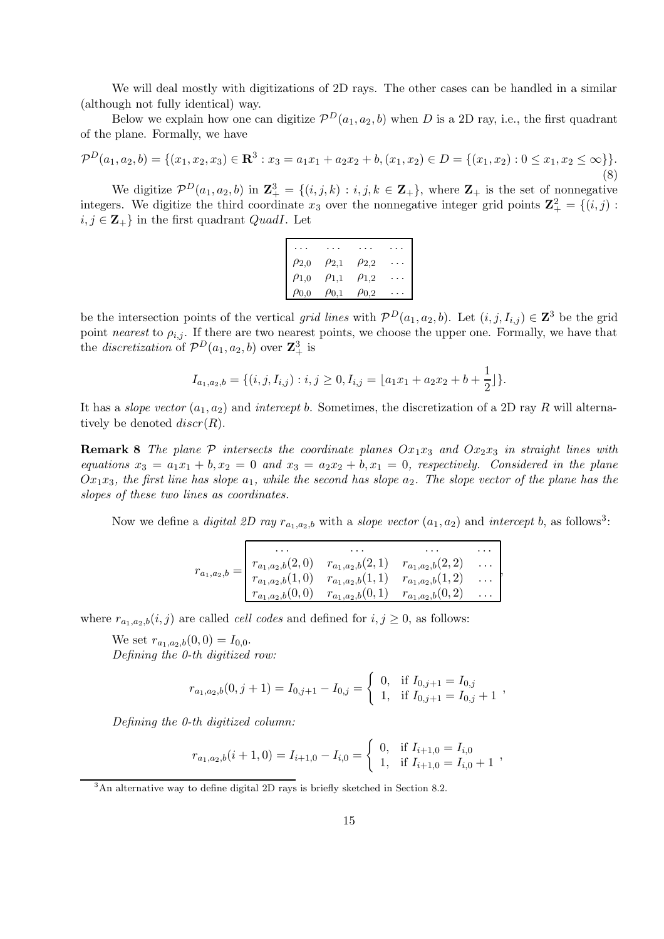We will deal mostly with digitizations of 2D rays. The other cases can be handled in a similar (although not fully identical) way.

Below we explain how one can digitize  $\mathcal{P}^D(a_1, a_2, b)$  when D is a 2D ray, i.e., the first quadrant of the plane. Formally, we have

$$
\mathcal{P}^{D}(a_1, a_2, b) = \{(x_1, x_2, x_3) \in \mathbf{R}^3 : x_3 = a_1 x_1 + a_2 x_2 + b, (x_1, x_2) \in D = \{(x_1, x_2) : 0 \le x_1, x_2 \le \infty\}\}.
$$
\n(8)

We digitize  $\mathcal{P}^D(a_1, a_2, b)$  in  $\mathbf{Z}_{+}^3 = \{(i, j, k) : i, j, k \in \mathbf{Z}_{+}\}$ , where  $\mathbf{Z}_{+}$  is the set of nonnegative integers. We digitize the third coordinate  $x_3$  over the nonnegative integer grid points  $\mathbf{Z}_{+}^2 = \{(i,j):$  $i, j \in \mathbb{Z}_+$  in the first quadrant *QuadI*. Let

| $\rho_{2,0}$ | $\rho_{2,1}$ | $\rho_{2,2}$ |  |
|--------------|--------------|--------------|--|
| $\rho_{1,0}$ | $\rho_{1,1}$ | $\rho_{1,2}$ |  |
| $\rho_{0,0}$ | $\rho_{0,1}$ | $\rho_{0,2}$ |  |

be the intersection points of the vertical grid lines with  $\mathcal{P}^D(a_1, a_2, b)$ . Let  $(i, j, I_{i,j}) \in \mathbb{Z}^3$  be the grid point nearest to  $\rho_{i,j}$ . If there are two nearest points, we choose the upper one. Formally, we have that the *discretization* of  $\mathcal{P}^D(a_1, a_2, b)$  over  $\mathbb{Z}_+^3$  is

$$
I_{a_1,a_2,b} = \{(i,j,I_{i,j}) : i,j \ge 0, I_{i,j} = \lfloor a_1x_1 + a_2x_2 + b + \frac{1}{2} \rfloor \}.
$$

It has a *slope vector*  $(a_1, a_2)$  and *intercept b.* Sometimes, the discretization of a 2D ray R will alternatively be denoted  $discr(R)$ .

**Remark 8** The plane  $\mathcal{P}$  intersects the coordinate planes  $Ox_1x_3$  and  $Ox_2x_3$  in straight lines with equations  $x_3 = a_1x_1 + b$ ,  $x_2 = 0$  and  $x_3 = a_2x_2 + b$ ,  $x_1 = 0$ , respectively. Considered in the plane  $Ox_1x_3$ , the first line has slope  $a_1$ , while the second has slope  $a_2$ . The slope vector of the plane has the slopes of these two lines as coordinates.

Now we define a *digital 2D ray*  $r_{a_1,a_2,b}$  with a *slope vector*  $(a_1, a_2)$  and *intercept* b, as follows<sup>3</sup>:

$$
r_{a_1,a_2,b} = \begin{vmatrix} \cdots & \cdots & \cdots & \cdots \\ r_{a_1,a_2,b}(2,0) & r_{a_1,a_2,b}(2,1) & r_{a_1,a_2,b}(2,2) & \cdots \\ r_{a_1,a_2,b}(1,0) & r_{a_1,a_2,b}(1,1) & r_{a_1,a_2,b}(1,2) & \cdots \\ r_{a_1,a_2,b}(0,0) & r_{a_1,a_2,b}(0,1) & r_{a_1,a_2,b}(0,2) & \cdots \end{vmatrix},
$$

where  $r_{a_1,a_2,b}(i, j)$  are called *cell codes* and defined for  $i, j \geq 0$ , as follows:

We set  $r_{a_1,a_2,b}(0,0) = I_{0,0}.$ Defining the 0-th digitized row:

$$
r_{a_1,a_2,b}(0,j+1) = I_{0,j+1} - I_{0,j} = \begin{cases} 0, & \text{if } I_{0,j+1} = I_{0,j} \\ 1, & \text{if } I_{0,j+1} = I_{0,j} + 1 \end{cases}
$$

Defining the 0-th digitized column:

$$
r_{a_1,a_2,b}(i+1,0) = I_{i+1,0} - I_{i,0} = \begin{cases} 0, & \text{if } I_{i+1,0} = I_{i,0} \\ 1, & \text{if } I_{i+1,0} = I_{i,0} + 1 \end{cases}
$$

<sup>&</sup>lt;sup>3</sup>An alternative way to define digital 2D rays is briefly sketched in Section 8.2.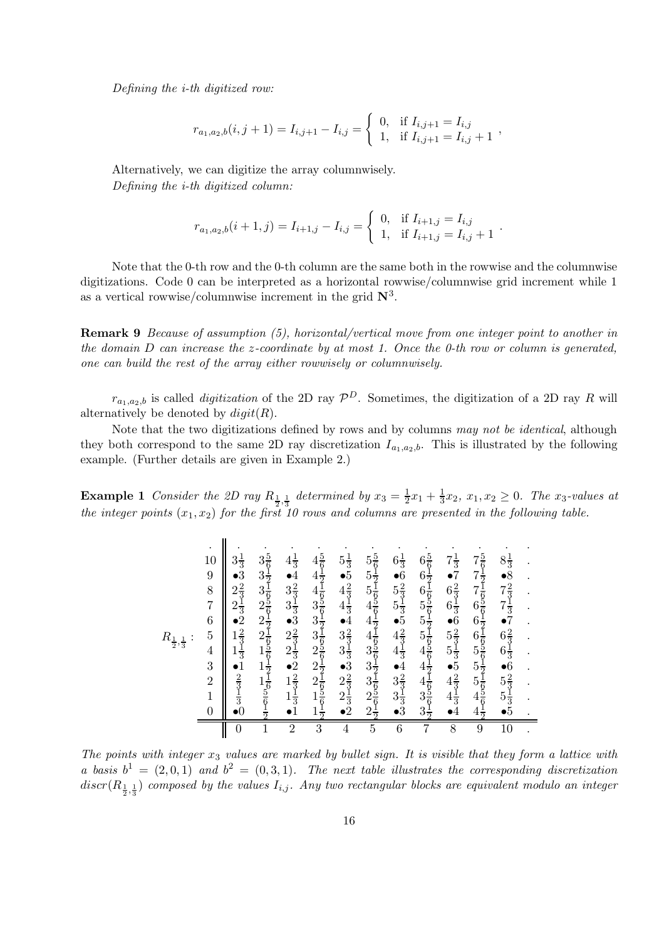Defining the i-th digitized row:

$$
r_{a_1,a_2,b}(i,j+1) = I_{i,j+1} - I_{i,j} = \begin{cases} 0, & \text{if } I_{i,j+1} = I_{i,j} \\ 1, & \text{if } I_{i,j+1} = I_{i,j} + 1 \end{cases}
$$

Alternatively, we can digitize the array columnwisely. Defining the i-th digitized column:

$$
r_{a_1,a_2,b}(i+1,j) = I_{i+1,j} - I_{i,j} = \begin{cases} 0, & \text{if } I_{i+1,j} = I_{i,j} \\ 1, & \text{if } I_{i+1,j} = I_{i,j} + 1 \end{cases}
$$

.

Note that the 0-th row and the 0-th column are the same both in the rowwise and the columnwise digitizations. Code 0 can be interpreted as a horizontal rowwise/columnwise grid increment while 1 as a vertical rowwise/columnwise increment in the grid  $\mathbb{N}^3$ .

Remark 9 Because of assumption (5), horizontal/vertical move from one integer point to another in the domain  $D$  can increase the z-coordinate by at most 1. Once the 0-th row or column is generated, one can build the rest of the array either rowwisely or columnwisely.

 $r_{a_1,a_2,b}$  is called *digitization* of the 2D ray  $\mathcal{P}^D$ . Sometimes, the digitization of a 2D ray R will alternatively be denoted by  $digit(R)$ .

Note that the two digitizations defined by rows and by columns may not be identical, although they both correspond to the same 2D ray discretization  $I_{a_1,a_2,b}$ . This is illustrated by the following example. (Further details are given in Example 2.)

**Example 1** Consider the 2D ray  $R_{\frac{1}{2},\frac{1}{3}}$  determined by  $x_3 = \frac{1}{2}$  $\frac{1}{2}x_1 + \frac{1}{3}$  $\frac{1}{3}x_2, x_1, x_2 \geq 0$ . The  $x_3$ -values at the integer points  $(x_1, x_2)$  for the first 10 rows and columns are presented in the following table.

| $R_{\frac{1}{2}}$<br>$,\frac{1}{3}$ | 10<br>$\begin{array}{c} 9 \\ 8 \\ 7 \end{array}$<br>$\frac{6}{5}$<br>$\begin{array}{c} 4 \\ 3 \\ 2 \\ 1 \end{array}$<br>$\overline{0}$ | $3\frac{1}{3}$<br>$\bullet 3$<br>$2\frac{2}{3}$<br>$\frac{1}{3}$<br>$\frac{1}{3}$<br>$\frac{2}{3}$<br>$\frac{2}{3}$<br>$\frac{1}{3}$<br>$\frac{1}{3}$<br>$\frac{2}{3}$<br>$\frac{2}{3}$<br>$\frac{2}{3}$<br>$\frac{2}{3}$<br>$\frac{2}{3}$<br>$\frac{2}{3}$<br>$\frac{2}{3}$<br><br><br><br><br><br><br><br><br><br><br><br> | $3 \frac{3}{2} \frac{1}{2} \frac{1}{1} \frac{6}{6} \frac{5}{2} \frac{1}{6} \frac{1}{2} \frac{1}{1} \frac{1}{6} \frac{5}{2} \frac{1}{6} \frac{1}{2} \frac{1}{2} \frac{1}{1} \frac{1}{6} \frac{5}{2} \frac{1}{6} \frac{1}{2} \frac{1}{2}$ | $4\frac{1}{3}$ $\bullet$ 3 3 3 $\frac{2}{3}$ $\frac{1}{3}$ 3 3 $\frac{2}{3}$ $\frac{2}{3}$ $\frac{2}{3}$ $\frac{2}{3}$ $\frac{2}{3}$ $\frac{2}{3}$ $\frac{2}{3}$ $\frac{2}{3}$ $\frac{2}{3}$ $\frac{2}{3}$ $\frac{2}{3}$ $\bullet$ $1$ | $44443$<br>$333322$<br>$2221$<br>$11$ | 5 $\bullet$ 4 $4$ $\bullet$ $3\overline{3}$ $\frac{1}{3}$ $\overline{3}$ $\frac{3}{3}$ $\frac{1}{3}$ $\overline{3}$ $\frac{2}{3}$ $\overline{3}$ $\frac{2}{3}$ $\overline{3}$ $\frac{2}{3}$ $\overline{3}$ $\overline{2}$ $\bullet$ 2 | $5\,5\,5\,4\,4\,4\,3\,3\,3\,2\,2$ | $6\frac{1}{3}$ $6\frac{2}{3}$ $\frac{1}{3}$ $\frac{1}{3}$ $5\frac{2}{3}$ $\frac{3}{4}$ $\frac{2}{3}$ $\frac{3}{4}$ $\frac{2}{3}$ $\frac{3}{3}$ $\frac{3}{3}$ | $6\frac{5}{6}$<br>$\frac{1}{2}$<br>$\frac{1}{6}$<br>$\frac{5}{6}$<br>$\frac{1}{6}$<br>$\frac{1}{2}$<br>$\frac{1}{6}$<br>$\frac{1}{6}$<br>$\frac{1}{6}$<br>$\frac{1}{6}$<br>$\frac{1}{6}$<br>$\frac{1}{6}$<br>$\frac{1}{6}$<br>$\frac{1}{6}$<br>$\frac{1}{6}$<br><br>$\frac{1}{6}$<br><br>$\frac{1}{6}$<br><br><br><br><br><br><br><br><br><br><br><br><br><br><br><br><br><br><br> |   | $\begin{array}{c} 7 & 7 & 7 & 6 & 6 & 6 & 5 & 5 & 5 & 4 & 4 \\ 7 & 7 & 6 & 6 & 6 & 5 & 5 & 5 & 4 & 4 \\ \end{array}$ | $8\degree$ $8\frac{2}{3}$ $\frac{1}{3}$ $\frac{1}{3}$ $\frac{7}{2}$ $\frac{2}{3}$ $\frac{2}{3}$ $\frac{1}{3}$ $\frac{2}{3}$ $\frac{2}{3}$ $\frac{1}{3}$ $\frac{2}{3}$ $\frac{2}{3}$ $\frac{3}{3}$ $\frac{1}{3}$ $\frac{3}{5}$ |  |
|-------------------------------------|----------------------------------------------------------------------------------------------------------------------------------------|------------------------------------------------------------------------------------------------------------------------------------------------------------------------------------------------------------------------------------------------------------------------------------------------------------------------------|-----------------------------------------------------------------------------------------------------------------------------------------------------------------------------------------------------------------------------------------|----------------------------------------------------------------------------------------------------------------------------------------------------------------------------------------------------------------------------------------|---------------------------------------|---------------------------------------------------------------------------------------------------------------------------------------------------------------------------------------------------------------------------------------|-----------------------------------|--------------------------------------------------------------------------------------------------------------------------------------------------------------|------------------------------------------------------------------------------------------------------------------------------------------------------------------------------------------------------------------------------------------------------------------------------------------------------------------------------------------------------------------------------------|---|----------------------------------------------------------------------------------------------------------------------|-------------------------------------------------------------------------------------------------------------------------------------------------------------------------------------------------------------------------------|--|
|                                     |                                                                                                                                        | $\overline{0}$                                                                                                                                                                                                                                                                                                               | 1                                                                                                                                                                                                                                       | $\overline{2}$                                                                                                                                                                                                                         | 3                                     | 4                                                                                                                                                                                                                                     | $\overline{5}$                    | 6                                                                                                                                                            | 7                                                                                                                                                                                                                                                                                                                                                                                  | 8 | 9                                                                                                                    | 10                                                                                                                                                                                                                            |  |

The points with integer  $x_3$  values are marked by bullet sign. It is visible that they form a lattice with a basis  $b^1 = (2, 0, 1)$  and  $b^2 = (0, 3, 1)$ . The next table illustrates the corresponding discretization  $discr(R_{\frac{1}{2},\frac{1}{3}})$  composed by the values  $I_{i,j}$ . Any two rectangular blocks are equivalent modulo an integer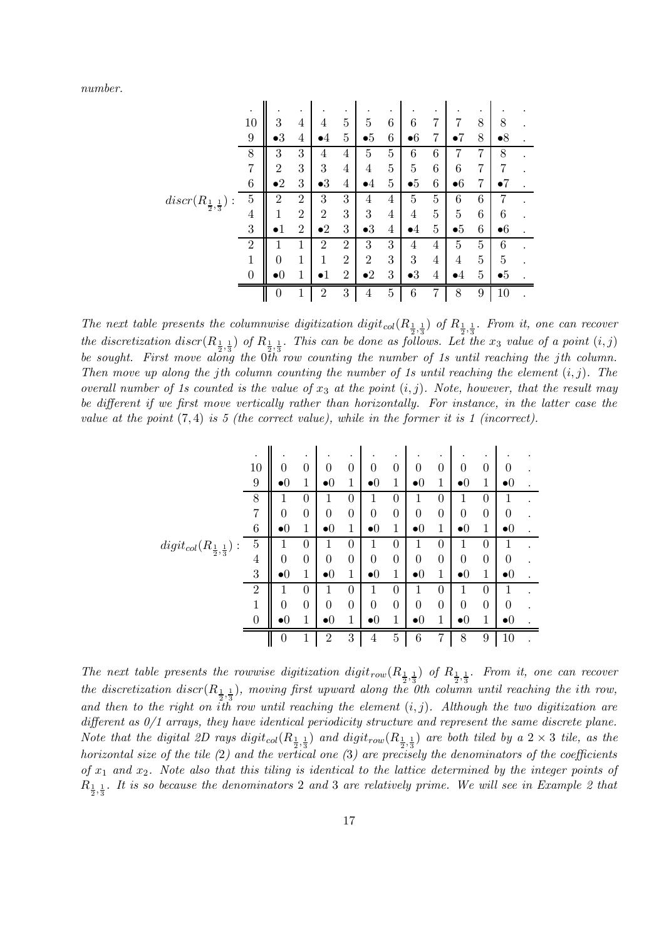number.

|                                      |                |                | $\bullet$      |                |                |                |                |             |   |                |                |                |  |
|--------------------------------------|----------------|----------------|----------------|----------------|----------------|----------------|----------------|-------------|---|----------------|----------------|----------------|--|
|                                      | 10             | 3              | 4              | 4              | 5              | 5              | 6              | 6           | 7 | 7              | 8              | 8              |  |
|                                      | 9              | $\bullet 3$    | 4              | $\bullet 4$    | 5              | •5             | 6              | $\bullet$ 6 | 7 | $\bullet 7$    | 8              | $\bullet 8$    |  |
|                                      | 8              | 3              | 3              | 4              | 4              | 5              | 5              | 6           | 6 | 7              | 7              | 8              |  |
|                                      | 7              | $\overline{2}$ | 3              | 3              | 4              | 4              | $\overline{5}$ | 5           | 6 | 6              | 7              | 7              |  |
|                                      | 6              | $\mathbf{P}2$  | 3              | $\bullet 3$    | 4              | $\bullet 4$    | $\overline{5}$ | $\bullet 5$ | 6 | $\bullet 6$    | 7              | $\bullet 7$    |  |
| $discr(R_{\frac{1}{2},\frac{1}{3}})$ | $\overline{5}$ | $\overline{2}$ | $\overline{2}$ | 3              | 3              | 4              | 4              | 5           | 5 | 6              | 6              | 7              |  |
|                                      | 4              | 1              | $\overline{2}$ | $\overline{2}$ | 3              | 3              | 4              | 4           | 5 | 5              | 6              | 6              |  |
|                                      | 3              |                | $\overline{2}$ | $\bullet 2$    | 3              | $\bullet 3$    | 4              | $\bullet 4$ | 5 | •5             | 6              | $\bullet 6$    |  |
|                                      | $\overline{2}$ |                | 1              | $\overline{2}$ | $\overline{2}$ | 3              | 3              | 4           | 4 | $\overline{5}$ | $\overline{5}$ | 6              |  |
|                                      | $\mathbf 1$    | 0              | 1              | 1              | $\overline{2}$ | $\overline{2}$ | 3              | 3           | 4 | 4              | $\overline{5}$ | $\overline{5}$ |  |
|                                      | $\overline{0}$ | •0             | 1              | $\bullet 1$    | $\overline{2}$ | $\bullet 2$    | 3              | $\bullet 3$ | 4 | $\bullet 4$    | $\overline{5}$ | $\bullet 5$    |  |
|                                      |                | $\theta$       | 1              | $\overline{2}$ | 3              | 4              | $\overline{5}$ | 6           | 7 | 8              | 9              | 10             |  |

The next table presents the columnwise digitization digit<sub>col</sub>( $R_{\frac{1}{2},\frac{1}{3}}$ ) of  $R_{\frac{1}{2},\frac{1}{3}}$ . From it, one can recover the discretization discr $(R_{\frac{1}{2},\frac{1}{3}})$  of  $R_{\frac{1}{2},\frac{1}{3}}$ . This can be done as follows. Let the  $x_3$  value of a point  $(i,j)$ be sought. First move along the 0th row counting the number of 1s until reaching the jth column. Then move up along the jth column counting the number of 1s until reaching the element  $(i, j)$ . The overall number of 1s counted is the value of  $x_3$  at the point  $(i, j)$ . Note, however, that the result may be different if we first move vertically rather than horizontally. For instance, in the latter case the value at the point  $(7, 4)$  is 5 (the correct value), while in the former it is 1 (incorrect).

|                                              |                |                    | ٠                |                        |                |                        |                |                        |                  |                        |                |                        |  |
|----------------------------------------------|----------------|--------------------|------------------|------------------------|----------------|------------------------|----------------|------------------------|------------------|------------------------|----------------|------------------------|--|
|                                              | 10             | 0                  | $\boldsymbol{0}$ | 0                      | $\overline{0}$ | $\theta$               | $\overline{0}$ | $\overline{0}$         | $\overline{0}$   | $\boldsymbol{0}$       | $\overline{0}$ | $\theta$               |  |
|                                              | 9              | $\bullet 0$        | 1                | $\bullet$ <sup>0</sup> | 1              | $\bullet$ <sup>0</sup> | 1              | $\bullet$ <sup>0</sup> | 1                | $\bullet$ 0            | 1              | $\bullet$ 0            |  |
|                                              | 8              | 1                  | $\theta$         | 1                      | $\theta$       | 1                      | $\theta$       | 1                      | 0                | 1                      | $\theta$       | 1                      |  |
|                                              | $\overline{7}$ | 0                  | $\boldsymbol{0}$ | 0                      | $\overline{0}$ | $\boldsymbol{0}$       | $\theta$       | $\overline{0}$         | $\boldsymbol{0}$ | $\overline{0}$         | $\theta$       | $\boldsymbol{0}$       |  |
|                                              | 6              | $\bullet$ $\theta$ | $\mathbf{1}$     | $\bullet$ 0            | 1              | $\bullet$ <sup>0</sup> | 1              | $\bullet$ <sup>0</sup> | 1                | $\bullet$ <sup>0</sup> | $\mathbf 1$    | $\bullet$ 0            |  |
| $digit_{col}(R_{\frac{1}{2},\frac{1}{3}})$ : | $\overline{5}$ | 1                  | $\boldsymbol{0}$ | 1                      | $\overline{0}$ | 1                      | $\theta$       | 1                      | 0                | 1                      | $\overline{0}$ | 1                      |  |
|                                              | 4              | $\overline{0}$     | $\theta$         | $\overline{0}$         | $\overline{0}$ | $\overline{0}$         | $\overline{0}$ | $\overline{0}$         | $\overline{0}$   | $\overline{0}$         | $\overline{0}$ | $\theta$               |  |
|                                              | 3              | $\bullet 0$        | 1                | $\bullet$ 0            | 1              | $\bullet$ <sup>0</sup> | 1              | $\bullet$ <sup>0</sup> | 1                | $\bullet$ 0            | $\mathbf{1}$   | $\bullet$ 0            |  |
|                                              | $\overline{2}$ | 1                  | $\theta$         | 1                      | $\theta$       | 1                      | $\Omega$       | 1                      | $\theta$         | 1                      | $\Omega$       |                        |  |
|                                              | $\mathbf{1}$   | 0                  | $\boldsymbol{0}$ | $\overline{0}$         | $\overline{0}$ | $\boldsymbol{0}$       | $\theta$       | $\overline{0}$         | $\boldsymbol{0}$ | $\overline{0}$         | $\overline{0}$ | $\theta$               |  |
|                                              | $\overline{0}$ | $\bullet$ $\theta$ | 1                | $\bullet$ <sup>0</sup> | 1              | $\bullet$ <sup>0</sup> | 1              | $\bullet$ <sup>0</sup> | 1                | $\bullet$ 0            | $\mathbf{1}$   | $\bullet$ <sup>0</sup> |  |
|                                              |                | $\boldsymbol{0}$   | 1                | $\overline{2}$         | $\sqrt{3}$     | 4                      | $\overline{5}$ | $\boldsymbol{6}$       | 7                | 8                      | 9              | 10                     |  |

The next table presents the rowwise digitization digit<sub>row</sub>( $R_{\frac{1}{2},\frac{1}{3}}$ ) of  $R_{\frac{1}{2},\frac{1}{3}}$ . From it, one can recover the discretization discr $(R_{\frac{1}{2},\frac{1}{3}})$ , moving first upward along the 0th column until reaching the ith row, and then to the right on ith row until reaching the element  $(i, j)$ . Although the two digitization are different as  $0/1$  arrays, they have identical periodicity structure and represent the same discrete plane. Note that the digital 2D rays  $disit_{col}(R_{\frac{1}{2},\frac{1}{3}})$  and  $disit_{row}(R_{\frac{1}{2},\frac{1}{3}})$  are both tiled by a  $2\times 3$  tile, as the horizontal size of the tile (2) and the vertical one (3) are precisely the denominators of the coefficients of  $x_1$  and  $x_2$ . Note also that this tiling is identical to the lattice determined by the integer points of  $R_{\frac{1}{2},\frac{1}{3}}$ . It is so because the denominators 2 and 3 are relatively prime. We will see in Example 2 that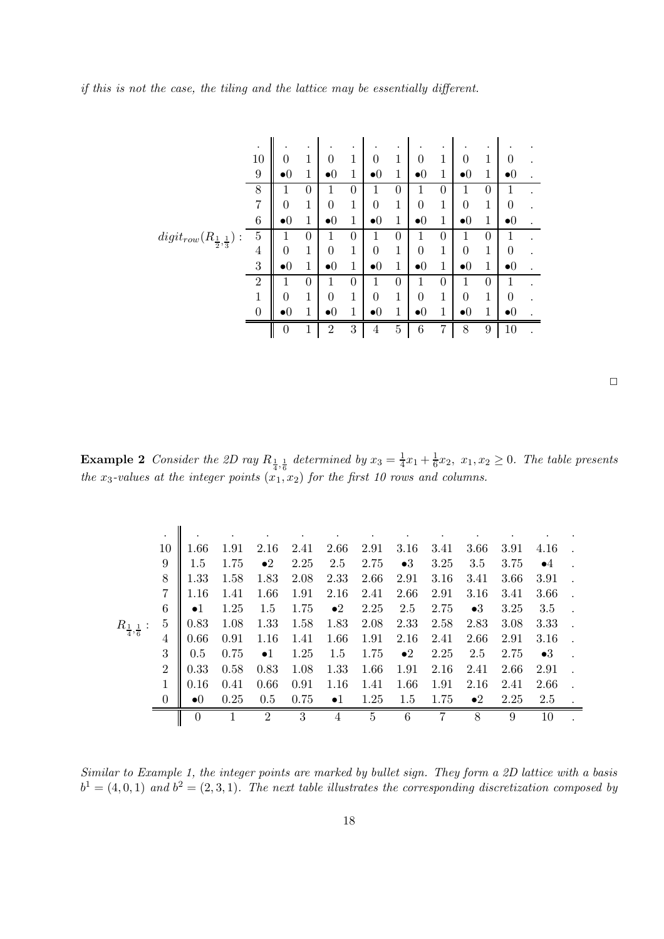if this is not the case, the tiling and the lattice may be essentially different.

|                                                             | $\bullet$        |                | $\bullet$        |                  | ٠                |                        | ٠                |                        | $\bullet$   |                |                  |                        |  |
|-------------------------------------------------------------|------------------|----------------|------------------|------------------|------------------|------------------------|------------------|------------------------|-------------|----------------|------------------|------------------------|--|
|                                                             | 10               | 0              | 1                | 0                | $\mathbf 1$      | 0                      | $\mathbf{1}$     | $\theta$               | 1           | 0              | 1                | 0                      |  |
|                                                             | 9                | •0             | 1                | $\bullet 0$      | 1                | $\bullet$ 0            | 1                | $\bullet$ 0            | 1           | $\bullet$ 0    | 1                | $\bullet$ $\theta$     |  |
|                                                             | 8                | 1              | $\boldsymbol{0}$ | 1                | $\boldsymbol{0}$ | 1                      | $\boldsymbol{0}$ | 1                      | 0           | 1              | $\theta$         | 1                      |  |
|                                                             | $\overline{7}$   | 0              | 1                | $\overline{0}$   | 1                | $\overline{0}$         | 1                | $\theta$               | $\mathbf 1$ | $\overline{0}$ | 1                | 0                      |  |
|                                                             | 6                | $\bullet 0$    | 1                | $\bullet$ 0      | 1                | $\bullet$ <sup>0</sup> | 1                | $\bullet$ 0            | 1           | $\bullet$ 0    | 1                | $\bullet$ <sup>0</sup> |  |
| $\operatorname{digit_{row}}(R_{\frac{1}{2},\frac{1}{3}})$ : | $\overline{5}$   | 1              | 0                | 1                | $\overline{0}$   | 1                      | $\overline{0}$   | 1                      | 0           | 1              | $\theta$         | 1                      |  |
|                                                             | 4                | $\overline{0}$ | 1                | $\boldsymbol{0}$ | $\mathbf 1$      | $\overline{0}$         | 1                | $\boldsymbol{0}$       | 1           | 0              | 1                | 0                      |  |
|                                                             | 3                | $\bullet 0$    | 1                | $\bullet 0$      | $\mathbf{1}$     | $\bullet$ <sup>0</sup> | 1                | $\bullet$ 0            | 1           | $\bullet$ 0    | 1                | $\bullet$ <sup>0</sup> |  |
|                                                             | $\overline{2}$   | 1              | $\boldsymbol{0}$ | 1                | $\boldsymbol{0}$ | 1                      | $\boldsymbol{0}$ |                        | 0           | 1              | $\boldsymbol{0}$ | 1                      |  |
|                                                             | 1                | $\theta$       | 1                | $\theta$         | 1                | $\boldsymbol{0}$       | 1                | $\overline{0}$         | 1           | $\overline{0}$ | 1                | 0                      |  |
|                                                             | $\boldsymbol{0}$ | •0             | 1                | $\bullet$ 0      | 1                | $\bullet$ <sup>0</sup> | 1                | $\bullet$ <sup>0</sup> | 1           | $\bullet$ 0    | 1                | $\bullet$ $\theta$     |  |
|                                                             |                  | $\overline{0}$ | 1                | $\overline{2}$   | 3                | $\overline{4}$         | $\bf 5$          | 6                      | 7           | 8              | 9                | 10                     |  |

 $\Box$ 

**Example 2** Consider the 2D ray  $R_{\frac{1}{4},\frac{1}{6}}$  determined by  $x_3 = \frac{1}{4}$  $\frac{1}{4}x_1 + \frac{1}{6}$  $\frac{1}{6}x_2$ ,  $x_1, x_2 \geq 0$ . The table presents the  $x_3$ -values at the integer points  $(x_1, x_2)$  for the first 10 rows and columns.

| ٠              |             |      |                |      |             |      |             |      |             |      |             |  |
|----------------|-------------|------|----------------|------|-------------|------|-------------|------|-------------|------|-------------|--|
| 10             | 1.66        | 1.91 | 2.16           | 2.41 | 2.66        | 2.91 | 3.16        | 3.41 | 3.66        | 3.91 | 4.16        |  |
| 9              | $1.5\,$     | 1.75 | $\bullet 2$    | 2.25 | 2.5         | 2.75 | $\bullet 3$ | 3.25 | 3.5         | 3.75 | $\bullet 4$ |  |
| 8              | 1.33        | 1.58 | 1.83           | 2.08 | 2.33        | 2.66 | 2.91        | 3.16 | 3.41        | 3.66 | 3.91        |  |
| 7              | $1.16\,$    | 1.41 | 1.66           | 1.91 | 2.16        | 2.41 | 2.66        | 2.91 | 3.16        | 3.41 | 3.66        |  |
| 6              | $\bullet$ 1 | 1.25 | 1.5            | 1.75 | $\bullet 2$ | 2.25 | 2.5         | 2.75 | $\bullet 3$ | 3.25 | 3.5         |  |
| 5              | 0.83        | 1.08 | 1.33           | 1.58 | 1.83        | 2.08 | 2.33        | 2.58 | 2.83        | 3.08 | 3.33        |  |
| 4              | 0.66        | 0.91 | 1.16           | 1.41 | 1.66        | 1.91 | 2.16        | 2.41 | 2.66        | 2.91 | 3.16        |  |
| 3              | 0.5         | 0.75 | $\bullet 1$    | 1.25 | 1.5         | 1.75 | $\bullet 2$ | 2.25 | 2.5         | 2.75 | $\bullet 3$ |  |
| $\overline{2}$ | 0.33        | 0.58 | 0.83           | 1.08 | 1.33        | 1.66 | 1.91        | 2.16 | 2.41        | 2.66 | 2.91        |  |
|                | 0.16        | 0.41 | 0.66           | 0.91 | 1.16        | 1.41 | 1.66        | 1.91 | 2.16        | 2.41 | 2.66        |  |
| $\theta$       | $\bullet$ 0 | 0.25 | 0.5            | 0.75 | $\bullet 1$ | 1.25 | 1.5         | 1.75 | $\bullet 2$ | 2.25 | 2.5         |  |
|                | $\theta$    |      | $\overline{2}$ | 3    | 4           | 5    | 6           | 7    | 8           | 9    | 10          |  |
|                |             |      |                |      |             |      |             |      |             |      |             |  |

Similar to Example 1, the integer points are marked by bullet sign. They form a 2D lattice with a basis  $b<sup>1</sup> = (4,0,1)$  and  $b<sup>2</sup> = (2,3,1)$ . The next table illustrates the corresponding discretization composed by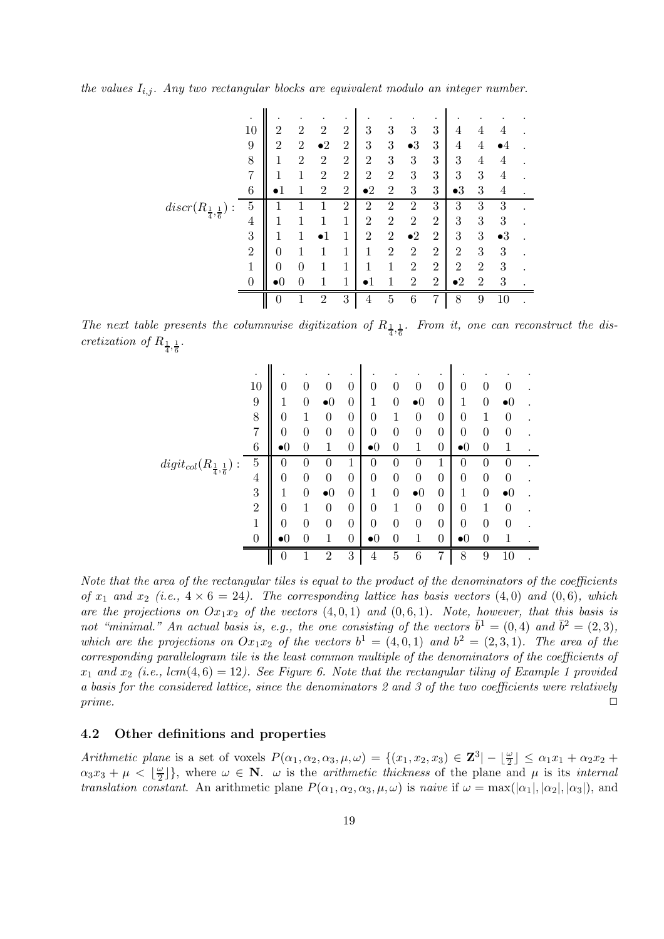the values  $I_{i,j}$ . Any two rectangular blocks are equivalent modulo an integer number.

|                                      |                |                          |                |                |                |                |                |                | ٠              |                |                  |             |  |
|--------------------------------------|----------------|--------------------------|----------------|----------------|----------------|----------------|----------------|----------------|----------------|----------------|------------------|-------------|--|
|                                      | 10             | 2                        | $\overline{2}$ | $\overline{2}$ | $\overline{2}$ | 3              | 3              | 3              | 3              | 4              | 4                | 4           |  |
|                                      | 9              | $\overline{2}$           | $\overline{2}$ | $\bullet 2$    | $\overline{2}$ | 3              | 3              | $\bullet 3$    | 3              | 4              | $\overline{4}$   |             |  |
|                                      | 8              | 1                        | $\overline{2}$ | $\overline{2}$ | $\overline{2}$ | $\overline{2}$ | 3              | 3              | 3              | 3              | 4                | 4           |  |
|                                      | 7              |                          | 1              | $\overline{2}$ | $\overline{2}$ | $\overline{2}$ | $\overline{2}$ | 3              | 3              | 3              | 3                | 4           |  |
|                                      | $\overline{6}$ |                          | 1              | $\overline{2}$ | $\overline{2}$ | $\bullet 2$    | $\overline{2}$ | 3              | 3              | $\bullet 3$    | 3                | 4           |  |
| $discr(R_{\frac{1}{4},\frac{1}{6}})$ | 5              |                          |                |                | $\overline{2}$ | $\overline{2}$ | $\overline{2}$ | $\overline{2}$ | 3              | 3              | 3                | 3           |  |
|                                      | 4              |                          |                |                | 1              | $\overline{2}$ | $\overline{2}$ | $\overline{2}$ | $\overline{2}$ | 3              | 3                | 3           |  |
|                                      | 3              |                          | 1              |                | 1              | $\overline{2}$ | $\overline{2}$ | $\bullet 2$    | $\overline{2}$ | 3              | 3                | $\bullet 3$ |  |
|                                      | $\overline{2}$ | 0                        |                |                | 1              | 1              | $\overline{2}$ | $\overline{2}$ | $\overline{2}$ | $\overline{2}$ | 3                | 3           |  |
|                                      | $\mathbf{1}$   | 0                        | 0              |                | 1              | 1              |                | $\overline{2}$ | $\overline{2}$ | $\overline{2}$ | $\boldsymbol{2}$ | 3           |  |
|                                      | $\overline{0}$ | $\mathbf{D}(\mathbf{0})$ | 0              | 1              | 1              |                |                | $\overline{2}$ | $\overline{2}$ | $\bullet 2$    | $\overline{2}$   | 3           |  |
|                                      |                | $\left( \right)$         | ٦              | $\overline{2}$ | 3              | 4              | $\overline{5}$ | 6              | 7              | 8              | 9                | $10\,$      |  |

The next table presents the columnwise digitization of  $R_{\frac{1}{4},\frac{1}{6}}$ . From it, one can reconstruct the discretization of  $R_{\frac{1}{4},\frac{1}{6}}$ .

|                                            | ٠              |                          |   |                | ٠                |                  |                |                        | ٠                |                  |          |                  |  |
|--------------------------------------------|----------------|--------------------------|---|----------------|------------------|------------------|----------------|------------------------|------------------|------------------|----------|------------------|--|
|                                            | 10             | $\cup$                   | 0 | 0              | $\boldsymbol{0}$ | 0                | $\theta$       | $\theta$               | $\boldsymbol{0}$ | $\theta$         | 0        | 0                |  |
|                                            | 9              |                          | 0 | $\bullet$ 0    | $\overline{0}$   | 1                | 0              | $\bullet$ 0            | $\boldsymbol{0}$ | 1                | 0        | $\bullet$ 0      |  |
|                                            | 8              | 0                        | 1 | 0              | $\boldsymbol{0}$ | $\boldsymbol{0}$ | 1              | 0                      | $\boldsymbol{0}$ | $\theta$         | 1        | 0                |  |
|                                            | $\overline{7}$ | 0                        | 0 | 0              | $\boldsymbol{0}$ | $\boldsymbol{0}$ | 0              | 0                      | 0                | $\boldsymbol{0}$ | 0        | 0                |  |
|                                            | $\overline{6}$ | $\bullet$ ()             | 0 | 1              | $\boldsymbol{0}$ | $\bullet$ ()     | 0              | 1                      | $\overline{0}$   | $\bullet 0$      | 0        | 1                |  |
| $digit_{col}(R_{\frac{1}{4},\frac{1}{6}})$ | $\overline{5}$ | 0                        | 0 | 0              | 1                | 0                | 0              | 0                      | 1                | $\theta$         | $\theta$ | 0                |  |
|                                            | 4              | 0                        | 0 | 0              | $\overline{0}$   | $\boldsymbol{0}$ | 0              | $\boldsymbol{0}$       | $\boldsymbol{0}$ | $\overline{0}$   | 0        | 0                |  |
|                                            | 3              |                          | 0 | $\bullet$ 0    | $\boldsymbol{0}$ | 1                | 0              | $\bullet$ <sup>0</sup> | $\boldsymbol{0}$ | 1                | 0        | $\bullet 0$      |  |
|                                            | $\overline{2}$ | 0                        |   | $\theta$       | $\boldsymbol{0}$ | $\boldsymbol{0}$ |                | $\boldsymbol{0}$       | $\boldsymbol{0}$ | $\overline{0}$   |          | $\theta$         |  |
|                                            | $\mathbf 1$    | 0                        | 0 | $\theta$       | $\boldsymbol{0}$ | $\boldsymbol{0}$ | 0              | 0                      | $\boldsymbol{0}$ | $\overline{0}$   | 0        | $\boldsymbol{0}$ |  |
|                                            | $\overline{0}$ | $\mathbf{D}(\mathbf{r})$ | 0 | 1              | $\overline{0}$   | $\bullet 0$      | 0              | 1                      | $\overline{0}$   | $\bullet 0$      | 0        | 1                |  |
|                                            |                | $\boldsymbol{0}$         | ٦ | $\overline{2}$ | 3                | 4                | $\overline{5}$ | 6                      | 7                | 8                | 9        | 10               |  |

Note that the area of the rectangular tiles is equal to the product of the denominators of the coefficients of  $x_1$  and  $x_2$  (i.e.,  $4 \times 6 = 24$ ). The corresponding lattice has basis vectors (4,0) and (0,6), which are the projections on  $Ox_1x_2$  of the vectors  $(4, 0, 1)$  and  $(0, 6, 1)$ . Note, however, that this basis is not "minimal." An actual basis is, e.g., the one consisting of the vectors  $\bar{b}^1 = (0, 4)$  and  $\bar{b}^2 = (2, 3)$ , which are the projections on  $Ox_1x_2$  of the vectors  $b^1 = (4,0,1)$  and  $b^2 = (2,3,1)$ . The area of the corresponding parallelogram tile is the least common multiple of the denominators of the coefficients of  $x_1$  and  $x_2$  (i.e., lcm(4,6) = 12). See Figure 6. Note that the rectangular tiling of Example 1 provided a basis for the considered lattice, since the denominators 2 and 3 of the two coefficients were relatively  $prime.$ 

### 4.2 Other definitions and properties

Arithmetic plane is a set of voxels  $P(\alpha_1, \alpha_2, \alpha_3, \mu, \omega) = \{(x_1, x_2, x_3) \in \mathbb{Z}^3 | - \lfloor \frac{\omega}{2} \rfloor \}$  $\frac{\omega}{2}$   $\leq \alpha_1 x_1 + \alpha_2 x_2 +$  $\alpha_3 x_3 + \mu < \lfloor \frac{\omega}{2} \rfloor$  $\frac{\omega}{2}$ }, where  $\omega \in \mathbb{N}$ .  $\omega$  is the *arithmetic thickness* of the plane and  $\mu$  is its *internal translation constant.* An arithmetic plane  $P(\alpha_1, \alpha_2, \alpha_3, \mu, \omega)$  is naive if  $\omega = \max(|\alpha_1|, |\alpha_2|, |\alpha_3|)$ , and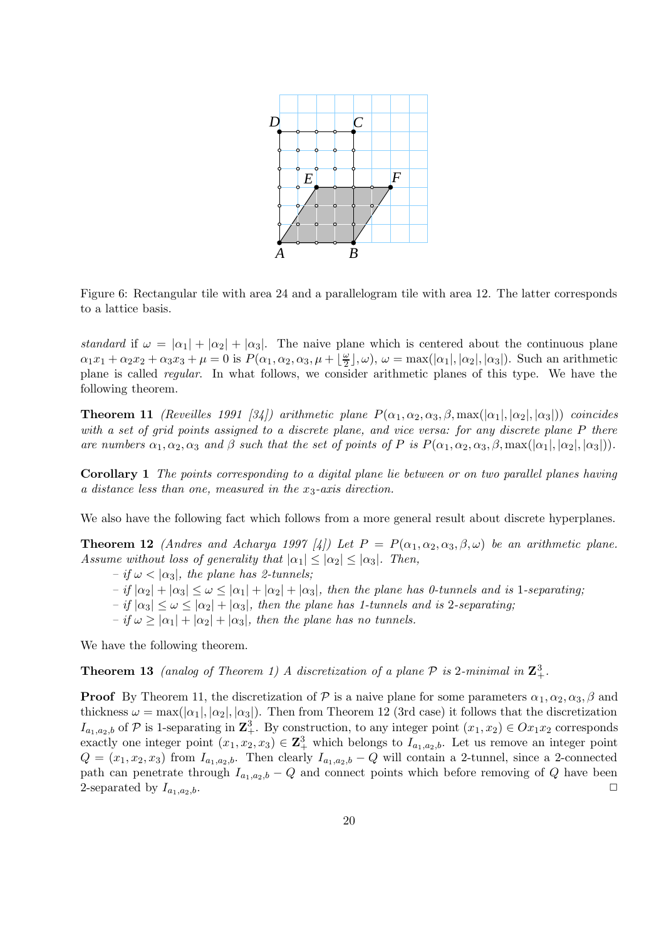

Figure 6: Rectangular tile with area 24 and a parallelogram tile with area 12. The latter corresponds to a lattice basis.

standard if  $\omega = |\alpha_1| + |\alpha_2| + |\alpha_3|$ . The naive plane which is centered about the continuous plane  $\alpha_1 x_1 + \alpha_2 x_2 + \alpha_3 x_3 + \mu = 0$  is  $P(\alpha_1, \alpha_2, \alpha_3, \mu + \frac{\mu}{2})$  $\frac{\omega}{2}$ ,  $\omega$ ,  $\omega = \max(|\alpha_1|, |\alpha_2|, |\alpha_3|)$ . Such an arithmetic plane is called regular. In what follows, we consider arithmetic planes of this type. We have the following theorem.

**Theorem 11** (Reveilles 1991 [34]) arithmetic plane  $P(\alpha_1, \alpha_2, \alpha_3, \beta, \max(|\alpha_1|, |\alpha_2|, |\alpha_3|))$  coincides with a set of grid points assigned to a discrete plane, and vice versa: for any discrete plane P there are numbers  $\alpha_1, \alpha_2, \alpha_3$  and  $\beta$  such that the set of points of P is  $P(\alpha_1, \alpha_2, \alpha_3, \beta, \max(|\alpha_1|, |\alpha_2|, |\alpha_3|)).$ 

Corollary 1 The points corresponding to a digital plane lie between or on two parallel planes having a distance less than one, measured in the  $x_3$ -axis direction.

We also have the following fact which follows from a more general result about discrete hyperplanes.

**Theorem 12** (Andres and Acharya 1997 [4]) Let  $P = P(\alpha_1, \alpha_2, \alpha_3, \beta, \omega)$  be an arithmetic plane. Assume without loss of generality that  $|\alpha_1| \leq |\alpha_2| \leq |\alpha_3|$ . Then,

- $-$  if  $\omega$  <  $|\alpha_3|$ , the plane has 2-tunnels;
- $-$  if  $|\alpha_2| + |\alpha_3| \leq \omega \leq |\alpha_1| + |\alpha_2| + |\alpha_3|$ , then the plane has 0-tunnels and is 1-separating;
- $-$  if  $|\alpha_3| \leq \omega \leq |\alpha_2| + |\alpha_3|$ , then the plane has 1-tunnels and is 2-separating;
- $-$  if  $\omega > |\alpha_1| + |\alpha_2| + |\alpha_3|$ , then the plane has no tunnels.

We have the following theorem.

**Theorem 13** (analog of Theorem 1) A discretization of a plane  $P$  is 2-minimal in  $\mathbb{Z}_+^3$ .

**Proof** By Theorem 11, the discretization of P is a naive plane for some parameters  $\alpha_1, \alpha_2, \alpha_3, \beta$  and thickness  $\omega = \max(|\alpha_1|, |\alpha_2|, |\alpha_3|)$ . Then from Theorem 12 (3rd case) it follows that the discretization  $I_{a_1,a_2,b}$  of  $P$  is 1-separating in  $\mathbb{Z}_+^3$ . By construction, to any integer point  $(x_1,x_2) \in Ox_1x_2$  corresponds exactly one integer point  $(x_1, x_2, x_3) \in \mathbb{Z}_+^3$  which belongs to  $I_{a_1, a_2, b}$ . Let us remove an integer point  $Q = (x_1, x_2, x_3)$  from  $I_{a_1, a_2, b}$ . Then clearly  $I_{a_1, a_2, b} - Q$  will contain a 2-tunnel, since a 2-connected path can penetrate through  $I_{a_1,a_2,b} - Q$  and connect points which before removing of Q have been<br>2-separated by  $I_{a_1,a_2,b}$ . 2-separated by  $I_{a_1,a_2,b}$ .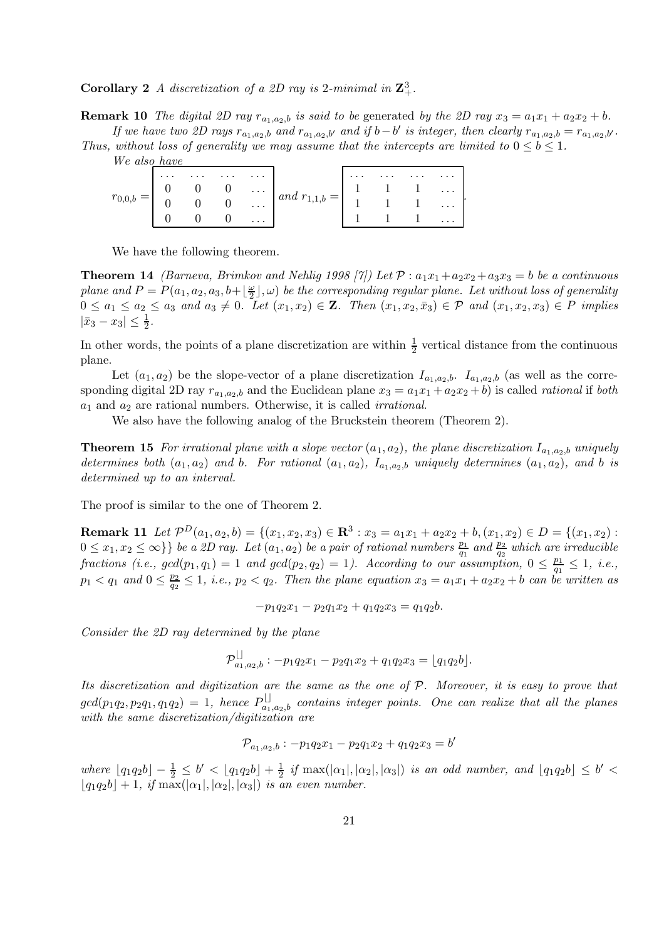**Corollary 2** A discretization of a 2D ray is 2-minimal in  $\mathbb{Z}_+^3$ .

**Remark 10** The digital 2D ray  $r_{a_1,a_2,b}$  is said to be generated by the 2D ray  $x_3 = a_1x_1 + a_2x_2 + b$ . If we have two 2D rays  $r_{a_1,a_2,b}$  and  $r_{a_1,a_2,b'}$  and if  $b-b'$  is integer, then clearly  $r_{a_1,a_2,b} = r_{a_1,a_2,b'}$ .

.

Thus, without loss of generality we may assume that the intercepts are limited to  $0 \leq b \leq 1$ . We also have

| $\sim$ 100 km s $^{-1}$ .                                                                                                                                                                                                               | <i>IVE GISO TIGUE</i> |  |  |  |
|-----------------------------------------------------------------------------------------------------------------------------------------------------------------------------------------------------------------------------------------|-----------------------|--|--|--|
| $r_{0,0,b} = \begin{vmatrix} 0 & 0 & 0 & \cdots \\ 0 & 0 & 0 & \cdots \end{vmatrix}$ and $r_{1,1,b} = \begin{vmatrix} 1 & 1 & 1 & \cdots \\ 1 & 1 & 1 & \cdots \end{vmatrix}$<br>$1 \quad 1 \quad \dots$<br>$\sim$ $\sim$ $\sim$ $\sim$ |                       |  |  |  |

We have the following theorem.

**Theorem 14** (Barneva, Brimkov and Nehlig 1998 [7]) Let  $\mathcal{P}: a_1x_1+a_2x_2+a_3x_3=b$  be a continuous plane and  $P = P(a_1, a_2, a_3, b + \lfloor \frac{\omega}{2} \rfloor)$  $\frac{\omega}{2}$  ,  $\omega$ ) be the corresponding regular plane. Let without loss of generality  $0 \leq a_1 \leq a_2 \leq a_3$  and  $a_3 \neq 0$ . Let  $(x_1, x_2) \in \mathbb{Z}$ . Then  $(x_1, x_2, \overline{x}_3) \in \mathcal{P}$  and  $(x_1, x_2, x_3) \in \mathcal{P}$  implies  $|\bar{x}_3 - x_3| \leq \frac{1}{2}$  $\frac{1}{2}$ .

In other words, the points of a plane discretization are within  $\frac{1}{2}$  vertical distance from the continuous plane.

Let  $(a_1, a_2)$  be the slope-vector of a plane discretization  $I_{a_1, a_2, b}$ .  $I_{a_1, a_2, b}$  (as well as the corresponding digital 2D ray  $r_{a_1,a_2,b}$  and the Euclidean plane  $x_3 = a_1x_1 + a_2x_2 + b$  is called *rational* if *both*  $a_1$  and  $a_2$  are rational numbers. Otherwise, it is called *irrational*.

We also have the following analog of the Bruckstein theorem (Theorem 2).

**Theorem 15** For irrational plane with a slope vector  $(a_1, a_2)$ , the plane discretization  $I_{a_1, a_2, b}$  uniquely determines both  $(a_1, a_2)$  and b. For rational  $(a_1, a_2)$ ,  $I_{a_1, a_2, b}$  uniquely determines  $(a_1, a_2)$ , and b is determined up to an interval.

The proof is similar to the one of Theorem 2.

**Remark 11** Let  $\mathcal{P}^D(a_1, a_2, b) = \{(x_1, x_2, x_3) \in \mathbb{R}^3 : x_3 = a_1x_1 + a_2x_2 + b, (x_1, x_2) \in D = \{(x_1, x_2) : x_3 = a_1x_1 + a_2x_2 + b, (x_1, x_2) \in D\}$  $0 \leq x_1, x_2 \leq \infty$ } be a 2D ray. Let  $(a_1, a_2)$  be a pair of rational numbers  $\frac{p_1}{q_1}$  and  $\frac{p_2}{q_2}$  which are irreducible fractions (i.e.,  $gcd(p_1, q_1) = 1$  and  $gcd(p_2, q_2) = 1$ ). According to our assumption,  $0 \leq \frac{p_1}{q_1}$  $\frac{p_1}{q_1} \leq 1, i.e.,$  $p_1 < q_1$  and  $0 \leq \frac{p_2}{q_2}$  $\frac{p_2}{q_2} \leq 1$ , i.e.,  $p_2 < q_2$ . Then the plane equation  $x_3 = a_1x_1 + a_2x_2 + b$  can be written as

 $-p_1q_2x_1-p_2q_1x_2+q_1q_2x_3=q_1q_2b.$ 

Consider the 2D ray determined by the plane

$$
\mathcal{P}_{a_1,a_2,b}^{\square}:-p_1q_2x_1-p_2q_1x_2+q_1q_2x_3=\lfloor q_1q_2b\rfloor.
$$

Its discretization and digitization are the same as the one of  $P$ . Moreover, it is easy to prove that  $gcd(p_1q_2, p_2q_1, q_1q_2) = 1$ , hence  $P_{a_1,a_2,b}^{\square}$  contains integer points. One can realize that all the planes with the same discretization/digitization are

$$
\mathcal{P}_{a_1,a_2,b}: -p_1q_2x_1-p_2q_1x_2+q_1q_2x_3=b'
$$

where  $\lfloor q_1q_2b \rfloor - \frac{1}{2} \leq b' < \lfloor q_1q_2b \rfloor + \frac{1}{2}$  if  $\max(|\alpha_1|, |\alpha_2|, |\alpha_3|)$  is an odd number, and  $\lfloor q_1q_2b \rfloor \leq b' <$  $|q_1q_2b|+1$ , if max $(|\alpha_1|, |\alpha_2|, |\alpha_3|)$  is an even number.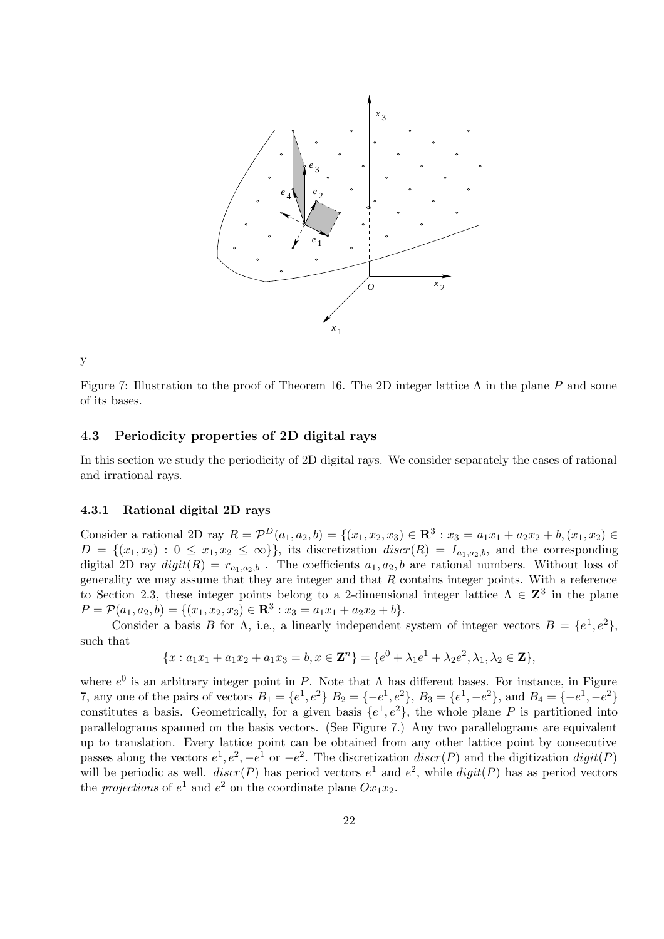

y

Figure 7: Illustration to the proof of Theorem 16. The 2D integer lattice  $\Lambda$  in the plane P and some of its bases.

# 4.3 Periodicity properties of 2D digital rays

In this section we study the periodicity of 2D digital rays. We consider separately the cases of rational and irrational rays.

# 4.3.1 Rational digital 2D rays

Consider a rational 2D ray  $R = \mathcal{P}^D(a_1, a_2, b) = \{(x_1, x_2, x_3) \in \mathbb{R}^3 : x_3 = a_1x_1 + a_2x_2 + b, (x_1, x_2) \in \mathbb{R}^3 \}$  $D = \{(x_1, x_2) : 0 \leq x_1, x_2 \leq \infty\}\},\$ its discretization  $discr(R) = I_{a_1, a_2, b_1}$ , and the corresponding digital 2D ray  $digit(R) = r_{a_1,a_2,b}$ . The coefficients  $a_1, a_2, b$  are rational numbers. Without loss of generality we may assume that they are integer and that  $R$  contains integer points. With a reference to Section 2.3, these integer points belong to a 2-dimensional integer lattice  $\Lambda \in \mathbb{Z}^3$  in the plane  $P = \mathcal{P}(a_1, a_2, b) = \{(x_1, x_2, x_3) \in \mathbb{R}^3 : x_3 = a_1x_1 + a_2x_2 + b\}.$ 

Consider a basis B for  $\Lambda$ , i.e., a linearly independent system of integer vectors  $B = \{e^1, e^2\}$ , such that

$$
\{x: a_1x_1 + a_1x_2 + a_1x_3 = b, x \in \mathbf{Z}^n\} = \{e^0 + \lambda_1e^1 + \lambda_2e^2, \lambda_1, \lambda_2 \in \mathbf{Z}\},
$$

where  $e^{0}$  is an arbitrary integer point in P. Note that  $\Lambda$  has different bases. For instance, in Figure 7, any one of the pairs of vectors  $B_1 = \{e^1, e^2\}$   $B_2 = \{-e^1, e^2\}$ ,  $B_3 = \{e^1, -e^2\}$ , and  $B_4 = \{-e^1, -e^2\}$ constitutes a basis. Geometrically, for a given basis  $\{e^1, e^2\}$ , the whole plane P is partitioned into parallelograms spanned on the basis vectors. (See Figure 7.) Any two parallelograms are equivalent up to translation. Every lattice point can be obtained from any other lattice point by consecutive passes along the vectors  $e^1, e^2, -e^1$  or  $-e^2$ . The discretization discr(P) and the digitization digit(P) will be periodic as well.  $discr(P)$  has period vectors  $e^1$  and  $e^2$ , while  $digit(P)$  has as period vectors the *projections* of  $e^1$  and  $e^2$  on the coordinate plane  $Ox_1x_2$ .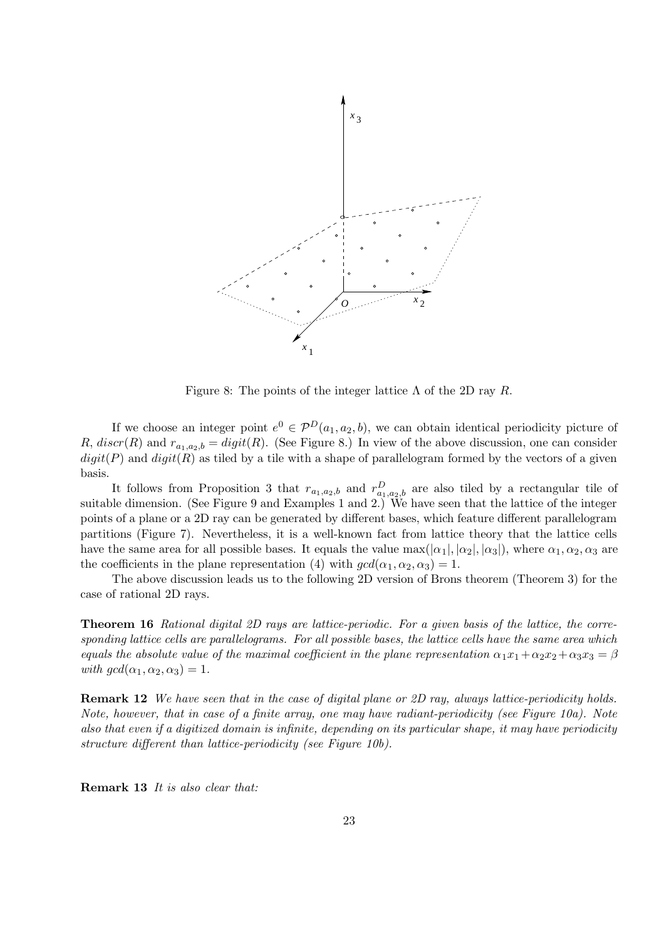

Figure 8: The points of the integer lattice  $\Lambda$  of the 2D ray R.

If we choose an integer point  $e^0 \in \mathcal{P}^D(a_1, a_2, b)$ , we can obtain identical periodicity picture of R,  $discr(R)$  and  $r_{a_1,a_2,b} = digit(R)$ . (See Figure 8.) In view of the above discussion, one can consider  $digit(P)$  and  $digit(R)$  as tiled by a tile with a shape of parallelogram formed by the vectors of a given basis.

It follows from Proposition 3 that  $r_{a_1,a_2,b}$  and  $r_{a_1,a_2,b}^D$  are also tiled by a rectangular tile of suitable dimension. (See Figure 9 and Examples 1 and 2.) We have seen that the lattice of the integer points of a plane or a 2D ray can be generated by different bases, which feature different parallelogram partitions (Figure 7). Nevertheless, it is a well-known fact from lattice theory that the lattice cells have the same area for all possible bases. It equals the value  $\max(|\alpha_1|, |\alpha_2|, |\alpha_3|)$ , where  $\alpha_1, \alpha_2, \alpha_3$  are the coefficients in the plane representation (4) with  $gcd(\alpha_1, \alpha_2, \alpha_3) = 1$ .

The above discussion leads us to the following 2D version of Brons theorem (Theorem 3) for the case of rational 2D rays.

Theorem 16 Rational digital 2D rays are lattice-periodic. For a given basis of the lattice, the corresponding lattice cells are parallelograms. For all possible bases, the lattice cells have the same area which equals the absolute value of the maximal coefficient in the plane representation  $\alpha_1 x_1 + \alpha_2 x_2 + \alpha_3 x_3 = \beta$ with  $gcd(\alpha_1, \alpha_2, \alpha_3) = 1$ .

Remark 12 We have seen that in the case of digital plane or 2D ray, always lattice-periodicity holds. Note, however, that in case of a finite array, one may have radiant-periodicity (see Figure 10a). Note also that even if a digitized domain is infinite, depending on its particular shape, it may have periodicity structure different than lattice-periodicity (see Figure 10b).

Remark 13 It is also clear that: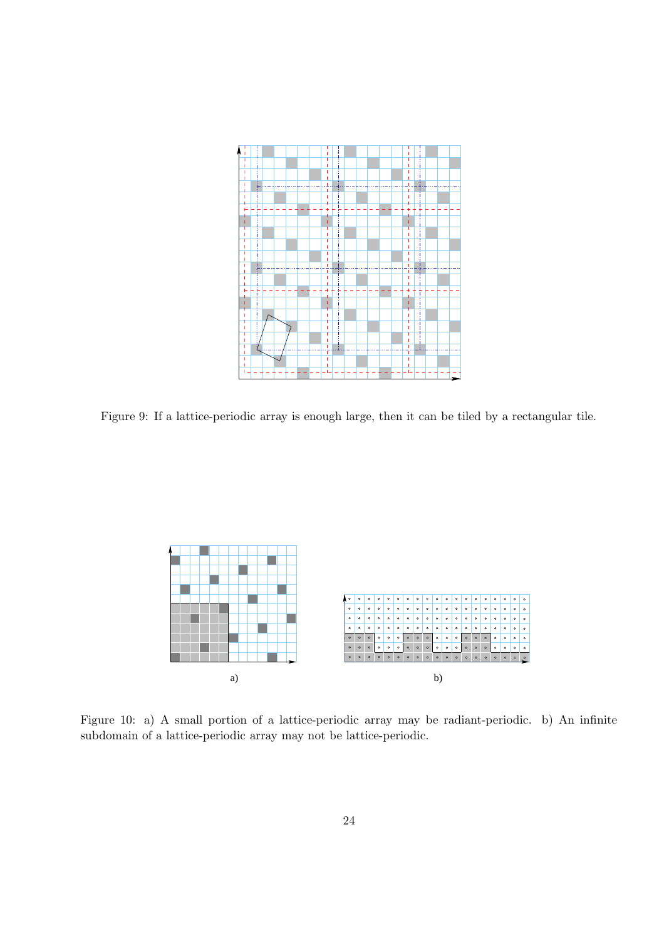

Figure 9: If a lattice-periodic array is enough large, then it can be tiled by a rectangular tile.



Figure 10: a) A small portion of a lattice-periodic array may be radiant-periodic. b) An infinite subdomain of a lattice-periodic array may not be lattice-periodic.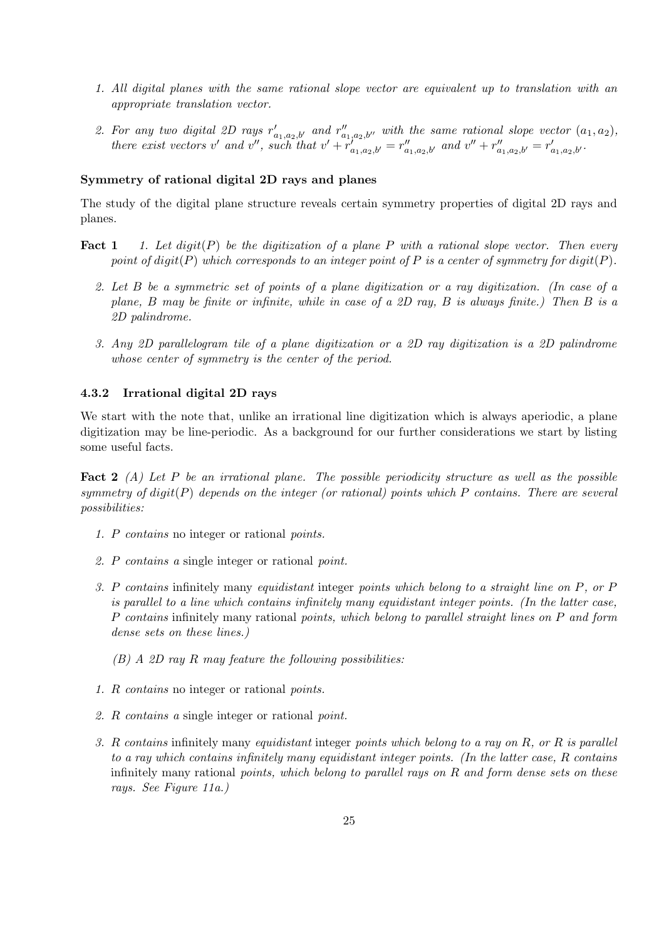- 1. All digital planes with the same rational slope vector are equivalent up to translation with an appropriate translation vector.
- 2. For any two digital 2D rays  $r'_{a_1,a_2,b'}$  and  $r''_{a_1,a_2,b''}$  with the same rational slope vector  $(a_1,a_2)$ , there exist vectors v' and v'', such that  $v' + r'_{a_1, a_2, b'} = r''_{a_1, a_2, b'}$  and  $v'' + r''_{a_1, a_2, b'} = r'_{a_1, a_2, b'}$ .

### Symmetry of rational digital 2D rays and planes

The study of the digital plane structure reveals certain symmetry properties of digital 2D rays and planes.

- **Fact 1** 1. Let digit(P) be the digitization of a plane P with a rational slope vector. Then every point of digit(P) which corresponds to an integer point of P is a center of symmetry for digit(P).
	- 2. Let B be a symmetric set of points of a plane digitization or a ray digitization. (In case of a plane, B may be finite or infinite, while in case of a 2D ray, B is always finite.) Then B is a 2D palindrome.
	- 3. Any 2D parallelogram tile of a plane digitization or a 2D ray digitization is a 2D palindrome whose center of symmetry is the center of the period.

#### 4.3.2 Irrational digital 2D rays

We start with the note that, unlike an irrational line digitization which is always aperiodic, a plane digitization may be line-periodic. As a background for our further considerations we start by listing some useful facts.

**Fact 2** (A) Let P be an irrational plane. The possible periodicity structure as well as the possible symmetry of  $digit(P)$  depends on the integer (or rational) points which P contains. There are several possibilities:

- 1. P contains no integer or rational points.
- 2. P contains a single integer or rational point.
- 3. P contains infinitely many equidistant integer points which belong to a straight line on P, or P is parallel to a line which contains infinitely many equidistant integer points. (In the latter case, P contains infinitely many rational points, which belong to parallel straight lines on P and form dense sets on these lines.)
	- $(B)$  A 2D ray R may feature the following possibilities:
- 1. R contains no integer or rational points.
- 2. R contains a single integer or rational point.
- 3. R contains infinitely many equidistant integer points which belong to a ray on  $R$ , or  $R$  is parallel to a ray which contains infinitely many equidistant integer points. (In the latter case, R contains infinitely many rational points, which belong to parallel rays on  $R$  and form dense sets on these rays. See Figure 11a.)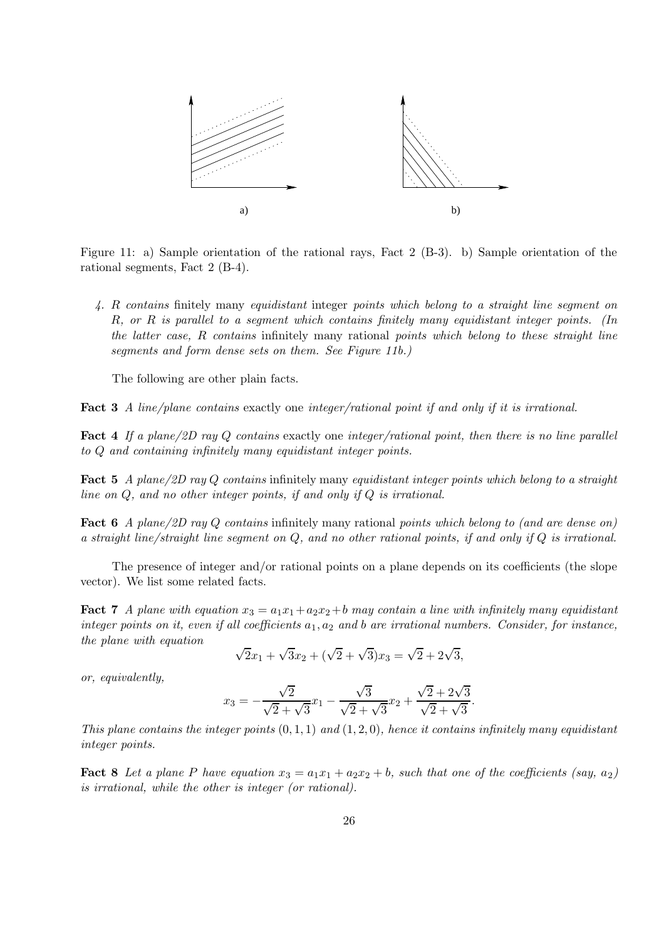

Figure 11: a) Sample orientation of the rational rays, Fact 2 (B-3). b) Sample orientation of the rational segments, Fact 2 (B-4).

4. R contains finitely many equidistant integer points which belong to a straight line segment on R, or R is parallel to a segment which contains finitely many equidistant integer points. (In the latter case, R contains infinitely many rational points which belong to these straight line segments and form dense sets on them. See Figure 11b.)

The following are other plain facts.

Fact 3 A line/plane contains exactly one integer/rational point if and only if it is irrational.

Fact 4 If a plane/2D ray Q contains exactly one integer/rational point, then there is no line parallel to Q and containing infinitely many equidistant integer points.

Fact 5 A plane/2D ray Q contains infinitely many equidistant integer points which belong to a straight line on Q, and no other integer points, if and only if Q is irrational.

Fact 6 A plane/2D ray Q contains infinitely many rational points which belong to (and are dense on) a straight line/straight line segment on  $Q$ , and no other rational points, if and only if  $Q$  is irrational.

The presence of integer and/or rational points on a plane depends on its coefficients (the slope vector). We list some related facts.

**Fact 7** A plane with equation  $x_3 = a_1x_1 + a_2x_2 + b$  may contain a line with infinitely many equidistant integer points on it, even if all coefficients  $a_1, a_2$  and b are irrational numbers. Consider, for instance, the plane with equation

$$
\sqrt{2}x_1 + \sqrt{3}x_2 + (\sqrt{2} + \sqrt{3})x_3 = \sqrt{2} + 2\sqrt{3},
$$

or, equivalently,

$$
x_3 = -\frac{\sqrt{2}}{\sqrt{2} + \sqrt{3}}x_1 - \frac{\sqrt{3}}{\sqrt{2} + \sqrt{3}}x_2 + \frac{\sqrt{2} + 2\sqrt{3}}{\sqrt{2} + \sqrt{3}}.
$$

This plane contains the integer points  $(0, 1, 1)$  and  $(1, 2, 0)$ , hence it contains infinitely many equidistant integer points.

**Fact 8** Let a plane P have equation  $x_3 = a_1x_1 + a_2x_2 + b$ , such that one of the coefficients (say,  $a_2$ ) is irrational, while the other is integer (or rational).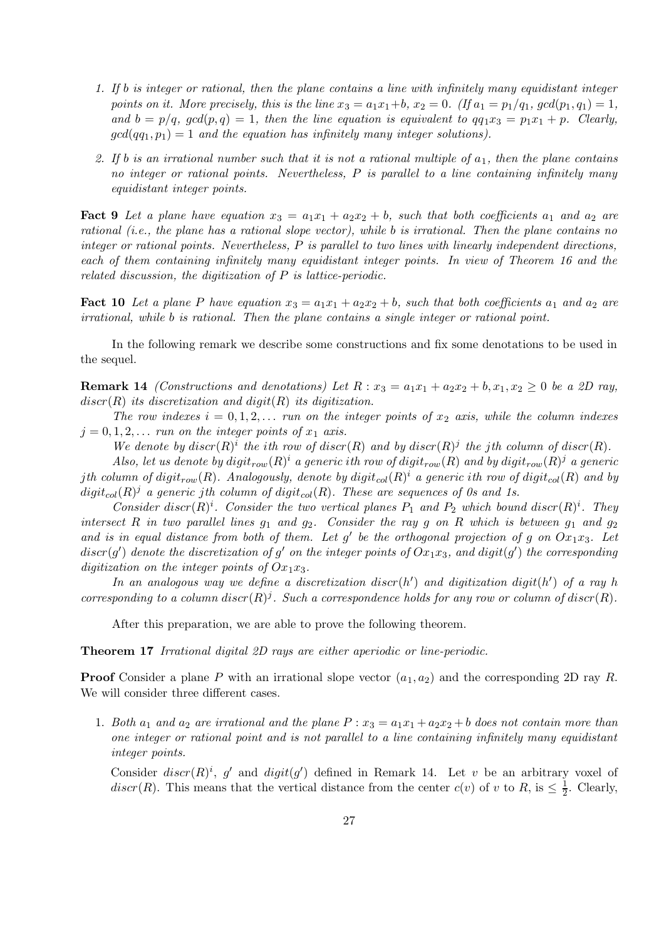- 1. If b is integer or rational, then the plane contains a line with infinitely many equidistant integer points on it. More precisely, this is the line  $x_3 = a_1x_1+b$ ,  $x_2 = 0$ . (If  $a_1 = p_1/q_1$ ,  $gcd(p_1, q_1) = 1$ , and  $b = p/q$ ,  $gcd(p,q) = 1$ , then the line equation is equivalent to  $qq_1x_3 = p_1x_1 + p$ . Clearly,  $gcd(qq_1, p_1) = 1$  and the equation has infinitely many integer solutions).
- 2. If b is an irrational number such that it is not a rational multiple of  $a_1$ , then the plane contains no integer or rational points. Nevertheless,  $P$  is parallel to a line containing infinitely many equidistant integer points.

**Fact 9** Let a plane have equation  $x_3 = a_1x_1 + a_2x_2 + b$ , such that both coefficients  $a_1$  and  $a_2$  are rational (i.e., the plane has a rational slope vector), while b is irrational. Then the plane contains no integer or rational points. Nevertheless, P is parallel to two lines with linearly independent directions, each of them containing infinitely many equidistant integer points. In view of Theorem 16 and the related discussion, the digitization of P is lattice-periodic.

**Fact 10** Let a plane P have equation  $x_3 = a_1x_1 + a_2x_2 + b$ , such that both coefficients  $a_1$  and  $a_2$  are irrational, while b is rational. Then the plane contains a single integer or rational point.

In the following remark we describe some constructions and fix some denotations to be used in the sequel.

**Remark 14** (Constructions and denotations) Let  $R: x_3 = a_1x_1 + a_2x_2 + b, x_1, x_2 \ge 0$  be a 2D ray,  $discr(R)$  its discretization and digit(R) its digitization.

The row indexes  $i = 0, 1, 2, \ldots$  run on the integer points of  $x_2$  axis, while the column indexes  $j = 0, 1, 2, \ldots$  run on the integer points of  $x_1$  axis.

We denote by  $discr(R)^i$  the ith row of discr(R) and by  $discr(R)^j$  the jth column of discr(R).

Also, let us denote by digit $_{row}(R)^i$  a generic ith row of digit $_{row}(R)$  and by digit $_{row}(R)^j$  a generic jth column of digit $_{row}(R)$ . Analogously, denote by digit $_{col}(R)^i$  a generic ith row of digit $_{col}(R)$  and by  $digit_{col}(R)^j$  a generic jth column of  $digit_{col}(R)$ . These are sequences of 0s and 1s.

Consider discr $(R)^i$ . Consider the two vertical planes  $P_1$  and  $P_2$  which bound discr $(R)^i$ . They intersect R in two parallel lines  $g_1$  and  $g_2$ . Consider the ray g on R which is between  $g_1$  and  $g_2$ and is in equal distance from both of them. Let g' be the orthogonal projection of g on  $Ox_1x_3$ . Let  $discr(g^\prime)$  denote the discretization of  $g^\prime$  on the integer points of  $Ox_1x_3,$  and  $digit(g^\prime)$  the corresponding digitization on the integer points of  $Ox_1x_3$ .

In an analogous way we define a discretization discr $(h')$  and digitization digit $(h')$  of a ray h corresponding to a column discr $(R)^j$ . Such a correspondence holds for any row or column of discr $(R)$ .

After this preparation, we are able to prove the following theorem.

Theorem 17 Irrational digital 2D rays are either aperiodic or line-periodic.

**Proof** Consider a plane P with an irrational slope vector  $(a_1, a_2)$  and the corresponding 2D ray R. We will consider three different cases.

1. Both  $a_1$  and  $a_2$  are irrational and the plane  $P: x_3 = a_1x_1 + a_2x_2 + b$  does not contain more than one integer or rational point and is not parallel to a line containing infinitely many equidistant integer points.

Consider  $discr(R)^i$ , g' and  $digit(g')$  defined in Remark 14. Let v be an arbitrary voxel of  $discr(R)$ . This means that the vertical distance from the center  $c(v)$  of v to R, is  $\leq \frac{1}{2}$  $\frac{1}{2}$ . Clearly,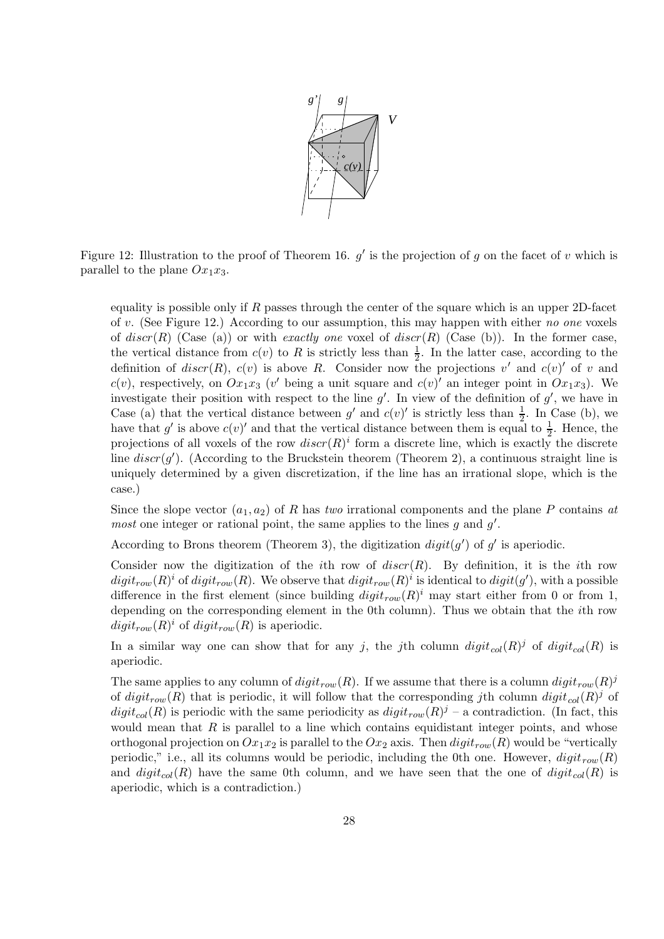

Figure 12: Illustration to the proof of Theorem 16.  $g'$  is the projection of g on the facet of v which is parallel to the plane  $Ox_1x_3$ .

equality is possible only if  $R$  passes through the center of the square which is an upper 2D-facet of v. (See Figure 12.) According to our assumption, this may happen with either no one voxels of discr(R) (Case (a)) or with exactly one voxel of discr(R) (Case (b)). In the former case, the vertical distance from  $c(v)$  to R is strictly less than  $\frac{1}{2}$ . In the latter case, according to the definition of  $discr(R)$ ,  $c(v)$  is above R. Consider now the projections v' and  $c(v)$ ' of v and  $c(v)$ , respectively, on  $Ox_1x_3$  (v' being a unit square and  $c(v)$ ' an integer point in  $Ox_1x_3$ ). We investigate their position with respect to the line  $g'$ . In view of the definition of  $g'$ , we have in Case (a) that the vertical distance between g' and  $c(v)$ ' is strictly less than  $\frac{1}{2}$ . In Case (b), we have that  $g'$  is above  $c(v)'$  and that the vertical distance between them is equal to  $\frac{1}{2}$ . Hence, the projections of all voxels of the row  $discr(R)^i$  form a discrete line, which is exactly the discrete line  $discr(g')$ . (According to the Bruckstein theorem (Theorem 2), a continuous straight line is uniquely determined by a given discretization, if the line has an irrational slope, which is the case.)

Since the slope vector  $(a_1, a_2)$  of R has two irrational components and the plane P contains at *most* one integer or rational point, the same applies to the lines  $g$  and  $g'$ .

According to Brons theorem (Theorem 3), the digitization  $\text{digit}(g')$  of g' is aperiodic.

Consider now the digitization of the i<sup>th</sup> row of  $discr(R)$ . By definition, it is the *i*th row  $digit_{row}(R)^i$  of  $digit_{row}(R)$ . We observe that  $digit_{row}(R)^i$  is identical to  $digit(g')$ , with a possible difference in the first element (since building  $digit_{row}(R)^{i}$  may start either from 0 or from 1, depending on the corresponding element in the 0th column). Thus we obtain that the ith row  $digit_{row}(R)^{i}$  of  $digit_{row}(R)$  is aperiodic.

In a similar way one can show that for any j, the jth column  $digit_{col}(R)^j$  of  $digit_{col}(R)$  is aperiodic.

The same applies to any column of  $digit_{row}(R)$ . If we assume that there is a column  $digit_{row}(R)^{j}$ of  $digit_{row}(R)$  that is periodic, it will follow that the corresponding jth column  $digit_{col}(R)$ <sup>j</sup> of  $digit_{col}(R)$  is periodic with the same periodicity as  $digit_{row}(R)^{j}$  – a contradiction. (In fact, this would mean that  $R$  is parallel to a line which contains equidistant integer points, and whose orthogonal projection on  $Ox_1x_2$  is parallel to the  $Ox_2$  axis. Then  $digit_{row}(R)$  would be "vertically periodic," i.e., all its columns would be periodic, including the 0th one. However,  $digit_{row}(R)$ and  $digit_{col}(R)$  have the same 0th column, and we have seen that the one of  $digit_{col}(R)$  is aperiodic, which is a contradiction.)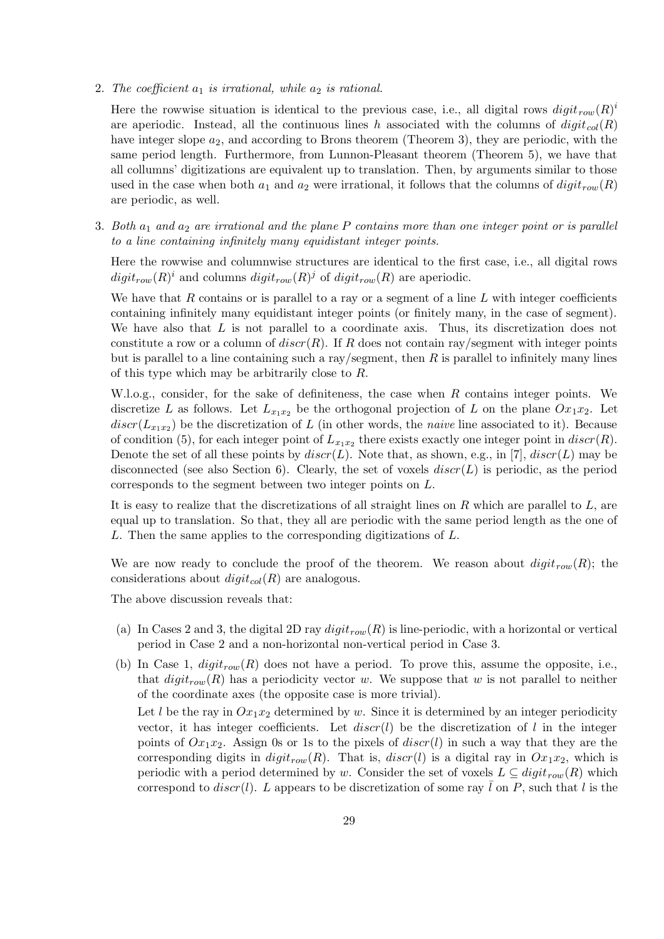2. The coefficient  $a_1$  is irrational, while  $a_2$  is rational.

Here the rowwise situation is identical to the previous case, i.e., all digital rows  $\text{digit}_{row}(R)^i$ are aperiodic. Instead, all the continuous lines h associated with the columns of  $digit_{col}(R)$ have integer slope  $a_2$ , and according to Brons theorem (Theorem 3), they are periodic, with the same period length. Furthermore, from Lunnon-Pleasant theorem (Theorem 5), we have that all collumns' digitizations are equivalent up to translation. Then, by arguments similar to those used in the case when both  $a_1$  and  $a_2$  were irrational, it follows that the columns of  $digit_{row}(R)$ are periodic, as well.

3. Both  $a_1$  and  $a_2$  are irrational and the plane P contains more than one integer point or is parallel to a line containing infinitely many equidistant integer points.

Here the rowwise and columnwise structures are identical to the first case, i.e., all digital rows  $digit_{row}(R)^{i}$  and columns  $digit_{row}(R)^{j}$  of  $digit_{row}(R)$  are aperiodic.

We have that  $R$  contains or is parallel to a ray or a segment of a line  $L$  with integer coefficients containing infinitely many equidistant integer points (or finitely many, in the case of segment). We have also that L is not parallel to a coordinate axis. Thus, its discretization does not constitute a row or a column of  $discr(R)$ . If R does not contain ray/segment with integer points but is parallel to a line containing such a ray/segment, then  $R$  is parallel to infinitely many lines of this type which may be arbitrarily close to R.

W.l.o.g., consider, for the sake of definiteness, the case when R contains integer points. We discretize L as follows. Let  $L_{x_1x_2}$  be the orthogonal projection of L on the plane  $Ox_1x_2$ . Let  $discr(L_{x_1x_2})$  be the discretization of L (in other words, the *naive* line associated to it). Because of condition (5), for each integer point of  $L_{x_1x_2}$  there exists exactly one integer point in  $discr(R)$ . Denote the set of all these points by  $discr(L)$ . Note that, as shown, e.g., in [7],  $discr(L)$  may be disconnected (see also Section 6). Clearly, the set of voxels  $discr(L)$  is periodic, as the period corresponds to the segment between two integer points on L.

It is easy to realize that the discretizations of all straight lines on  $R$  which are parallel to  $L$ , are equal up to translation. So that, they all are periodic with the same period length as the one of L. Then the same applies to the corresponding digitizations of L.

We are now ready to conclude the proof of the theorem. We reason about  $\text{digit}_{row}(R)$ ; the considerations about  $digit_{col}(R)$  are analogous.

The above discussion reveals that:

- (a) In Cases 2 and 3, the digital 2D ray  $digit_{row}(R)$  is line-periodic, with a horizontal or vertical period in Case 2 and a non-horizontal non-vertical period in Case 3.
- (b) In Case 1,  $digit_{row}(R)$  does not have a period. To prove this, assume the opposite, i.e., that  $digit_{row}(R)$  has a periodicity vector w. We suppose that w is not parallel to neither of the coordinate axes (the opposite case is more trivial).

Let l be the ray in  $Ox_1x_2$  determined by w. Since it is determined by an integer periodicity vector, it has integer coefficients. Let  $discr(l)$  be the discretization of l in the integer points of  $Ox_1x_2$ . Assign 0s or 1s to the pixels of  $discr(l)$  in such a way that they are the corresponding digits in  $digit_{row}(R)$ . That is,  $discr(l)$  is a digital ray in  $Ox_1x_2$ , which is periodic with a period determined by w. Consider the set of voxels  $L \subseteq digit_{row}(R)$  which correspond to  $discr(l)$ . L appears to be discretization of some ray  $\overline{l}$  on P, such that l is the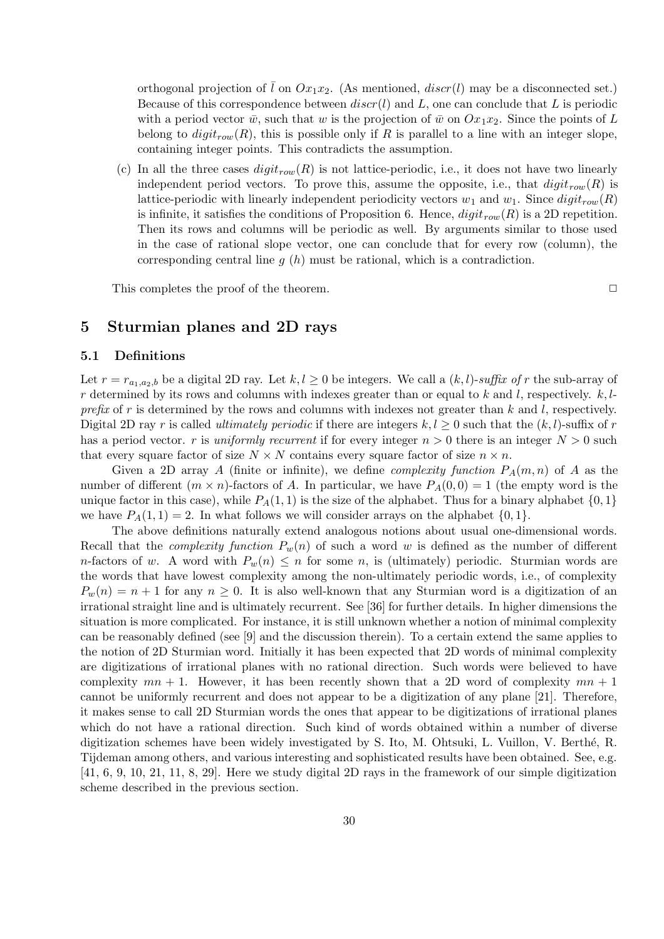orthogonal projection of  $\overline{l}$  on  $Ox_1x_2$ . (As mentioned,  $discr(l)$  may be a disconnected set.) Because of this correspondence between  $discr(l)$  and L, one can conclude that L is periodic with a period vector  $\bar{w}$ , such that w is the projection of  $\bar{w}$  on  $Ox_1x_2$ . Since the points of L belong to  $digit_{row}(R)$ , this is possible only if R is parallel to a line with an integer slope, containing integer points. This contradicts the assumption.

(c) In all the three cases  $digit_{row}(R)$  is not lattice-periodic, i.e., it does not have two linearly independent period vectors. To prove this, assume the opposite, i.e., that  $digit_{row}(R)$  is lattice-periodic with linearly independent periodicity vectors  $w_1$  and  $w_1$ . Since  $digit_{row}(R)$ is infinite, it satisfies the conditions of Proposition 6. Hence,  $digit_{row}(R)$  is a 2D repetition. Then its rows and columns will be periodic as well. By arguments similar to those used in the case of rational slope vector, one can conclude that for every row (column), the corresponding central line  $q(h)$  must be rational, which is a contradiction.

This completes the proof of the theorem.  $\Box$ 

# 5 Sturmian planes and 2D rays

# 5.1 Definitions

Let  $r = r_{a_1,a_2,b}$  be a digital 2D ray. Let  $k, l \ge 0$  be integers. We call a  $(k, l)$ -suffix of r the sub-array of r determined by its rows and columns with indexes greater than or equal to  $k$  and  $l$ , respectively.  $k, l$ prefix of r is determined by the rows and columns with indexes not greater than  $k$  and  $l$ , respectively. Digital 2D ray r is called *ultimately periodic* if there are integers  $k, l \geq 0$  such that the  $(k, l)$ -suffix of r has a period vector. r is uniformly recurrent if for every integer  $n > 0$  there is an integer  $N > 0$  such that every square factor of size  $N \times N$  contains every square factor of size  $n \times n$ .

Given a 2D array A (finite or infinite), we define *complexity function*  $P_A(m,n)$  of A as the number of different  $(m \times n)$ -factors of A. In particular, we have  $P_A(0,0) = 1$  (the empty word is the unique factor in this case), while  $P_A(1,1)$  is the size of the alphabet. Thus for a binary alphabet  $\{0,1\}$ we have  $P_A(1,1) = 2$ . In what follows we will consider arrays on the alphabet  $\{0,1\}$ .

The above definitions naturally extend analogous notions about usual one-dimensional words. Recall that the *complexity function*  $P_w(n)$  of such a word w is defined as the number of different n-factors of w. A word with  $P_w(n) \leq n$  for some n, is (ultimately) periodic. Sturmian words are the words that have lowest complexity among the non-ultimately periodic words, i.e., of complexity  $P_w(n) = n + 1$  for any  $n \geq 0$ . It is also well-known that any Sturmian word is a digitization of an irrational straight line and is ultimately recurrent. See [36] for further details. In higher dimensions the situation is more complicated. For instance, it is still unknown whether a notion of minimal complexity can be reasonably defined (see [9] and the discussion therein). To a certain extend the same applies to the notion of 2D Sturmian word. Initially it has been expected that 2D words of minimal complexity are digitizations of irrational planes with no rational direction. Such words were believed to have complexity  $mn + 1$ . However, it has been recently shown that a 2D word of complexity  $mn + 1$ cannot be uniformly recurrent and does not appear to be a digitization of any plane [21]. Therefore, it makes sense to call 2D Sturmian words the ones that appear to be digitizations of irrational planes which do not have a rational direction. Such kind of words obtained within a number of diverse digitization schemes have been widely investigated by S. Ito, M. Ohtsuki, L. Vuillon, V. Berthé, R. Tijdeman among others, and various interesting and sophisticated results have been obtained. See, e.g. [41, 6, 9, 10, 21, 11, 8, 29]. Here we study digital 2D rays in the framework of our simple digitization scheme described in the previous section.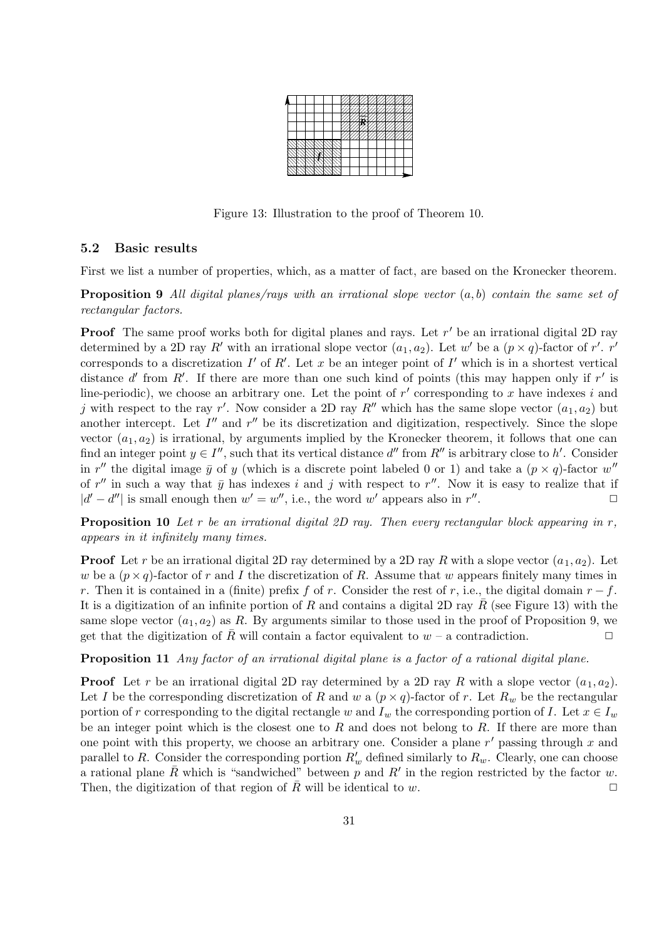|  |  |  |  |  | − | - |  | -- |   |   | ╼ |  |
|--|--|--|--|--|---|---|--|----|---|---|---|--|
|  |  |  |  |  |   |   |  |    |   | - |   |  |
|  |  |  |  |  |   |   |  |    | ٠ |   | ٠ |  |
|  |  |  |  |  |   |   |  |    |   |   |   |  |
|  |  |  |  |  |   |   |  |    |   |   |   |  |
|  |  |  |  |  |   |   |  |    |   |   |   |  |
|  |  |  |  |  |   |   |  |    |   |   |   |  |

Figure 13: Illustration to the proof of Theorem 10.

### 5.2 Basic results

First we list a number of properties, which, as a matter of fact, are based on the Kronecker theorem.

**Proposition 9** All digital planes/rays with an irrational slope vector  $(a, b)$  contain the same set of rectangular factors.

**Proof** The same proof works both for digital planes and rays. Let  $r'$  be an irrational digital 2D ray determined by a 2D ray R' with an irrational slope vector  $(a_1, a_2)$ . Let w' be a  $(p \times q)$ -factor of r'. r' corresponds to a discretization  $I'$  of  $R'$ . Let x be an integer point of  $I'$  which is in a shortest vertical distance d' from R'. If there are more than one such kind of points (this may happen only if  $r'$  is line-periodic), we choose an arbitrary one. Let the point of  $r'$  corresponding to x have indexes i and j with respect to the ray r'. Now consider a 2D ray  $R''$  which has the same slope vector  $(a_1, a_2)$  but another intercept. Let  $I''$  and  $r''$  be its discretization and digitization, respectively. Since the slope vector  $(a_1, a_2)$  is irrational, by arguments implied by the Kronecker theorem, it follows that one can find an integer point  $y \in I''$ , such that its vertical distance  $d''$  from  $R''$  is arbitrary close to  $h'$ . Consider in r'' the digital image  $\bar{y}$  of y (which is a discrete point labeled 0 or 1) and take a  $(p \times q)$ -factor w'' of r'' in such a way that  $\bar{y}$  has indexes i and j with respect to r''. Now it is easy to realize that if  $|d'-d''|$  is small enough then  $w'=w''$ , i.e., the word w' appears also in  $r''$ .  $\Box$ 

**Proposition 10** Let r be an irrational digital 2D ray. Then every rectangular block appearing in  $r$ , appears in it infinitely many times.

**Proof** Let r be an irrational digital 2D ray determined by a 2D ray R with a slope vector  $(a_1, a_2)$ . Let w be a  $(p \times q)$ -factor of r and I the discretization of R. Assume that w appears finitely many times in r. Then it is contained in a (finite) prefix f of r. Consider the rest of r, i.e., the digital domain  $r - f$ . It is a digitization of an infinite portion of R and contains a digital 2D ray  $\bar{R}$  (see Figure 13) with the same slope vector  $(a_1, a_2)$  as R. By arguments similar to those used in the proof of Proposition 9, we get that the digitization of R will contain a factor equivalent to  $w - a$  contradiction.  $\Box$ 

Proposition 11 Any factor of an irrational digital plane is a factor of a rational digital plane.

**Proof** Let r be an irrational digital 2D ray determined by a 2D ray R with a slope vector  $(a_1, a_2)$ . Let I be the corresponding discretization of R and w a  $(p \times q)$ -factor of r. Let  $R_w$  be the rectangular portion of r corresponding to the digital rectangle w and  $I_w$  the corresponding portion of I. Let  $x \in I_w$ be an integer point which is the closest one to  $R$  and does not belong to  $R$ . If there are more than one point with this property, we choose an arbitrary one. Consider a plane  $r'$  passing through x and parallel to R. Consider the corresponding portion  $R'_w$  defined similarly to  $R_w$ . Clearly, one can choose a rational plane  $\bar{R}$  which is "sandwiched" between p and R' in the region restricted by the factor w. Then, the digitization of that region of  $\overline{R}$  will be identical to w.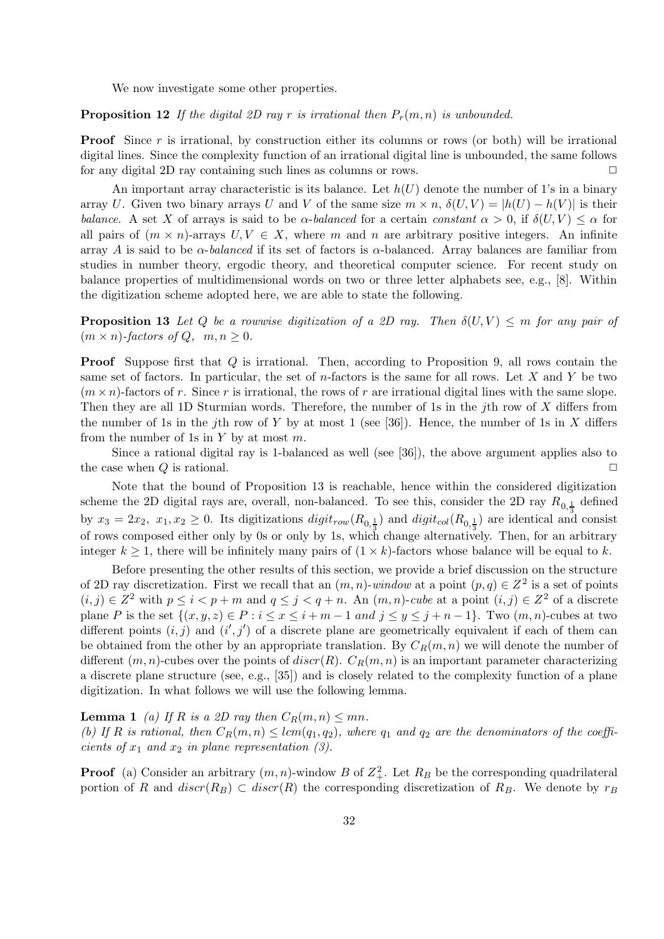We now investigate some other properties.

**Proposition 12** If the digital 2D ray r is irrational then  $P_r(m,n)$  is unbounded.

**Proof** Since r is irrational, by construction either its columns or rows (or both) will be irrational digital lines. Since the complexity function of an irrational digital line is unbounded, the same follows for any digital 2D ray containing such lines as columns or rows.  $\Box$ 

An important array characteristic is its balance. Let  $h(U)$  denote the number of 1's in a binary array U. Given two binary arrays U and V of the same size  $m \times n$ ,  $\delta(U, V) = |h(U) - h(V)|$  is their balance. A set X of arrays is said to be  $\alpha$ -balanced for a certain constant  $\alpha > 0$ , if  $\delta(U, V) \leq \alpha$  for all pairs of  $(m \times n)$ -arrays  $U, V \in X$ , where m and n are arbitrary positive integers. An infinite array A is said to be  $\alpha$ -balanced if its set of factors is  $\alpha$ -balanced. Array balances are familiar from studies in number theory, ergodic theory, and theoretical computer science. For recent study on balance properties of multidimensional words on two or three letter alphabets see, e.g., [8]. Within the digitization scheme adopted here, we are able to state the following.

**Proposition 13** Let Q be a rowwise digitization of a 2D ray. Then  $\delta(U, V) \leq m$  for any pair of  $(m \times n)$ -factors of Q,  $m, n \geq 0$ .

**Proof** Suppose first that Q is irrational. Then, according to Proposition 9, all rows contain the same set of factors. In particular, the set of  $n$ -factors is the same for all rows. Let X and Y be two  $(m \times n)$ -factors of r. Since r is irrational, the rows of r are irrational digital lines with the same slope. Then they are all 1D Sturmian words. Therefore, the number of 1s in the jth row of  $X$  differs from the number of 1s in the jth row of Y by at most 1 (see [36]). Hence, the number of 1s in X differs from the number of 1s in  $Y$  by at most  $m$ .

Since a rational digital ray is 1-balanced as well (see [36]), the above argument applies also to the case when  $Q$  is rational.  $\square$ 

Note that the bound of Proposition 13 is reachable, hence within the considered digitization scheme the 2D digital rays are, overall, non-balanced. To see this, consider the 2D ray  $R_{0,\frac{1}{3}}$  defined by  $x_3 = 2x_2$ ,  $x_1, x_2 \ge 0$ . Its digitizations  $digit_{row}(R_{0,\frac{1}{3}})$  and  $digit_{col}(R_{0,\frac{1}{3}})$  are identical and consist of rows composed either only by 0s or only by 1s, which change alternatively. Then, for an arbitrary integer  $k \geq 1$ , there will be infinitely many pairs of  $(1 \times k)$ -factors whose balance will be equal to k.

Before presenting the other results of this section, we provide a brief discussion on the structure of 2D ray discretization. First we recall that an  $(m, n)$ -window at a point  $(p, q) \in Z^2$  is a set of points  $(i, j) \in \mathbb{Z}^2$  with  $p \leq i < p+m$  and  $q \leq j < q+n$ . An  $(m, n)$ -cube at a point  $(i, j) \in \mathbb{Z}^2$  of a discrete plane P is the set  $\{(x, y, z) \in P : i \le x \le i+m-1 \text{ and } j \le y \le j+n-1\}$ . Two  $(m, n)$ -cubes at two different points  $(i, j)$  and  $(i', j')$  of a discrete plane are geometrically equivalent if each of them can be obtained from the other by an appropriate translation. By  $C_R(m, n)$  we will denote the number of different  $(m, n)$ -cubes over the points of  $discr(R)$ .  $C_R(m, n)$  is an important parameter characterizing a discrete plane structure (see, e.g., [35]) and is closely related to the complexity function of a plane digitization. In what follows we will use the following lemma.

**Lemma 1** (a) If R is a 2D ray then  $C_R(m, n) \leq mn$ .

(b) If R is rational, then  $C_R(m, n) \leq lcm(q_1, q_2)$ , where  $q_1$  and  $q_2$  are the denominators of the coefficients of  $x_1$  and  $x_2$  in plane representation (3).

**Proof** (a) Consider an arbitrary  $(m, n)$ -window B of  $Z_+^2$ . Let  $R_B$  be the corresponding quadrilateral portion of R and  $discr(R_B) \subset discr(R)$  the corresponding discretization of R<sub>B</sub>. We denote by  $r_B$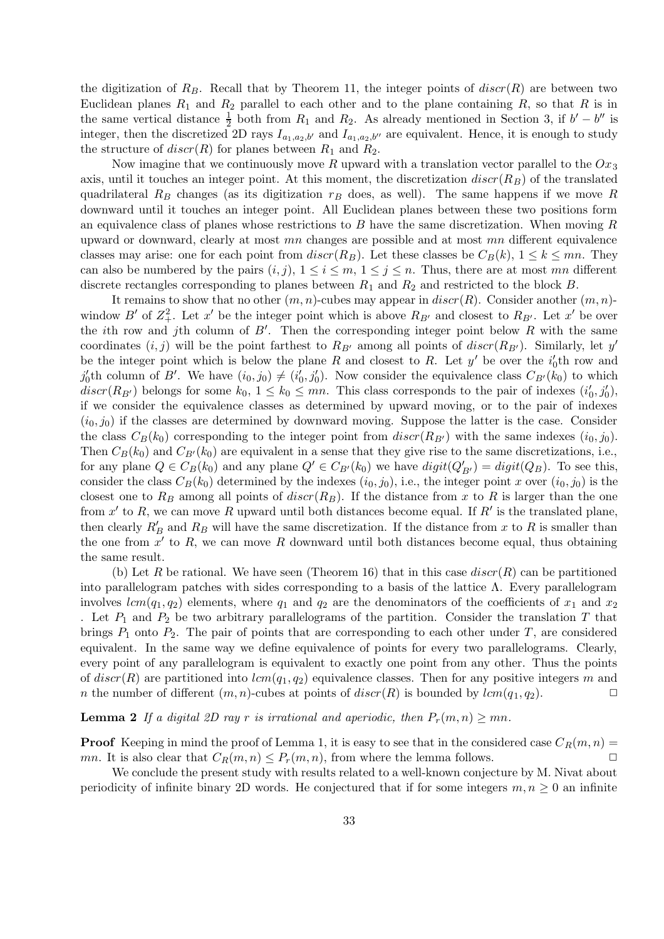the digitization of  $R_B$ . Recall that by Theorem 11, the integer points of  $discr(R)$  are between two Euclidean planes  $R_1$  and  $R_2$  parallel to each other and to the plane containing  $R$ , so that  $R$  is in the same vertical distance  $\frac{1}{2}$  both from  $R_1$  and  $R_2$ . As already mentioned in Section 3, if  $b' - b''$  is integer, then the discretized 2D rays  $I_{a_1,a_2,b'}$  and  $I_{a_1,a_2,b''}$  are equivalent. Hence, it is enough to study the structure of  $discr(R)$  for planes between  $R_1$  and  $R_2$ .

Now imagine that we continuously move R upward with a translation vector parallel to the  $Ox_3$ axis, until it touches an integer point. At this moment, the discretization  $discr(R_B)$  of the translated quadrilateral  $R_B$  changes (as its digitization  $r_B$  does, as well). The same happens if we move R downward until it touches an integer point. All Euclidean planes between these two positions form an equivalence class of planes whose restrictions to  $B$  have the same discretization. When moving  $R$ upward or downward, clearly at most  $mn$  changes are possible and at most  $mn$  different equivalence classes may arise: one for each point from  $discr(R_B)$ . Let these classes be  $C_B(k)$ ,  $1 \leq k \leq mn$ . They can also be numbered by the pairs  $(i, j)$ ,  $1 \le i \le m$ ,  $1 \le j \le n$ . Thus, there are at most mn different discrete rectangles corresponding to planes between  $R_1$  and  $R_2$  and restricted to the block B.

It remains to show that no other  $(m, n)$ -cubes may appear in  $discr(R)$ . Consider another  $(m, n)$ window B' of  $Z^2_+$ . Let x' be the integer point which is above  $R_{B'}$  and closest to  $R_{B'}$ . Let x' be over the *i*th row and *j*th column of  $B'$ . Then the corresponding integer point below R with the same coordinates  $(i, j)$  will be the point farthest to  $R_{B'}$  among all points of  $discr(R_{B'})$ . Similarly, let  $y'$ be the integer point which is below the plane R and closest to R. Let  $y'$  be over the  $i'_0$ <sup>th</sup> row and  $j'_0$ th column of B'. We have  $(i_0, j_0) \neq (i'_0, j'_0)$ . Now consider the equivalence class  $C_{B'}(k_0)$  to which  $discr(R_{B'})$  belongs for some  $k_0, 1 \leq k_0 \leq mn$ . This class corresponds to the pair of indexes  $(i'_0, j'_0)$ , if we consider the equivalence classes as determined by upward moving, or to the pair of indexes  $(i_0, j_0)$  if the classes are determined by downward moving. Suppose the latter is the case. Consider the class  $C_B(k_0)$  corresponding to the integer point from  $discr(R_{B'})$  with the same indexes  $(i_0, j_0)$ . Then  $C_B(k_0)$  and  $C_{B'}(k_0)$  are equivalent in a sense that they give rise to the same discretizations, i.e., for any plane  $Q \in C_B(k_0)$  and any plane  $Q' \in C_{B'}(k_0)$  we have  $digit(Q'_{B'}) = digit(Q_B)$ . To see this, consider the class  $C_B(k_0)$  determined by the indexes  $(i_0, j_0)$ , i.e., the integer point x over  $(i_0, j_0)$  is the closest one to  $R_B$  among all points of  $discr(R_B)$ . If the distance from x to R is larger than the one from  $x'$  to R, we can move R upward until both distances become equal. If  $R'$  is the translated plane, then clearly  $R'_B$  and  $R_B$  will have the same discretization. If the distance from x to R is smaller than the one from  $x'$  to R, we can move R downward until both distances become equal, thus obtaining the same result.

(b) Let R be rational. We have seen (Theorem 16) that in this case  $discr(R)$  can be partitioned into parallelogram patches with sides corresponding to a basis of the lattice  $\Lambda$ . Every parallelogram involves  $lcm(q_1, q_2)$  elements, where  $q_1$  and  $q_2$  are the denominators of the coefficients of  $x_1$  and  $x_2$ . Let  $P_1$  and  $P_2$  be two arbitrary parallelograms of the partition. Consider the translation T that brings  $P_1$  onto  $P_2$ . The pair of points that are corresponding to each other under  $T$ , are considered equivalent. In the same way we define equivalence of points for every two parallelograms. Clearly, every point of any parallelogram is equivalent to exactly one point from any other. Thus the points of  $discr(R)$  are partitioned into  $lcm(q_1, q_2)$  equivalence classes. Then for any positive integers m and n the number of different  $(m, n)$ -cubes at points of  $discr(R)$  is bounded by  $lcm(q_1, q_2)$ .

**Lemma 2** If a digital 2D ray r is irrational and aperiodic, then  $P_r(m,n) \geq mn$ .

**Proof** Keeping in mind the proof of Lemma 1, it is easy to see that in the considered case  $C_R(m, n)$  = mn. It is also clear that  $C_R(m, n) \leq P_r(m, n)$ , from where the lemma follows.

We conclude the present study with results related to a well-known conjecture by M. Nivat about periodicity of infinite binary 2D words. He conjectured that if for some integers  $m, n \geq 0$  an infinite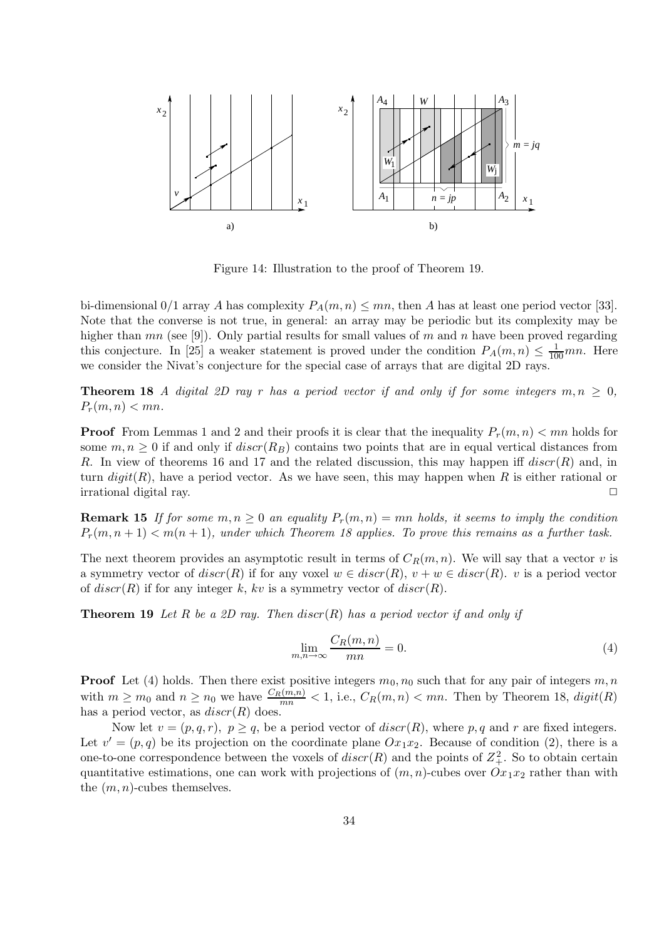

Figure 14: Illustration to the proof of Theorem 19.

bi-dimensional  $0/1$  array A has complexity  $P_A(m, n) \leq mn$ , then A has at least one period vector [33]. Note that the converse is not true, in general: an array may be periodic but its complexity may be higher than  $mn$  (see [9]). Only partial results for small values of m and n have been proved regarding this conjecture. In [25] a weaker statement is proved under the condition  $P_A(m,n) \leq \frac{1}{100}mn$ . Here we consider the Nivat's conjecture for the special case of arrays that are digital 2D rays.

**Theorem 18** A digital 2D ray r has a period vector if and only if for some integers  $m, n \geq 0$ ,  $P_r(m, n) < mn$ .

**Proof** From Lemmas 1 and 2 and their proofs it is clear that the inequality  $P_r(m, n) < mn$  holds for some  $m, n \geq 0$  if and only if  $discr(R_B)$  contains two points that are in equal vertical distances from R. In view of theorems 16 and 17 and the related discussion, this may happen iff  $discr(R)$  and, in turn  $digit(R)$ , have a period vector. As we have seen, this may happen when R is either rational or irrational digital ray.  $□$ 

**Remark 15** If for some  $m, n \geq 0$  an equality  $P_r(m, n) = mn$  holds, it seems to imply the condition  $P_r(m, n+1) < m(n+1)$ , under which Theorem 18 applies. To prove this remains as a further task.

The next theorem provides an asymptotic result in terms of  $C_R(m, n)$ . We will say that a vector v is a symmetry vector of  $discr(R)$  if for any voxel  $w \in discr(R)$ ,  $v + w \in discr(R)$ . v is a period vector of  $discr(R)$  if for any integer k, kv is a symmetry vector of  $discr(R)$ .

**Theorem 19** Let R be a 2D ray. Then  $discr(R)$  has a period vector if and only if

$$
\lim_{m,n \to \infty} \frac{C_R(m,n)}{mn} = 0.
$$
\n(4)

**Proof** Let (4) holds. Then there exist positive integers  $m_0$ ,  $n_0$  such that for any pair of integers  $m, n$ with  $m \geq m_0$  and  $n \geq n_0$  we have  $\frac{C_R(m,n)}{mn} < 1$ , i.e.,  $C_R(m,n) < mn$ . Then by Theorem 18,  $digit(R)$ has a period vector, as  $discr(R)$  does.

Now let  $v = (p, q, r)$ ,  $p \ge q$ , be a period vector of  $discr(R)$ , where p, q and r are fixed integers. Let  $v' = (p, q)$  be its projection on the coordinate plane  $Ox_1x_2$ . Because of condition (2), there is a one-to-one correspondence between the voxels of  $discr(R)$  and the points of  $Z<sub>+</sub><sup>2</sup>$ . So to obtain certain quantitative estimations, one can work with projections of  $(m, n)$ -cubes over  $Ox_1x_2$  rather than with the  $(m, n)$ -cubes themselves.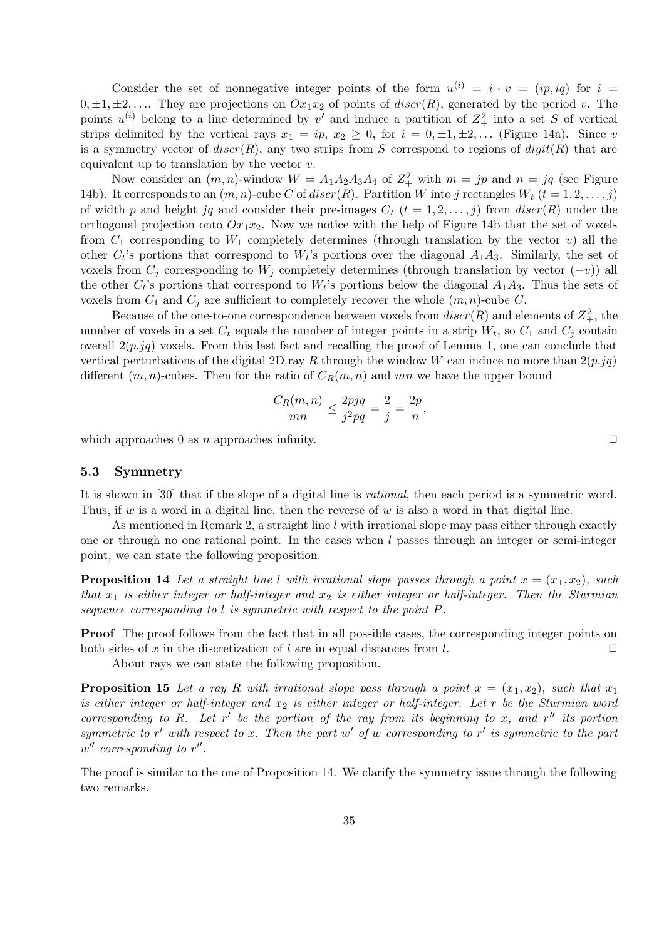Consider the set of nonnegative integer points of the form  $u^{(i)} = i \cdot v = (ip, iq)$  for  $i =$  $0, \pm 1, \pm 2, \ldots$  They are projections on  $Ox_1x_2$  of points of  $discr(R)$ , generated by the period v. The points  $u^{(i)}$  belong to a line determined by v' and induce a partition of  $Z_+^2$  into a set S of vertical strips delimited by the vertical rays  $x_1 = ip$ ,  $x_2 \ge 0$ , for  $i = 0, \pm 1, \pm 2, \ldots$  (Figure 14a). Since v is a symmetry vector of  $discr(R)$ , any two strips from S correspond to regions of  $digit(R)$  that are equivalent up to translation by the vector  $v$ .

Now consider an  $(m, n)$ -window  $W = A_1 A_2 A_3 A_4$  of  $Z_+^2$  with  $m = jp$  and  $n = jq$  (see Figure 14b). It corresponds to an  $(m, n)$ -cube C of discr(R). Partition W into j rectangles  $W_t$   $(t = 1, 2, \ldots, j)$ of width p and height jq and consider their pre-images  $C_t$   $(t = 1, 2, \ldots, j)$  from  $discr(R)$  under the orthogonal projection onto  $Ox_1x_2$ . Now we notice with the help of Figure 14b that the set of voxels from  $C_1$  corresponding to  $W_1$  completely determines (through translation by the vector v) all the other  $C_t$ 's portions that correspond to  $W_t$ 's portions over the diagonal  $A_1A_3$ . Similarly, the set of voxels from  $C_i$  corresponding to  $W_i$  completely determines (through translation by vector  $(-v)$ ) all the other  $C_t$ 's portions that correspond to  $W_t$ 's portions below the diagonal  $A_1A_3$ . Thus the sets of voxels from  $C_1$  and  $C_j$  are sufficient to completely recover the whole  $(m, n)$ -cube C.

Because of the one-to-one correspondence between voxels from  $discr(R)$  and elements of  $Z<sub>+</sub><sup>2</sup>$ , the number of voxels in a set  $C_t$  equals the number of integer points in a strip  $W_t$ , so  $C_1$  and  $C_j$  contain overall  $2(p, jq)$  voxels. From this last fact and recalling the proof of Lemma 1, one can conclude that vertical perturbations of the digital 2D ray R through the window W can induce no more than  $2(p, jq)$ different  $(m, n)$ -cubes. Then for the ratio of  $C_R(m, n)$  and mn we have the upper bound

$$
\frac{C_R(m,n)}{mn} \le \frac{2pjq}{j^2pq} = \frac{2}{j} = \frac{2p}{n},
$$

which approaches 0 as n approaches infinity.  $\Box$ 

### 5.3 Symmetry

It is shown in [30] that if the slope of a digital line is rational, then each period is a symmetric word. Thus, if  $w$  is a word in a digital line, then the reverse of  $w$  is also a word in that digital line.

As mentioned in Remark 2, a straight line l with irrational slope may pass either through exactly one or through no one rational point. In the cases when  $l$  passes through an integer or semi-integer point, we can state the following proposition.

**Proposition 14** Let a straight line l with irrational slope passes through a point  $x = (x_1, x_2)$ , such that  $x_1$  is either integer or half-integer and  $x_2$  is either integer or half-integer. Then the Sturmian sequence corresponding to l is symmetric with respect to the point P.

**Proof** The proof follows from the fact that in all possible cases, the corresponding integer points on both sides of x in the discretization of l are in equal distances from l.  $\Box$ 

About rays we can state the following proposition.

**Proposition 15** Let a ray R with irrational slope pass through a point  $x = (x_1, x_2)$ , such that  $x_1$ is either integer or half-integer and  $x_2$  is either integer or half-integer. Let r be the Sturmian word corresponding to R. Let  $r'$  be the portion of the ray from its beginning to x, and  $r''$  its portion symmetric to r' with respect to x. Then the part  $w'$  of w corresponding to r' is symmetric to the part  $w''$  corresponding to  $r''$ .

The proof is similar to the one of Proposition 14. We clarify the symmetry issue through the following two remarks.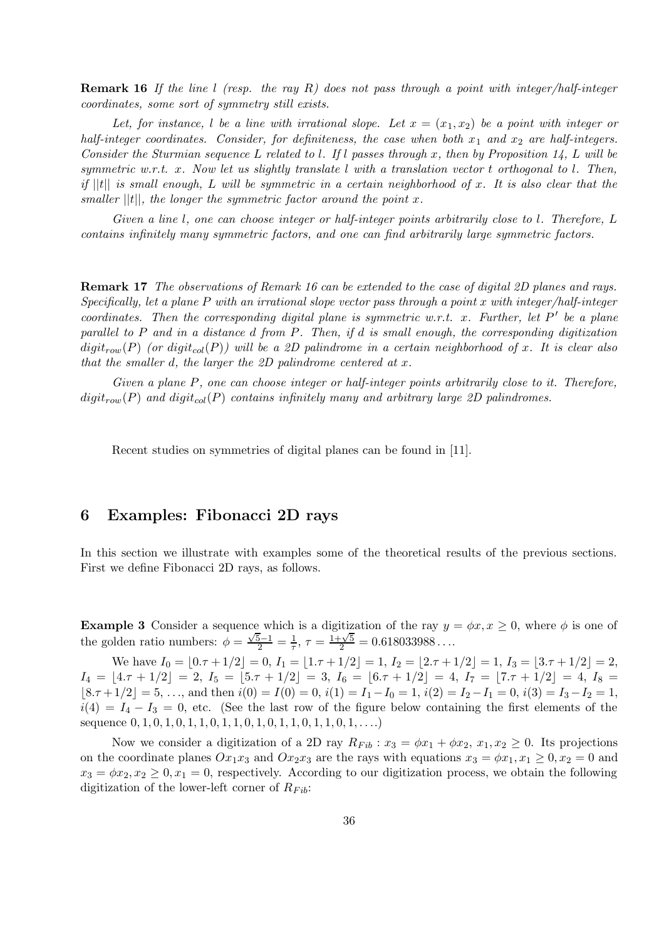**Remark 16** If the line l (resp. the ray R) does not pass through a point with integer/half-integer coordinates, some sort of symmetry still exists.

Let, for instance, l be a line with irrational slope. Let  $x = (x_1, x_2)$  be a point with integer or half-integer coordinates. Consider, for definiteness, the case when both  $x_1$  and  $x_2$  are half-integers. Consider the Sturmian sequence L related to l. If l passes through x, then by Proposition 14, L will be symmetric w.r.t. x. Now let us slightly translate  $l$  with a translation vector  $t$  orthogonal to  $l$ . Then, if  $||t||$  is small enough, L will be symmetric in a certain neighborhood of x. It is also clear that the smaller  $||t||$ , the longer the symmetric factor around the point x.

Given a line l, one can choose integer or half-integer points arbitrarily close to l. Therefore, L contains infinitely many symmetric factors, and one can find arbitrarily large symmetric factors.

Remark 17 The observations of Remark 16 can be extended to the case of digital 2D planes and rays. Specifically, let a plane P with an irrational slope vector pass through a point x with integer/half-integer coordinates. Then the corresponding digital plane is symmetric w.r.t. x. Further, let  $P'$  be a plane parallel to P and in a distance d from P. Then, if d is small enough, the corresponding digitization  $digit_{row}(P)$  (or  $digit_{col}(P)$ ) will be a 2D palindrome in a certain neighborhood of x. It is clear also that the smaller d, the larger the 2D palindrome centered at  $x$ .

Given a plane P, one can choose integer or half-integer points arbitrarily close to it. Therefore,  $digit_{row}(P)$  and  $digit_{col}(P)$  contains infinitely many and arbitrary large 2D palindromes.

Recent studies on symmetries of digital planes can be found in [11].

# 6 Examples: Fibonacci 2D rays

In this section we illustrate with examples some of the theoretical results of the previous sections. First we define Fibonacci 2D rays, as follows.

**Example 3** Consider a sequence which is a digitization of the ray  $y = \phi x, x \ge 0$ , where  $\phi$  is one of the golden ratio numbers:  $\phi = \frac{\sqrt{5}-1}{2} = \frac{1}{\tau}, \tau = \frac{1+\sqrt{5}}{2} = 0.618033988...$ 

We have  $I_0 = [0.\tau + 1/2] = 0$ ,  $I_1 = [1.\tau + 1/2] = 1$ ,  $I_2 = [2.\tau + 1/2] = 1$ ,  $I_3 = [3.\tau + 1/2] = 2$ ,  $I_4 = \lfloor 4.\tau + 1/2 \rfloor = 2, I_5 = \lfloor 5.\tau + 1/2 \rfloor = 3, I_6 = \lfloor 6.\tau + 1/2 \rfloor = 4, I_7 = \lfloor 7.\tau + 1/2 \rfloor = 4, I_8 =$  $|8 \cdot \tau + 1/2| = 5, \ldots$ , and then  $i(0) = I(0) = 0$ ,  $i(1) = I_1 - I_0 = 1$ ,  $i(2) = I_2 - I_1 = 0$ ,  $i(3) = I_3 - I_2 = 1$ ,  $i(4) = I_4 - I_3 = 0$ , etc. (See the last row of the figure below containing the first elements of the sequence  $0, 1, 0, 1, 0, 1, 1, 0, 1, 1, 0, 1, 0, 1, 1, 0, 1, 1, 0, 1, \ldots$ 

Now we consider a digitization of a 2D ray  $R_{Fib}$ :  $x_3 = \phi x_1 + \phi x_2, x_1, x_2 \ge 0$ . Its projections on the coordinate planes  $Ox_1x_3$  and  $Ox_2x_3$  are the rays with equations  $x_3 = \phi x_1, x_1 \geq 0, x_2 = 0$  and  $x_3 = \phi x_2, x_2 \geq 0, x_1 = 0$ , respectively. According to our digitization process, we obtain the following digitization of the lower-left corner of  $R_{Fib}$ :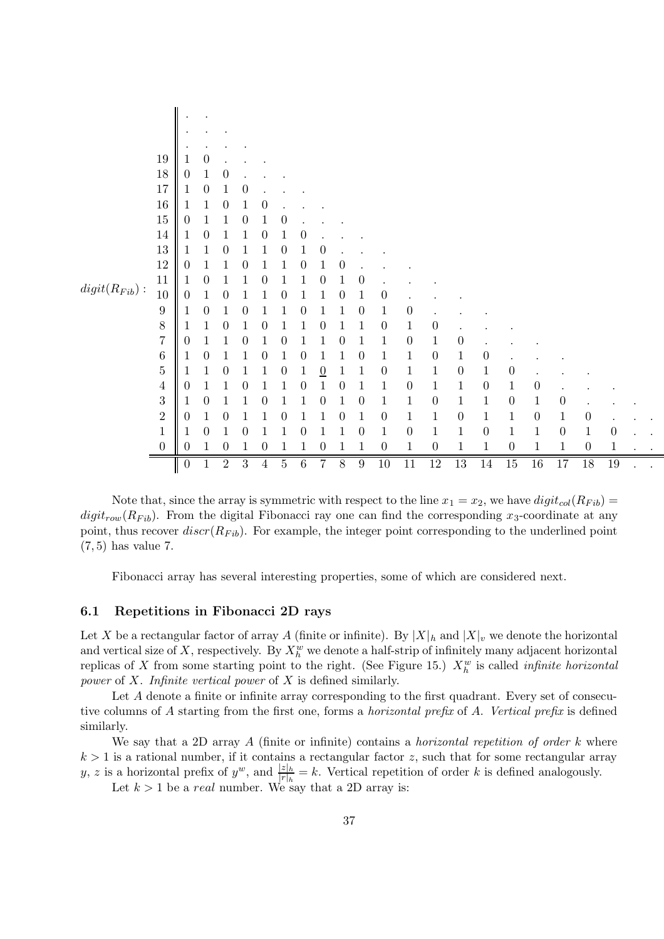|                             | 19               |                  | 0                |                |          |                  |                |                  |                  |                  |                  |                  |                  |                  |                  |                  |                  |                  |                  |                  |              |  |
|-----------------------------|------------------|------------------|------------------|----------------|----------|------------------|----------------|------------------|------------------|------------------|------------------|------------------|------------------|------------------|------------------|------------------|------------------|------------------|------------------|------------------|--------------|--|
|                             | 18               | $\theta$         |                  | 0              |          |                  |                |                  |                  |                  |                  |                  |                  |                  |                  |                  |                  |                  |                  |                  |              |  |
|                             | $17\,$           | 1                | $\boldsymbol{0}$ |                | 0        |                  |                |                  |                  |                  |                  |                  |                  |                  |                  |                  |                  |                  |                  |                  |              |  |
|                             | $16\,$           |                  |                  | 0              |          | 0                |                |                  |                  |                  |                  |                  |                  |                  |                  |                  |                  |                  |                  |                  |              |  |
|                             | $15\,$           | $\theta$         |                  |                | $\theta$ |                  | $\theta$       |                  |                  |                  |                  |                  |                  |                  |                  |                  |                  |                  |                  |                  |              |  |
|                             | $14\,$           |                  | 0                |                |          | 0                |                | $\boldsymbol{0}$ |                  |                  |                  |                  |                  |                  |                  |                  |                  |                  |                  |                  |              |  |
|                             | $13\,$           | 1                |                  |                |          |                  | $\theta$       |                  | 0                |                  |                  |                  |                  |                  |                  |                  |                  |                  |                  |                  |              |  |
|                             | $12\,$           | $\boldsymbol{0}$ |                  |                |          |                  |                | 0                |                  | $\boldsymbol{0}$ |                  |                  |                  |                  |                  |                  |                  |                  |                  |                  |              |  |
| $\mathit{digit}(R_{Fib})$ : | $11\,$           | 1                | 0                |                |          |                  |                |                  | $\boldsymbol{0}$ | $\mathbf 1$      | $\boldsymbol{0}$ |                  |                  |                  |                  |                  |                  |                  |                  |                  |              |  |
|                             | 10               | 0                |                  |                |          |                  |                |                  |                  | $\boldsymbol{0}$ |                  | $\boldsymbol{0}$ |                  |                  |                  |                  |                  |                  |                  |                  |              |  |
|                             | $\boldsymbol{9}$ | 1                | 0                |                | 0        |                  |                | 0                |                  | 1                | $\boldsymbol{0}$ | $\mathbf 1$      | $\boldsymbol{0}$ |                  |                  |                  |                  |                  |                  |                  |              |  |
|                             | $\,8\,$          | Т                |                  | 0              |          | $\left( \right)$ |                |                  | 0                |                  |                  | $\boldsymbol{0}$ | $\mathbf 1$      | $\boldsymbol{0}$ |                  |                  |                  |                  |                  |                  |              |  |
|                             | $\overline{7}$   | 0                |                  |                |          |                  |                |                  |                  | 0                |                  | $\mathbf{1}$     | $\boldsymbol{0}$ | $\mathbf 1$      | $\boldsymbol{0}$ |                  |                  |                  |                  |                  |              |  |
|                             | $\,$ 6 $\,$      | 1                | 0                |                |          | 0                |                | $\boldsymbol{0}$ |                  | 1                | $\boldsymbol{0}$ | $\mathbf{1}$     | $\mathbf{1}$     | $\boldsymbol{0}$ | $\mathbf 1$      | $\boldsymbol{0}$ |                  |                  |                  |                  |              |  |
|                             | $\overline{5}$   | Ц                |                  | 0              |          |                  | $\theta$       | 1                | $\overline{0}$   | 1                |                  | $\boldsymbol{0}$ | $\mathbf{1}$     | $\mathbf{1}$     | $\boldsymbol{0}$ | $\mathbf{1}$     | $\boldsymbol{0}$ |                  |                  |                  |              |  |
|                             | $\overline{4}$   | $\boldsymbol{0}$ |                  |                | 0        |                  |                | 0                |                  | $\boldsymbol{0}$ |                  | $\,1$            | $\theta$         | $\mathbf{1}$     | $\,1$            | $\boldsymbol{0}$ | $\!1\!$          | $\theta$         |                  |                  |              |  |
|                             | 3                | 1                | 0                |                |          | 0                |                |                  | $\boldsymbol{0}$ | $\mathbf{1}$     | 0                | $\mathbf{1}$     | $\mathbf 1$      | $\boldsymbol{0}$ | $\!1\!$          | $\mathbf{1}$     | $\boldsymbol{0}$ | 1                | $\rm 0$          |                  |              |  |
|                             | $\overline{2}$   | $\theta$         |                  | 0              |          |                  |                |                  |                  | $\boldsymbol{0}$ |                  | $\boldsymbol{0}$ | $\mathbf{1}$     | $\mathbf{1}$     | $\boldsymbol{0}$ | $\mathbf 1$      | $\,1$            | $\boldsymbol{0}$ | 1                | $\boldsymbol{0}$ |              |  |
|                             | $\mathbf 1$      |                  | 0                |                | 0        |                  |                | $\theta$         |                  | $\mathbf{1}$     | 0                | $\,1$            | $\boldsymbol{0}$ | $1\,$            | $\,1$            | $\overline{0}$   | $\mathbf{1}$     | $\mathbf{1}$     | $\boldsymbol{0}$ | $\mathbf{1}$     | 0            |  |
|                             | $\boldsymbol{0}$ | 0                |                  | 0              |          | 0                |                | 1                | $\boldsymbol{0}$ | 1                | 1                | $\boldsymbol{0}$ | $1\,$            | $\boldsymbol{0}$ | $1\,$            | $\mathbf{1}$     | $\boldsymbol{0}$ | $\mathbf 1$      | 1                | $\boldsymbol{0}$ | $\mathbf{1}$ |  |
|                             | $\mathsf{I}$     | $\boldsymbol{0}$ |                  | $\overline{2}$ | 3        | 4                | $\overline{5}$ | 6                | $\overline{7}$   | 8                | $\boldsymbol{9}$ | $\overline{10}$  | 11               | 12               | $\overline{13}$  | $14\,$           | $\overline{15}$  | $\overline{16}$  | 17               | 18               | 19           |  |

Note that, since the array is symmetric with respect to the line  $x_1 = x_2$ , we have  $digit_{col}(R_{Fib})$  $digit_{row}(R_{Fib})$ . From the digital Fibonacci ray one can find the corresponding x<sub>3</sub>-coordinate at any point, thus recover  $discr(R_{Fib})$ . For example, the integer point corresponding to the underlined point (7, 5) has value 7.

Fibonacci array has several interesting properties, some of which are considered next.

#### 6.1 Repetitions in Fibonacci 2D rays

Let X be a rectangular factor of array A (finite or infinite). By  $|X|_h$  and  $|X|_v$  we denote the horizontal and vertical size of X, respectively. By  $X_h^w$  we denote a half-strip of infinitely many adjacent horizontal replicas of X from some starting point to the right. (See Figure 15.)  $X_h^w$  is called *infinite horizontal* power of X. Infinite vertical power of X is defined similarly.

Let A denote a finite or infinite array corresponding to the first quadrant. Every set of consecutive columns of A starting from the first one, forms a *horizontal prefix* of A. Vertical prefix is defined similarly.

We say that a 2D array  $A$  (finite or infinite) contains a *horizontal repetition of order k* where  $k > 1$  is a rational number, if it contains a rectangular factor z, such that for some rectangular array y, z is a horizontal prefix of  $y^w$ , and  $\frac{|z|_h}{|r|_h} = k$ . Vertical repetition of order k is defined analogously.

Let  $k > 1$  be a real number. We say that a 2D array is: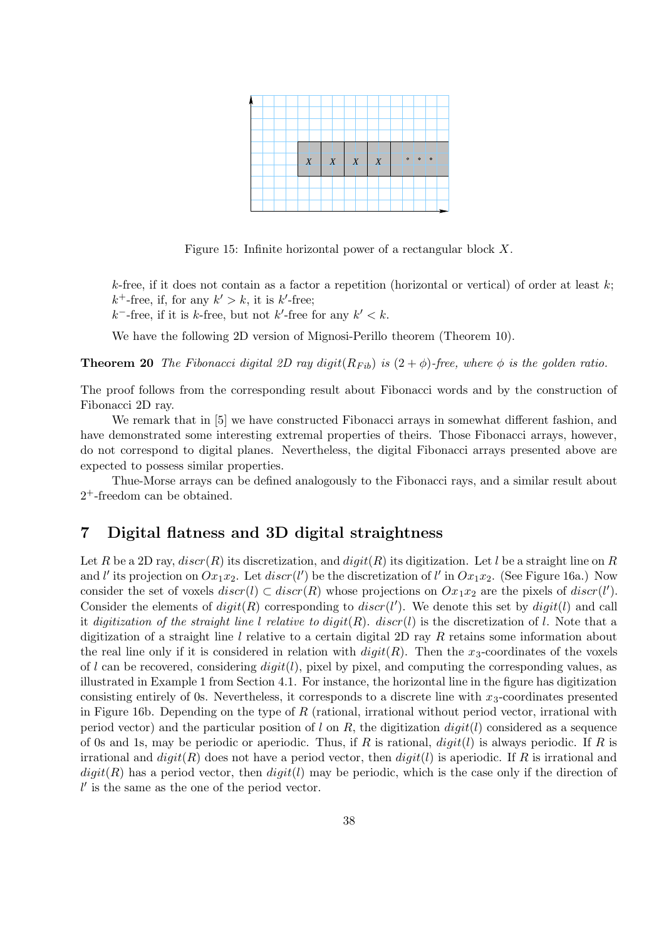

Figure 15: Infinite horizontal power of a rectangular block X.

k-free, if it does not contain as a factor a repetition (horizontal or vertical) of order at least  $k$ ;  $k^+$ -free, if, for any  $k' > k$ , it is  $k'$ -free;

 $k^-$ -free, if it is k-free, but not k'-free for any  $k' < k$ .

We have the following 2D version of Mignosi-Perillo theorem (Theorem 10).

**Theorem 20** The Fibonacci digital 2D ray digit( $R_{Fib}$ ) is  $(2 + \phi)$ -free, where  $\phi$  is the golden ratio.

The proof follows from the corresponding result about Fibonacci words and by the construction of Fibonacci 2D ray.

We remark that in [5] we have constructed Fibonacci arrays in somewhat different fashion, and have demonstrated some interesting extremal properties of theirs. Those Fibonacci arrays, however, do not correspond to digital planes. Nevertheless, the digital Fibonacci arrays presented above are expected to possess similar properties.

Thue-Morse arrays can be defined analogously to the Fibonacci rays, and a similar result about 2 <sup>+</sup>-freedom can be obtained.

# 7 Digital flatness and 3D digital straightness

Let R be a 2D ray,  $discr(R)$  its discretization, and  $digit(R)$  its digitization. Let l be a straight line on R and l' its projection on  $Ox_1x_2$ . Let  $discr(l')$  be the discretization of l' in  $Ox_1x_2$ . (See Figure 16a.) Now consider the set of voxels  $discr(l) \subset discr(R)$  whose projections on  $Ox_1x_2$  are the pixels of  $discr(l')$ . Consider the elements of  $digit(R)$  corresponding to  $discr(l')$ . We denote this set by  $digit(l)$  and call it digitization of the straight line l relative to  $digit(R)$ .  $discr(l)$  is the discretization of l. Note that a digitization of a straight line l relative to a certain digital 2D ray R retains some information about the real line only if it is considered in relation with  $digit(R)$ . Then the x<sub>3</sub>-coordinates of the voxels of l can be recovered, considering  $digit(l)$ , pixel by pixel, and computing the corresponding values, as illustrated in Example 1 from Section 4.1. For instance, the horizontal line in the figure has digitization consisting entirely of 0s. Nevertheless, it corresponds to a discrete line with  $x_3$ -coordinates presented in Figure 16b. Depending on the type of  $R$  (rational, irrational without period vector, irrational with period vector) and the particular position of l on R, the digitization  $digit(l)$  considered as a sequence of 0s and 1s, may be periodic or aperiodic. Thus, if R is rational,  $digit(l)$  is always periodic. If R is irrational and  $digit(R)$  does not have a period vector, then  $digit(l)$  is aperiodic. If R is irrational and  $digit(R)$  has a period vector, then  $digit(l)$  may be periodic, which is the case only if the direction of  $l'$  is the same as the one of the period vector.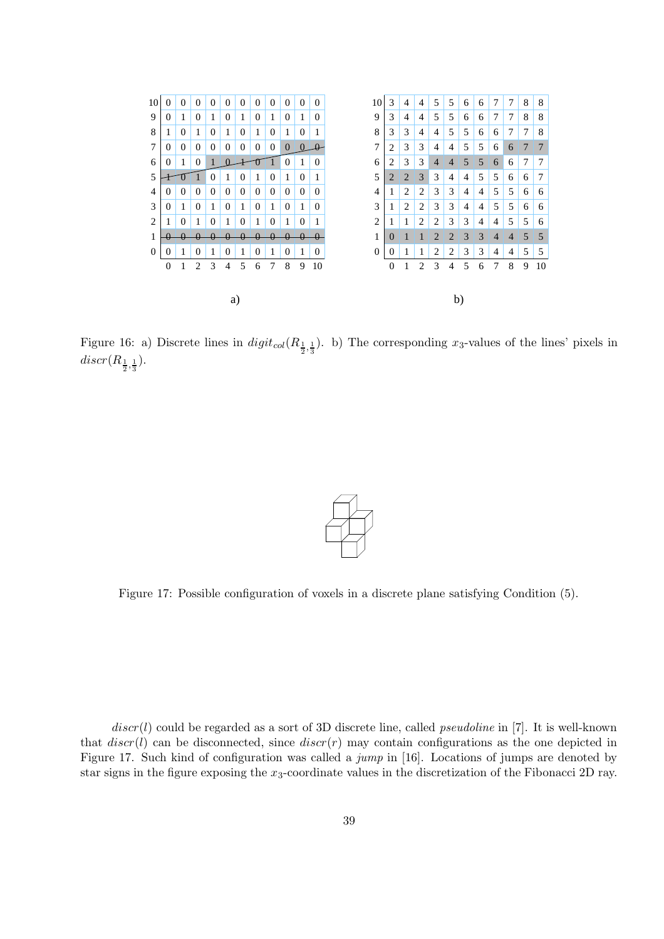

Figure 16: a) Discrete lines in  $digit_{col}(R_{\frac{1}{2},\frac{1}{3}})$ . b) The corresponding  $x_3$ -values of the lines' pixels in  $discr(R_{\frac{1}{2},\frac{1}{3}}).$ 



Figure 17: Possible configuration of voxels in a discrete plane satisfying Condition (5).

 $discr(l)$  could be regarded as a sort of 3D discrete line, called *pseudoline* in [7]. It is well-known that  $discr(l)$  can be disconnected, since  $discr(r)$  may contain configurations as the one depicted in Figure 17. Such kind of configuration was called a jump in [16]. Locations of jumps are denoted by star signs in the figure exposing the  $x_3$ -coordinate values in the discretization of the Fibonacci 2D ray.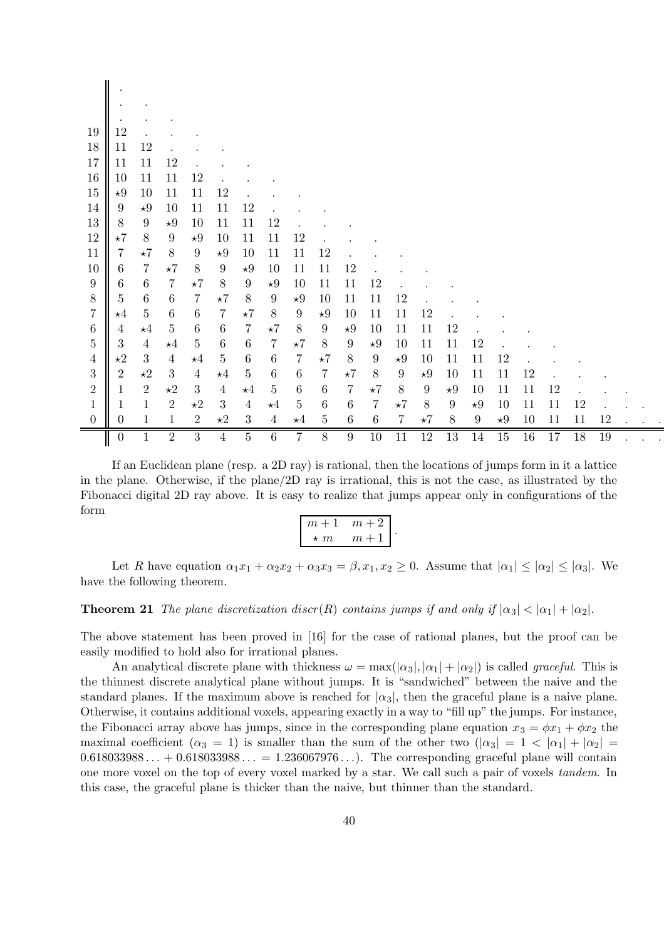|                            | $\boldsymbol{0}$      |                            | $\overline{2}$          | 3                | $\overline{4}$                     | $\overline{5}$              | 6                    | 7                  | 8                          | $\boldsymbol{9}$ | $10\,$                      | 11                 | $\overline{12}$           | 13                            | 14                            | 15        | 16       | 17       | 18 | 19 |  |  |
|----------------------------|-----------------------|----------------------------|-------------------------|------------------|------------------------------------|-----------------------------|----------------------|--------------------|----------------------------|------------------|-----------------------------|--------------------|---------------------------|-------------------------------|-------------------------------|-----------|----------|----------|----|----|--|--|
| $\overline{0}$             | 1<br>$\boldsymbol{0}$ | $\mathbf{1}$               | 1                       | $\overline{2}$   | $\star 2$                          | $\boldsymbol{3}$            | $\overline{4}$       | $\star$ 4          | $\overline{5}$             | $\,6\,$          | $\,6\,$                     | 7                  | $\star 7$                 | $8\,$                         | $\star 9$<br>$\boldsymbol{9}$ | $\star 9$ | 10       | 11<br>11 | 11 | 12 |  |  |
| $\sqrt{2}$<br>$\mathbf{1}$ | 1                     | $\sqrt{2}$<br>$\mathbf{1}$ | $\star 2$<br>$\sqrt{2}$ | 3<br>$\star 2$   | $\overline{4}$<br>$\boldsymbol{3}$ | $\star 4$<br>$\overline{4}$ | $\bf 5$<br>$\star 4$ | $\,6\,$<br>$\bf 5$ | $\,6\,$<br>$6\phantom{.}6$ | $\,7$<br>$\,6\,$ | $\star 7$<br>$\overline{7}$ | $8\,$<br>$\star 7$ | $\boldsymbol{9}$<br>$8\,$ | $\star 9$<br>$\boldsymbol{9}$ | 10                            | 11<br>10  | 11<br>11 | 12       | 12 |    |  |  |
| 3                          | $\boldsymbol{2}$      | $\star 2$                  | $\sqrt{3}$              | $\overline{4}$   | $\star 4$                          | $\bf 5$                     | $\,6\,$              | $\,6\,$            | $\overline{7}$             | $\star 7$        | $8\,$                       | $\boldsymbol{9}$   | $\star 9$                 | 10                            | 11                            | 11        | 12       |          |    |    |  |  |
| 4                          | $\star 2$             | 3                          | $\overline{4}$          | $\star 4$        | $\bf 5$                            | $\,6\,$                     | $\,6\,$              | $\overline{7}$     | $\star 7$                  | $8\,$            | $\boldsymbol{9}$            | $\star 9$          | 10                        | 11                            | 11                            | 12        |          |          |    |    |  |  |
| $\overline{5}$             | $\sqrt{3}$            | $\overline{4}$             | $\star 4$               | $\overline{5}$   | $\,6\,$                            | $\,6\,$                     | $\,7$                | $\star 7$          | $8\,$                      | $\boldsymbol{9}$ | $\star 9$                   | 10                 | 11                        | 11                            | 12                            |           |          |          |    |    |  |  |
| $\boldsymbol{6}$           | 4                     | $\star 4$                  | $\bf 5$                 | $\,6\,$          | $6\,$                              | $\,7$                       | $\star 7$            | $8\,$              | 9                          | $\star 9$        | 10                          | 11                 | 11                        | 12                            |                               |           |          |          |    |    |  |  |
| $\overline{7}$             | $\star 4$             | $\bf 5$                    | $\,6\,$                 | $\,6\,$          | $\overline{7}$                     | $\star 7$                   | $8\,$                | $\boldsymbol{9}$   | $\star 9$                  | 10               | 11                          | 11                 | 12                        |                               |                               |           |          |          |    |    |  |  |
| 8                          | $\overline{5}$        | $\,6\,$                    | $\,6\,$                 | $\overline{7}$   | $\star 7$                          | $8\,$                       | $\boldsymbol{9}$     | $\star 9$          | 10                         | 11               | 11                          | 12                 |                           |                               |                               |           |          |          |    |    |  |  |
| $\boldsymbol{9}$           | $\,6\,$               | $\,6\,$                    | $\overline{7}$          | $\star 7$        | 8                                  | $\boldsymbol{9}$            | $\star 9$            | 10                 | 11                         | 11               | 12                          |                    |                           |                               |                               |           |          |          |    |    |  |  |
| 10                         | $\,6\,$               | $\overline{7}$             | $\star 7$               | $8\,$            | $\boldsymbol{9}$                   | $\star 9$                   | 10                   | 11                 | 11                         | 12               |                             |                    |                           |                               |                               |           |          |          |    |    |  |  |
| 11                         | 7                     | $\star 7$                  | $8\,$                   | $\boldsymbol{9}$ | $\star 9$                          | 10                          | 11                   | 11                 | 12                         |                  |                             |                    |                           |                               |                               |           |          |          |    |    |  |  |
| 12                         | $\star 7$             | $8\,$                      | $9\phantom{.0}$         | $\star 9$        | 10                                 | 11                          | 11                   | 12                 |                            |                  |                             |                    |                           |                               |                               |           |          |          |    |    |  |  |
| 13                         | $8\,$                 | 9                          | $\star 9$               | 10               | 11                                 | 11                          | 12                   |                    |                            |                  |                             |                    |                           |                               |                               |           |          |          |    |    |  |  |
| 14                         | $\boldsymbol{9}$      | $\star 9$                  | 10                      | 11               | 11                                 | 12                          |                      |                    |                            |                  |                             |                    |                           |                               |                               |           |          |          |    |    |  |  |
| 15                         | $\star 9$             | 10                         | 11                      | 11               | 12                                 |                             |                      |                    |                            |                  |                             |                    |                           |                               |                               |           |          |          |    |    |  |  |
| 16                         | 10                    | 11                         | 11                      | 12               |                                    |                             |                      |                    |                            |                  |                             |                    |                           |                               |                               |           |          |          |    |    |  |  |
| 17                         | 11                    | 11                         | 12                      |                  |                                    |                             |                      |                    |                            |                  |                             |                    |                           |                               |                               |           |          |          |    |    |  |  |
| 18                         | 11                    | 12                         |                         |                  |                                    |                             |                      |                    |                            |                  |                             |                    |                           |                               |                               |           |          |          |    |    |  |  |
| 19                         | 12                    |                            |                         |                  |                                    |                             |                      |                    |                            |                  |                             |                    |                           |                               |                               |           |          |          |    |    |  |  |
|                            |                       |                            |                         |                  |                                    |                             |                      |                    |                            |                  |                             |                    |                           |                               |                               |           |          |          |    |    |  |  |
|                            |                       |                            |                         |                  |                                    |                             |                      |                    |                            |                  |                             |                    |                           |                               |                               |           |          |          |    |    |  |  |
|                            |                       |                            |                         |                  |                                    |                             |                      |                    |                            |                  |                             |                    |                           |                               |                               |           |          |          |    |    |  |  |

If an Euclidean plane (resp. a 2D ray) is rational, then the locations of jumps form in it a lattice in the plane. Otherwise, if the plane/2D ray is irrational, this is not the case, as illustrated by the Fibonacci digital 2D ray above. It is easy to realize that jumps appear only in configurations of the form

$$
\begin{bmatrix} m+1 & m+2 \ \star m & m+1 \end{bmatrix}.
$$

Let R have equation  $\alpha_1 x_1 + \alpha_2 x_2 + \alpha_3 x_3 = \beta, x_1, x_2 \geq 0$ . Assume that  $|\alpha_1| \leq |\alpha_2| \leq |\alpha_3|$ . We have the following theorem.

**Theorem 21** The plane discretization discr(R) contains jumps if and only if  $|\alpha_3| < |\alpha_1| + |\alpha_2|$ .

The above statement has been proved in [16] for the case of rational planes, but the proof can be easily modified to hold also for irrational planes.

An analytical discrete plane with thickness  $\omega = \max(|\alpha_3|, |\alpha_1| + |\alpha_2|)$  is called *graceful*. This is the thinnest discrete analytical plane without jumps. It is "sandwiched" between the naive and the standard planes. If the maximum above is reached for  $\alpha_3$ , then the graceful plane is a naive plane. Otherwise, it contains additional voxels, appearing exactly in a way to "fill up" the jumps. For instance, the Fibonacci array above has jumps, since in the corresponding plane equation  $x_3 = \phi x_1 + \phi x_2$  the maximal coefficient  $(\alpha_3 = 1)$  is smaller than the sum of the other two  $(|\alpha_3| = 1 < |\alpha_1| + |\alpha_2| =$  $0.618033988... + 0.618033988... = 1.236067976...)$ . The corresponding graceful plane will contain one more voxel on the top of every voxel marked by a star. We call such a pair of voxels tandem. In this case, the graceful plane is thicker than the naive, but thinner than the standard.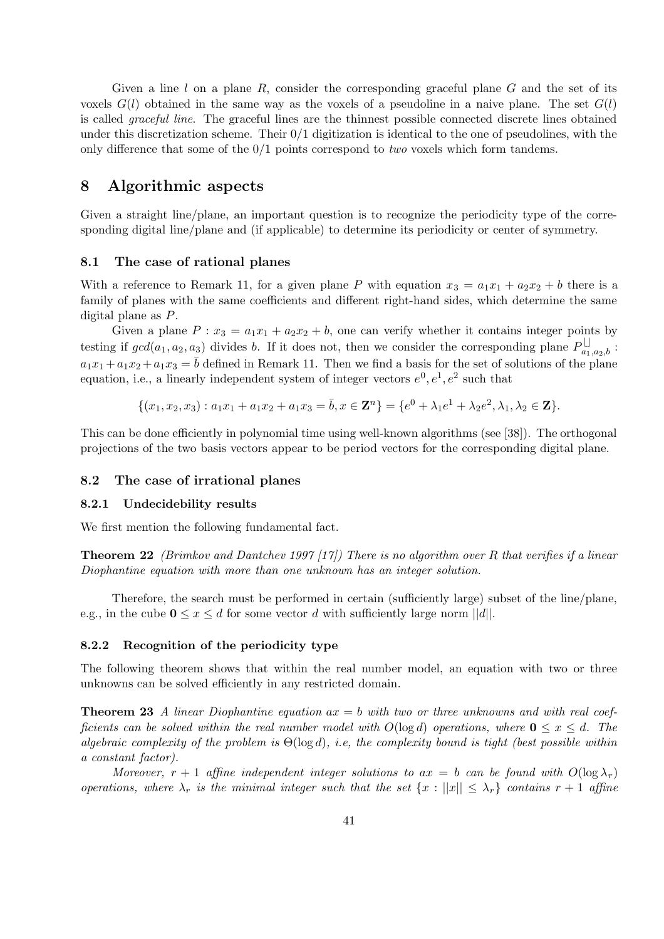Given a line  $l$  on a plane  $R$ , consider the corresponding graceful plane  $G$  and the set of its voxels  $G(l)$  obtained in the same way as the voxels of a pseudoline in a naive plane. The set  $G(l)$ is called graceful line. The graceful lines are the thinnest possible connected discrete lines obtained under this discretization scheme. Their  $0/1$  digitization is identical to the one of pseudolines, with the only difference that some of the  $0/1$  points correspond to two voxels which form tandems.

# 8 Algorithmic aspects

Given a straight line/plane, an important question is to recognize the periodicity type of the corresponding digital line/plane and (if applicable) to determine its periodicity or center of symmetry.

### 8.1 The case of rational planes

With a reference to Remark 11, for a given plane P with equation  $x_3 = a_1x_1 + a_2x_2 + b$  there is a family of planes with the same coefficients and different right-hand sides, which determine the same digital plane as P.

Given a plane  $P: x_3 = a_1x_1 + a_2x_2 + b$ , one can verify whether it contains integer points by testing if  $gcd(a_1, a_2, a_3)$  divides b. If it does not, then we consider the corresponding plane  $P_{a_1,a_2,b}^{\square}$ :  $a_1x_1 + a_1x_2 + a_1x_3 = \overline{b}$  defined in Remark 11. Then we find a basis for the set of solutions of the plane equation, i.e., a linearly independent system of integer vectors  $e^0, e^1, e^2$  such that

$$
\{(x_1,x_2,x_3): a_1x_1 + a_1x_2 + a_1x_3 = \overline{b}, x \in \mathbf{Z}^n\} = \{e^0 + \lambda_1e^1 + \lambda_2e^2, \lambda_1, \lambda_2 \in \mathbf{Z}\}.
$$

This can be done efficiently in polynomial time using well-known algorithms (see [38]). The orthogonal projections of the two basis vectors appear to be period vectors for the corresponding digital plane.

#### 8.2 The case of irrational planes

#### 8.2.1 Undecidebility results

We first mention the following fundamental fact.

**Theorem 22** (Brimkov and Dantchev 1997 [17]) There is no algorithm over R that verifies if a linear Diophantine equation with more than one unknown has an integer solution.

Therefore, the search must be performed in certain (sufficiently large) subset of the line/plane, e.g., in the cube  $0 \le x \le d$  for some vector d with sufficiently large norm  $||d||$ .

### 8.2.2 Recognition of the periodicity type

The following theorem shows that within the real number model, an equation with two or three unknowns can be solved efficiently in any restricted domain.

**Theorem 23** A linear Diophantine equation  $ax = b$  with two or three unknowns and with real coefficients can be solved within the real number model with  $O(\log d)$  operations, where  $0 \le x \le d$ . The algebraic complexity of the problem is  $\Theta(\log d)$ , i.e, the complexity bound is tight (best possible within a constant factor).

Moreover,  $r + 1$  affine independent integer solutions to  $ax = b$  can be found with  $O(\log \lambda_r)$ operations, where  $\lambda_r$  is the minimal integer such that the set  $\{x : ||x|| \leq \lambda_r\}$  contains  $r + 1$  affine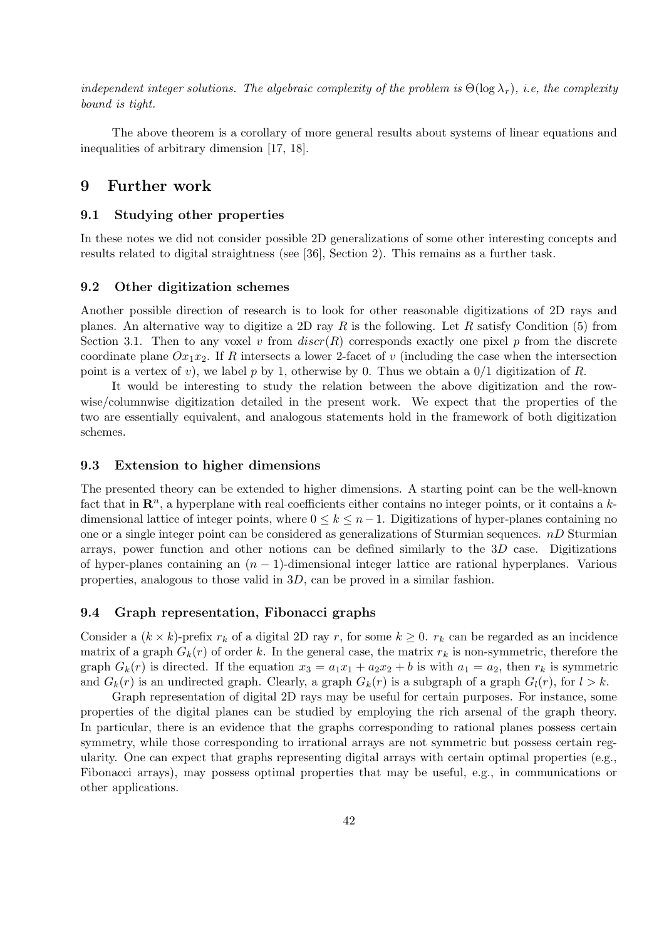independent integer solutions. The algebraic complexity of the problem is  $\Theta(\log \lambda_r)$ , i.e, the complexity bound is tight.

The above theorem is a corollary of more general results about systems of linear equations and inequalities of arbitrary dimension [17, 18].

# 9 Further work

#### 9.1 Studying other properties

In these notes we did not consider possible 2D generalizations of some other interesting concepts and results related to digital straightness (see [36], Section 2). This remains as a further task.

### 9.2 Other digitization schemes

Another possible direction of research is to look for other reasonable digitizations of 2D rays and planes. An alternative way to digitize a 2D ray R is the following. Let R satisfy Condition  $(5)$  from Section 3.1. Then to any voxel v from  $discr(R)$  corresponds exactly one pixel p from the discrete coordinate plane  $Ox_1x_2$ . If R intersects a lower 2-facet of v (including the case when the intersection point is a vertex of v), we label p by 1, otherwise by 0. Thus we obtain a  $0/1$  digitization of R.

It would be interesting to study the relation between the above digitization and the rowwise/columnwise digitization detailed in the present work. We expect that the properties of the two are essentially equivalent, and analogous statements hold in the framework of both digitization schemes.

#### 9.3 Extension to higher dimensions

The presented theory can be extended to higher dimensions. A starting point can be the well-known fact that in  $\mathbb{R}^n$ , a hyperplane with real coefficients either contains no integer points, or it contains a kdimensional lattice of integer points, where  $0 \leq k \leq n-1$ . Digitizations of hyper-planes containing no one or a single integer point can be considered as generalizations of Sturmian sequences.  $nD$  Sturmian arrays, power function and other notions can be defined similarly to the 3D case. Digitizations of hyper-planes containing an  $(n - 1)$ -dimensional integer lattice are rational hyperplanes. Various properties, analogous to those valid in 3D, can be proved in a similar fashion.

### 9.4 Graph representation, Fibonacci graphs

Consider a  $(k \times k)$ -prefix  $r_k$  of a digital 2D ray r, for some  $k \geq 0$ .  $r_k$  can be regarded as an incidence matrix of a graph  $G_k(r)$  of order k. In the general case, the matrix  $r_k$  is non-symmetric, therefore the graph  $G_k(r)$  is directed. If the equation  $x_3 = a_1x_1 + a_2x_2 + b$  is with  $a_1 = a_2$ , then  $r_k$  is symmetric and  $G_k(r)$  is an undirected graph. Clearly, a graph  $G_k(r)$  is a subgraph of a graph  $G_l(r)$ , for  $l > k$ .

Graph representation of digital 2D rays may be useful for certain purposes. For instance, some properties of the digital planes can be studied by employing the rich arsenal of the graph theory. In particular, there is an evidence that the graphs corresponding to rational planes possess certain symmetry, while those corresponding to irrational arrays are not symmetric but possess certain regularity. One can expect that graphs representing digital arrays with certain optimal properties (e.g., Fibonacci arrays), may possess optimal properties that may be useful, e.g., in communications or other applications.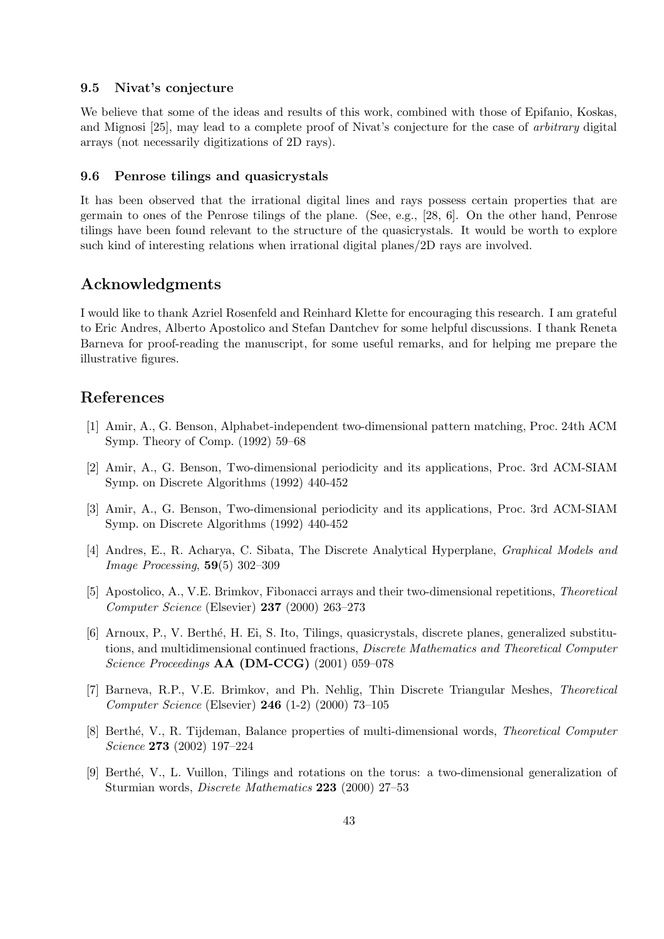### 9.5 Nivat's conjecture

We believe that some of the ideas and results of this work, combined with those of Epifanio, Koskas, and Mignosi [25], may lead to a complete proof of Nivat's conjecture for the case of arbitrary digital arrays (not necessarily digitizations of 2D rays).

#### 9.6 Penrose tilings and quasicrystals

It has been observed that the irrational digital lines and rays possess certain properties that are germain to ones of the Penrose tilings of the plane. (See, e.g., [28, 6]. On the other hand, Penrose tilings have been found relevant to the structure of the quasicrystals. It would be worth to explore such kind of interesting relations when irrational digital planes/2D rays are involved.

# Acknowledgments

I would like to thank Azriel Rosenfeld and Reinhard Klette for encouraging this research. I am grateful to Eric Andres, Alberto Apostolico and Stefan Dantchev for some helpful discussions. I thank Reneta Barneva for proof-reading the manuscript, for some useful remarks, and for helping me prepare the illustrative figures.

# References

- [1] Amir, A., G. Benson, Alphabet-independent two-dimensional pattern matching, Proc. 24th ACM Symp. Theory of Comp. (1992) 59–68
- [2] Amir, A., G. Benson, Two-dimensional periodicity and its applications, Proc. 3rd ACM-SIAM Symp. on Discrete Algorithms (1992) 440-452
- [3] Amir, A., G. Benson, Two-dimensional periodicity and its applications, Proc. 3rd ACM-SIAM Symp. on Discrete Algorithms (1992) 440-452
- [4] Andres, E., R. Acharya, C. Sibata, The Discrete Analytical Hyperplane, Graphical Models and Image Processing, 59(5) 302–309
- [5] Apostolico, A., V.E. Brimkov, Fibonacci arrays and their two-dimensional repetitions, Theoretical Computer Science (Elsevier) 237 (2000) 263–273
- [6] Arnoux, P., V. Berth´e, H. Ei, S. Ito, Tilings, quasicrystals, discrete planes, generalized substitutions, and multidimensional continued fractions, Discrete Mathematics and Theoretical Computer Science Proceedings **AA** (DM-CCG) (2001) 059-078
- [7] Barneva, R.P., V.E. Brimkov, and Ph. Nehlig, Thin Discrete Triangular Meshes, Theoretical Computer Science (Elsevier) 246 (1-2) (2000) 73–105
- [8] Berthé, V., R. Tijdeman, Balance properties of multi-dimensional words, Theoretical Computer Science 273 (2002) 197–224
- [9] Berth´e, V., L. Vuillon, Tilings and rotations on the torus: a two-dimensional generalization of Sturmian words, Discrete Mathematics 223 (2000) 27–53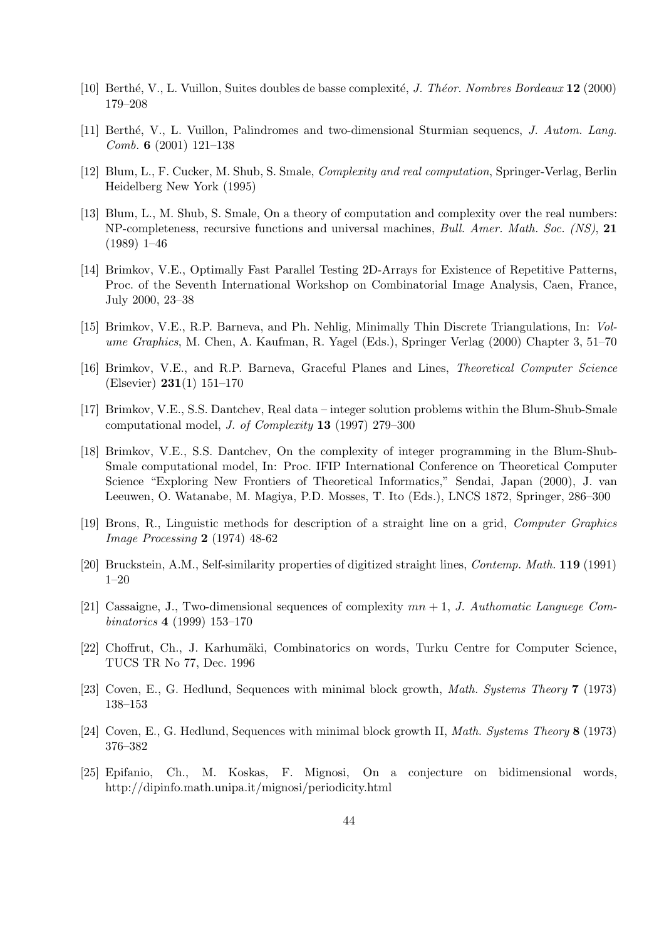- [10] Berthé, V., L. Vuillon, Suites doubles de basse complexité, J. Théor. Nombres Bordeaux 12 (2000) 179–208
- [11] Berth´e, V., L. Vuillon, Palindromes and two-dimensional Sturmian sequencs, J. Autom. Lang. Comb. 6 (2001) 121–138
- [12] Blum, L., F. Cucker, M. Shub, S. Smale, Complexity and real computation, Springer-Verlag, Berlin Heidelberg New York (1995)
- [13] Blum, L., M. Shub, S. Smale, On a theory of computation and complexity over the real numbers: NP-completeness, recursive functions and universal machines, *Bull. Amer. Math. Soc. (NS)*, 21 (1989) 1–46
- [14] Brimkov, V.E., Optimally Fast Parallel Testing 2D-Arrays for Existence of Repetitive Patterns, Proc. of the Seventh International Workshop on Combinatorial Image Analysis, Caen, France, July 2000, 23–38
- [15] Brimkov, V.E., R.P. Barneva, and Ph. Nehlig, Minimally Thin Discrete Triangulations, In: Volume Graphics, M. Chen, A. Kaufman, R. Yagel (Eds.), Springer Verlag (2000) Chapter 3, 51–70
- [16] Brimkov, V.E., and R.P. Barneva, Graceful Planes and Lines, Theoretical Computer Science (Elsevier) 231(1) 151–170
- [17] Brimkov, V.E., S.S. Dantchev, Real data integer solution problems within the Blum-Shub-Smale computational model, J. of Complexity 13 (1997) 279–300
- [18] Brimkov, V.E., S.S. Dantchev, On the complexity of integer programming in the Blum-Shub-Smale computational model, In: Proc. IFIP International Conference on Theoretical Computer Science "Exploring New Frontiers of Theoretical Informatics," Sendai, Japan (2000), J. van Leeuwen, O. Watanabe, M. Magiya, P.D. Mosses, T. Ito (Eds.), LNCS 1872, Springer, 286–300
- [19] Brons, R., Linguistic methods for description of a straight line on a grid, Computer Graphics Image Processing 2 (1974) 48-62
- [20] Bruckstein, A.M., Self-similarity properties of digitized straight lines, Contemp. Math. 119 (1991) 1–20
- [21] Cassaigne, J., Two-dimensional sequences of complexity  $mn + 1$ , J. Authomatic Languege Combinatorics 4 (1999) 153–170
- [22] Choffrut, Ch., J. Karhumäki, Combinatorics on words, Turku Centre for Computer Science, TUCS TR No 77, Dec. 1996
- [23] Coven, E., G. Hedlund, Sequences with minimal block growth, Math. Systems Theory 7 (1973) 138–153
- [24] Coven, E., G. Hedlund, Sequences with minimal block growth II, Math. Systems Theory 8 (1973) 376–382
- [25] Epifanio, Ch., M. Koskas, F. Mignosi, On a conjecture on bidimensional words, http://dipinfo.math.unipa.it/mignosi/periodicity.html